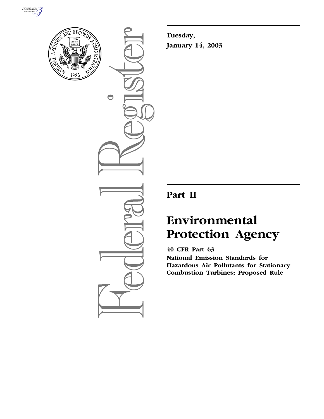



 $\bigcirc$ 

**Tuesday, January 14, 2003**

## **Part II**

# **Environmental Protection Agency**

**40 CFR Part 63 National Emission Standards for Hazardous Air Pollutants for Stationary Combustion Turbines; Proposed Rule**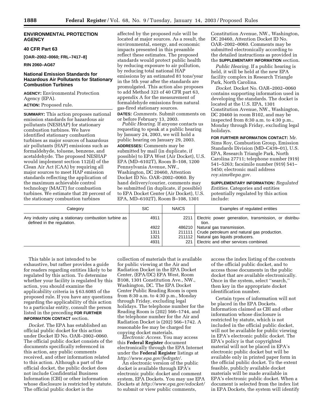## **ENVIRONMENTAL PROTECTION AGENCY**

## **40 CFR Part 63**

**[OAR–2002–0060; FRL–7417–8]** 

## **RIN 2060–AG67**

## **National Emission Standards for Hazardous Air Pollutants for Stationary Combustion Turbines**

**AGENCY:** Environmental Protection Agency (EPA). **ACTION:** Proposed rule.

**SUMMARY:** This action proposes national emission standards for hazardous air pollutants (NESHAP) for stationary combustion turbines. We have identified stationary combustion turbines as major sources of hazardous air pollutants (HAP) emissions such as formaldehyde, toluene, benzene, and acetaldehyde. The proposed NESHAP would implement section 112(d) of the Clean Air Act (CAA) by requiring all major sources to meet HAP emission standards reflecting the application of the maximum achievable control technology (MACT) for combustion turbines. We estimate that 20 percent of the stationary combustion turbines

affected by the proposed rule will be located at major sources. As a result, the environmental, energy, and economic impacts presented in this preamble reflect these estimates. The proposed standards would protect public health by reducing exposure to air pollution, by reducing total national HAP emissions by an estimated 81 tons/year in the 5th year after the standards are promulgated. This action also proposes to add Method 323 of 40 CFR part 63, appendix A for the measurement of formaldehyde emissions from natural gas-fired stationary sources. **DATES:** *Comments.* Submit comments on or before February 13, 2003.

*Public Hearing.* If anyone contacts us requesting to speak at a public hearing by January 24, 2003, we will hold a public hearing on January 29, 2003. **ADDRESSES:** Comments may be submitted by mail (in duplicate, if possible) to EPA West (Air Docket), U.S. EPA (MD–6102T), Room B–108, 1200 Pennsylvania Avenue, NW., Washington, DC 20460, Attention Docket ID No. OAR–2002–0060. By hand delivery/courier, comments may be submitted (in duplicate, if possible) to EPA Docket Center (Air Docket), U.S. EPA, MD–6102T), Room B–108, 1301

Constitution Avenue, NW., Washington, DC 20460, Attention Docket ID No. OAR–2002–0060. Comments may be submitted electronically according to the detailed instructions as provided in the **SUPPLEMENTARY INFORMATION** section.

*Public Hearing.* If a public hearing is held, it will be held at the new EPA facility complex in Research Triangle Park, North Carolina.

*Docket.* Docket No. OAR–2002–0060 contains supporting information used in developing the standards. The docket is located at the U.S. EPA, 1301 Constitution Avenue, NW., Washington, DC 20460 in room B102, and may be inspected from 8:30 a.m. to 4:30 p.m., Monday through Friday, excluding legal holidays.

#### **FOR FURTHER INFORMATION CONTACT:** Mr.

Sims Roy, Combustion Group, Emission Standards Division (MD–C439–01), U.S. EPA, Research Triangle Park, North Carolina 27711; telephone number (919) 541–5263; facsimile number (919) 541– 5450; electronic mail address *roy.sims@epa.gov.*

**SUPPLEMENTARY INFORMATION:** *Regulated Entities.* Categories and entities potentially regulated by this action include:

| Category                                                                            | <b>SIC</b>                   | <b>NAICS</b> | Examples of regulated entities                                                                                                                                                                        |
|-------------------------------------------------------------------------------------|------------------------------|--------------|-------------------------------------------------------------------------------------------------------------------------------------------------------------------------------------------------------|
| Any industry using a stationary combustion turbine as<br>defined in the regulation. | 4911<br>4922<br>1311<br>1321 | 2211         | Electric power generation, transmission, or distribu-<br>tion.<br>486210   Natural gas transmission.<br>211111 Crude petroleum and natural gas production.<br>211112   Natural gas liquids producers. |
|                                                                                     | 4931                         | 221          | Electric and other services combined.                                                                                                                                                                 |

This table is not intended to be exhaustive, but rather provides a guide for readers regarding entities likely to be regulated by this action. To determine whether your facility is regulated by this action, you should examine the applicability criteria in § 63.6085 of the proposed rule. If you have any questions regarding the applicability of this action to a particular entity, consult the person listed in the preceding **FOR FURTHER INFORMATION CONTACT** section.

*Docket.* The EPA has established an official public docket for this action under Docket ID No. OAR–2002–0060. The official public docket consists of the documents specifically referenced in this action, any public comments received, and other information related to this action. Although a part of the official docket, the public docket does not include Confidential Business Information (CBI) or other information whose disclosure is restricted by statute. The official public docket is the

collection of materials that is available for public viewing at the Air and Radiation Docket in the EPA Docket Center, (EPA/DC) EPA West, Room B108, 1301 Constitution Ave., NW., Washington, DC. The EPA Docket Center Public Reading Room is open from 8:30 a.m. to 4:30 p.m., Monday through Friday, excluding legal holidays. The telephone number for the Reading Room is (202) 566–1744, and the telephone number for the Air and Radiation Docket is (202) 566–1742. A reasonable fee may be charged for copying docket materials.

*Electronic Access.* You may access this **Federal Register** document electronically through the EPA Internet under the **Federal Register** listings at *http://www.epa.gov/fedrgstr/.*

An electronic version of the public docket is available through EPA's electronic public docket and comment system, EPA Dockets. You may use EPA Dockets at *http://www.epa.gov/edocket/* to submit or view public comments,

access the index listing of the contents of the official public docket, and to access those documents in the public docket that are available electronically. Once in the system, select ''search,'' then key in the appropriate docket identification number.

Certain types of information will not be placed in the EPA Dockets. Information claimed as CBI and other information whose disclosure is restricted by statute, which is not included in the official public docket, will not be available for public viewing in EPA's electronic public docket. The EPA's policy is that copyrighted material will not be placed in EPA's electronic public docket but will be available only in printed paper form in the official public docket. To the extent feasible, publicly available docket materials will be made available in EPA's electronic public docket. When a document is selected from the index list in EPA Dockets, the system will identify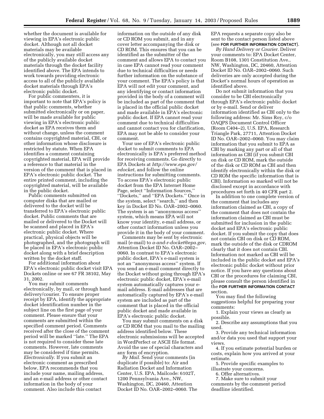whether the document is available for viewing in EPA's electronic public docket. Although not all docket materials may be available electronically, you may still access any of the publicly available docket materials through the docket facility identified above. The EPA intends to work towards providing electronic access to all of the publicly available docket materials through EPA's electronic public docket.

For public commenters, it is important to note that EPA's policy is that public comments, whether submitted electronically or on paper, will be made available for public viewing in EPA's electronic public docket as EPA receives them and without change, unless the comment contains copyrighted material, CBI, or other information whose disclosure is restricted by statute. When EPA identifies a comment containing copyrighted material, EPA will provide a reference to that material in the version of the comment that is placed in EPA's electronic public docket. The entire printed comment, including the copyrighted material, will be available in the public docket.

Public comments submitted on computer disks that are mailed or delivered to the docket will be transferred to EPA's electronic public docket. Public comments that are mailed or delivered to the Docket will be scanned and placed in EPA's electronic public docket. Where practical, physical objects will be photographed, and the photograph will be placed in EPA's electronic public docket along with a brief description written by the docket staff.

For additional information about EPA's electronic public docket visit EPA Dockets online or see 67 FR 38102, May 31, 2002.

You may submit comments electronically, by mail, or through hand delivery/courier. To ensure proper receipt by EPA, identify the appropriate docket identification number in the subject line on the first page of your comment. Please ensure that your comments are submitted within the specified comment period. Comments received after the close of the comment period will be marked ''late.'' The EPA is not required to consider these late comments. However, late comments may be considered if time permits. *Electronically*. If you submit an electronic comment as prescribed below, EPA recommends that you include your name, mailing address, and an e-mail address or other contact information in the body of your comment. Also include this contact

information on the outside of any disk or CD ROM you submit, and in any cover letter accompanying the disk or CD ROM. This ensures that you can be identified as the submitter of the comment and allows EPA to contact you in case EPA cannot read your comment due to technical difficulties or needs further information on the substance of your comment. The EPA's policy is that EPA will not edit your comment, and any identifying or contact information provided in the body of a comment will be included as part of the comment that is placed in the official public docket and made available in EPA's electronic public docket. If EPA cannot read your comment due to technical difficulties and cannot contact you for clarification, EPA may not be able to consider your comment.

Your use of EPA's electronic public docket to submit comments to EPA electronically is EPA's preferred method for receiving comments. Go directly to EPA Dockets at *http://www.epa.gov/ edocket*, and follow the online instructions for submitting comments. To access EPA's electronic public docket from the EPA Internet Home Page, select ''Information Sources,'' ''Dockets,'' and ''EPA Dockets.'' Once in the system, select ''search,'' and then key in Docket ID No. OAR–2002–0060. The system is an ''anonymous access'' system, which means EPA will not know your identity, e-mail address, or other contact information unless you provide it in the body of your comment.

Comments may be sent by electronic mail (e-mail) to *a-and-r-docket@epa.gov*, Attention Docket ID No. OAR–2002– 0060. In contrast to EPA's electronic public docket, EPA's e-mail system is not an ''anonymous access'' system. If you send an e-mail comment directly to the Docket without going through EPA's electronic public docket, EPA's e-mail system automatically captures your email address. E-mail addresses that are automatically captured by EPA's e-mail system are included as part of the comment that is placed in the official public docket and made available in EPA's electronic public docket.

You may submit comments on a disk or CD ROM that you mail to the mailing address identified below. These electronic submissions will be accepted in WordPerfect or ASCII file format. Avoid the use of special characters and any form of encryption.

*By Mail.* Send your comments (in duplicate if possible) to: Air and Radiation Docket and Information Center, U.S. EPA, Mailcode: 6102T, 1200 Pennsylvania Ave., NW, Washington, DC, 20460, Attention Docket ID No. OAR–2002–0060. The EPA requests a separate copy also be sent to the contact person listed above (see **FOR FURTHER INFORMATION CONTACT**).

*By Hand Delivery or Courier.* Deliver your comments to: EPA Docket Center, Room B108, 1301 Constitution Ave., NW, Washington, DC, 20460, Attention Docket ID No. OAR–2002–0060. Such deliveries are only accepted during the Docket's normal hours of operation as identified above.

Do not submit information that you consider to be CBI electronically through EPA's electronic public docket or by e-mail. Send or deliver information identified as CBI only to the following address: Mr. Sims Roy, c/o OAQPS Document Control Officer (Room C404–2), U.S. EPA, Research Triangle Park, 27711, Attention Docket ID No. OAR–2002–0060. You may claim information that you submit to EPA as CBI by marking any part or all of that information as CBI (if you submit CBI on disk or CD ROM, mark the outside of the disk or CD ROM as CBI and then identify electronically within the disk or CD ROM the specific information that is CBI). Information so marked will not be disclosed except in accordance with procedures set forth in 40 CFR part 2.

In addition to one complete version of the comment that includes any information claimed as CBI, a copy of the comment that does not contain the information claimed as CBI must be submitted for inclusion in the public docket and EPA's electronic public docket. If you submit the copy that does not contain CBI on disk or CD ROM, mark the outside of the disk or CDROM clearly that it does not contain CBI. Information not marked as CBI will be included in the public docket and EPA's electronic public docket without prior notice. If you have any questions about CBI or the procedures for claiming CBI, please consult the person identified in the **FOR FURTHER INFORMATION CONTACT** section.

You may find the following suggestions helpful for preparing your comments:

1. Explain your views as clearly as possible.

2. Describe any assumptions that you used.

3. Provide any technical information and/or data you used that support your views.

4. If you estimate potential burden or costs, explain how you arrived at your estimate.

5. Provide specific examples to illustrate your concerns.

6. Offer alternatives.

7. Make sure to submit your comments by the comment period deadline identified.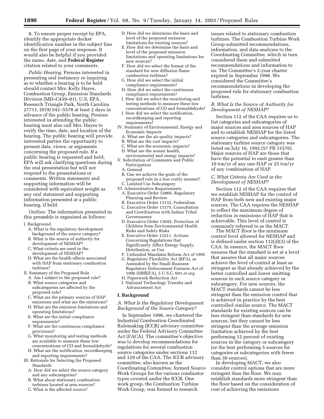8. To ensure proper receipt by EPA, identify the appropriate docket identification number in the subject line on the first page of your response. It would also be helpful if you provided the name, date, and **Federal Register** citation related to your comments.

*Public Hearing.* Persons interested in presenting oral testimony or inquiring as to whether a hearing is to be held should contact Mrs. Kelly Hayes, Combustion Group, Emission Standards Division (MD–C439–01), U.S. EPA, Research Triangle Park, North Carolina 27711, (919) 541–5578 at least 2 days in advance of the public hearing. Persons interested in attending the public hearing must also call Mrs. Hayes to verify the time, date, and location of the hearing. The public hearing will provide interested parties the opportunity to present data, views, or arguments concerning the proposed rule. If a public hearing is requested and held, EPA will ask clarifying questions during the oral presentation but will not respond to the presentations or comments. Written statements and supporting information will be considered with equivalent weight as any oral statement and supporting information presented at a public hearing, if held.

*Outline.* The information presented in this preamble is organized as follows:

- I. Background
	- A. What is the regulatory development background of the source category?
	- B. What is the source of authority for development of NESHAP?
	- C. What criteria are used in the development of NESHAP?
	- D. What are the health effects associated with HAP from stationary combustion turbines?
- II. Summary of the Proposed Rule
	- A. Am I subject to the proposed rule? B. What source categories and subcategories are affected by the
	- proposed rule? C. What are the primary sources of HAP
	- emissions and what are the emissions? D. What are the emission limitations and
	- operating limitations? E. What are the initial compliance
	- requirements?
	- F. What are the continuous compliance provisions?
	- G. What monitoring and testing methods are available to measure these low concentrations of CO and formaldehyde? H. What are the notification, recordkeeping
	- and reporting requirements?
- III. Rationale for Selecting the Proposed Standards
	- A. How did we select the source category and any subcategories?
	- B. What about stationary combustion turbines located at area sources?
	- C. What is the affected source?
- D. How did we determine the basis and level of the proposed emission limitations for existing sources?
- E. How did we determine the basis and level of the proposed emission limitations and operating limitations for new sources?
- F. How did we select the format of the standard for new diffusion flame combustion turbines?
- G. How did we select the initial compliance requirements?
- H. How did we select the continuous compliance requirements?
- I. How did we select the monitoring and testing methods to measure these low concentrations of CO and formaldehyde?
- J. How did we select the notification, recordkeeping and reporting requirements?
- IV. Summary of Environmental, Energy and Economic Impacts
	- A. What are the air quality impacts?
	- B. What are the cost impacts?
	- C. What are the economic impacts? D. What are the nonair health,
- environmental and energy impacts? V. Solicitation of Comments and Public
- Participation A. General
	-
- B. Can we achieve the goals of the proposed rule in a less costly manner? C. Limited Use Subcategory
- VI. Administrative Requirements
	- A. Executive Order 12866, Regulatory Planning and Review
	- B. Executive Order 13132, Federalism
	- C. Executive Order 13175, Consultation and Coordination with Indian Tribal Governments
	- D. Executive Order 13045, Protection of Children from Environmental Health Risks and Safety Risks
	- E. Executive Order 13211, Actions Concerning Regulations that Significantly Affect Energy Supply, Distribution, or Use
	- F. Unfunded Mandates Reform Act of 1995
	- G. Regulatory Flexibility Act (RFA), as Amended by the Small Business Regulatory Enforcement Fairness Act of 1996 (SBREFA), 5 U.S.C. 601 *et seq.* H. Paperwork Reduction Act
	- I. National Technology Transfer and Advancement Act

#### **I. Background**

#### *A. What Is the Regulatory Development Background of the Source Category?*

In September 1996, we chartered the Industrial Combustion Coordinated Rulemaking (ICCR) advisory committee under the Federal Advisory Committee Act (FACA). The committee's objective was to develop recommendations for regulations for several combustion source categories under sections 112 and 129 of the CAA. The ICCR advisory committee, also known as the Coordinating Committee, formed Source Work Groups for the various combustor types covered under the ICCR. One work group, the Combustion Turbine Work Group, was formed to research

issues related to stationary combustion turbines. The Combustion Turbine Work Group submitted recommendations, information, and data analyses to the Coordinating Committee, which in turn considered them and submitted recommendations and information to us. The Committee's 2-year charter expired in September 1998. We considered the Committee's recommendations in developing the proposed rule for stationary combustion turbines.

## *B. What Is the Source of Authority for Development of NESHAP?*

Section 112 of the CAA requires us to list categories and subcategories of major sources and area sources of HAP and to establish NESHAP for the listed source categories and subcategories. The stationary turbine source category was listed on July 16, 1992 (57 FR 31576). Major sources of HAP are those that have the potential to emit greater than 10 ton/yr of any one HAP or 25 ton/yr of any combination of HAP.

## *C. What Criteria Are Used in the Development of NESHAP?*

Section 112 of the CAA requires that we establish NESHAP for the control of HAP from both new and existing major sources. The CAA requires the NESHAP to reflect the maximum degree of reduction in emissions of HAP that is achievable. This level of control is commonly referred to as the MACT.

The MACT floor is the minimum control level allowed for NESHAP and is defined under section 112(d)(3) of the CAA. In essence, the MACT floor ensures that the standard is set at a level that assures that all major sources achieve the level of control at least as stringent as that already achieved by the better controlled and lower emitting sources in each source category or subcategory. For new sources, the MACT standards cannot be less stringent than the emission control that is achieved in practice by the best controlled similar source. The MACT standards for existing sources can be less stringent than standards for new sources, but they cannot be less stringent than the average emission limitation achieved by the best performing 12 percent of existing sources in the category or subcategory (or the best performing 5 sources for categories or subcategories with fewer than 30 sources).

In developing MACT, we also consider control options that are more stringent than the floor. We may establish standards more stringent than the floor based on the consideration of cost of achieving the emissions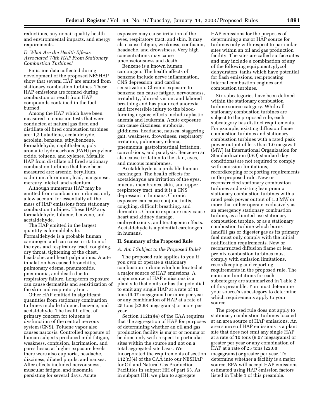reductions, any nonair quality health and environmental impacts, and energy requirements.

#### *D. What Are the Health Effects Associated With HAP From Stationary Combustion Turbines?*

Emission data collected during development of the proposed NESHAP show that several HAP are emitted from stationary combustion turbines. These HAP emissions are formed during combustion or result from HAP compounds contained in the fuel burned.

Among the HAP which have been measured in emission tests that were conducted at natural gas fired and distillate oil fired combustion turbines are: 1,3 butadiene, acetaldehyde, acrolein, benzene, ethylbenzene, formaldehyde, naphthalene, poly aromatic hydrocarbons (PAH) propylene oxide, toluene, and xylenes. Metallic HAP from distillate oil fired stationary combustion turbines that have been measured are: arsenic, beryllium, cadmium, chromium, lead, manganese, mercury, nickel, and selenium.

Although numerous HAP may be emitted from combustion turbines, only a few account for essentially all the mass of HAP emissions from stationary combustion turbines. These HAP are: formaldehyde, toluene, benzene, and acetaldehyde.

The HAP emitted in the largest quantity is formaldehyde. Formaldehyde is a probable human carcinogen and can cause irritation of the eyes and respiratory tract, coughing, dry throat, tightening of the chest, headache, and heart palpitations. Acute inhalation has caused bronchitis, pulmonary edema, pneumonitis, pneumonia, and death due to respiratory failure. Long-term exposure can cause dermatitis and sensitization of the skin and respiratory tract.

Other HAP emitted in significant quantities from stationary combustion turbines include toluene, benzene, and acetaldehyde. The health effect of primary concern for toluene is dysfunction of the central nervous system (CNS). Toluene vapor also causes narcosis. Controlled exposure of human subjects produced mild fatigue, weakness, confusion, lacrimation, and paresthesia; at higher exposure levels there were also euphoria, headache, dizziness, dilated pupils, and nausea. After effects included nervousness, muscular fatigue, and insomnia persisting for several days. Acute

exposure may cause irritation of the eyes, respiratory tract, and skin. It may also cause fatigue, weakness, confusion, headache, and drowsiness. Very high concentrations may cause unconsciousness and death.

Benzene is a known human carcinogen. The health effects of benzene include nerve inflammation, CNS depression, and cardiac sensitization. Chronic exposure to benzene can cause fatigue, nervousness, irritability, blurred vision, and labored breathing and has produced anorexia and irreversible injury to the bloodforming organs; effects include aplastic anemia and leukemia. Acute exposure can cause dizziness, euphoria, giddiness, headache, nausea, staggering gait, weakness, drowsiness, respiratory irritation, pulmonary edema, pneumonia, gastrointestinal irritation, convulsions, and paralysis. Benzene can also cause irritation to the skin, eyes, and mucous membranes.

Acetaldehyde is a probable human carcinogen. The health effects for acetaldehyde are irritation of the eyes, mucous membranes, skin, and upper respiratory tract, and it is a CNS depressant in humans. Chronic exposure can cause conjunctivitis, coughing, difficult breathing, and dermatitis. Chronic exposure may cause heart and kidney damage, embryotoxicity, and teratogenic effects. Acetaldehyde is a potential carcinogen in humans.

#### **II. Summary of the Proposed Rule**

#### *A. Am I Subject to the Proposed Rule?*

The proposed rule applies to you if you own or operate a stationary combustion turbine which is located at a major source of HAP emissions. A major source of HAP emissions is a plant site that emits or has the potential to emit any single HAP at a rate of 10 tons (9.07 megagrams) or more per year or any combination of HAP at a rate of 25 tons (22.68 megagrams) or more per year.

Section 112(n)(4) of the CAA requires that the aggregation of HAP for purposes of determining whether an oil and gas production facility is major or nonmajor be done only with respect to particular sites within the source and not on a total aggregated site basis. We incorporated the requirements of section 112(n)(4) of the CAA into our NESHAP for Oil and Natural Gas Production Facilities in subpart HH of part 63. As in subpart HH, we plan to aggregate

HAP emissions for the purposes of determining a major HAP source for turbines only with respect to particular sites within an oil and gas production facility. The sites are called surface sites and may include a combination of any of the following equipment; glycol dehydrators, tanks which have potential for flash emissions, reciprocating internal combustion engines and combustion turbines.

Six subcategories have been defined within the stationary combustion turbine source category. While all stationary combustion turbines are subject to the proposed rule, each subcategory has distinct requirements. For example, existing diffusion flame combustion turbines and stationary combustion turbines with a rated peak power output of less than 1.0 megawatt (MW) (at International Organization for Standardization (ISO) standard day conditions) are not required to comply with emission limitations, recordkeeping or reporting requirements in the proposed rule. New or reconstructed stationary combustion turbines and existing lean premix stationary combustion turbines with a rated peak power output of 1.0 MW or more that either operate exclusively as an emergency stationary combustion turbine, as a limited use stationary combustion turbine, or as a stationary combustion turbine which burns landfill gas or digester gas as its primary fuel must only comply with the initial notification requirements. New or reconstructed diffusion flame or lean premix combustion turbines must comply with emission limitations, recordkeeping and reporting requirements in the proposed rule. The emission limitations for each subcategory are summarized in Table 2 of this preamble. You must determine your source's subcategory to determine which requirements apply to your source.

The proposed rule does not apply to stationary combustion turbines located at an area source of HAP emissions. An area source of HAP emissions is a plant site that does not emit any single HAP at a rate of 10 tons (9.07 megagrams) or greater per year or any combination of HAP at a rate of 25 tons (22.68 megagrams) or greater per year. To determine whether a facility is a major source, EPA will accept HAP emissions estimated using HAP emission factors listed in Table 1 of this preamble.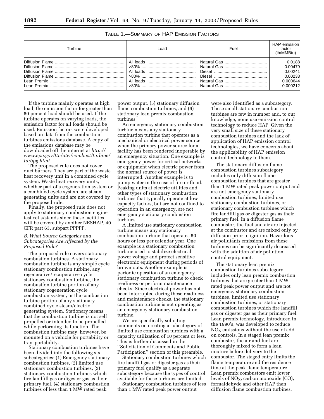| Turbine | ∟oad | Fuel | HAP emission<br>factor<br>(lb/MMBtu)                            |
|---------|------|------|-----------------------------------------------------------------|
|         |      |      | 0.0188<br>0.00479<br>0.00241<br>0.00233<br>0.000644<br>0.000212 |

If the turbine mainly operates at high load, the emission factor for greater than 80 percent load should be used. If the turbine operates on varying loads, the emission factor for all loads should be used. Emission factors were developed based on data from the combustion turbines emissions database. A copy of the emissions database may be downloaded off the internet at *http:// www.epa.gov/ttn/atw/combust/turbine/ turbpg.html.*

The proposed rule does not cover duct burners. They are part of the waste heat recovery unit in a combined cycle system. Waste heat recovery units, whether part of a cogeneration system or a combined cycle system, are steam generating units and are not covered by the proposed rule.

Finally, the proposed rule does not apply to stationary combustion engine test cells/stands since these facilities will be covered by another NESHAP, 40 CFR part 63, subpart PPPPP.

#### *B. What Source Categories and Subcategories Are Affected by the Proposed Rule?*

The proposed rule covers stationary combustion turbines. A stationary combustion turbine is any simple cycle stationary combustion turbine, any regenerative/recuperative cycle stationary combustion turbine, the combustion turbine portion of any stationary cogeneration cycle combustion system, or the combustion turbine portion of any stationary combined cycle steam/electric generating system. Stationary means that the combustion turbine is not self propelled or intended to be propelled while performing its function. The combustion turbine may, however, be mounted on a vehicle for portability or transportability.

Stationary combustion turbines have been divided into the following six subcategories: (1) Emergency stationary combustion turbines, (2) limited use stationary combustion turbines, (3) stationary combustion turbines which fire landfill gas or digester gas as their primary fuel, (4) stationary combustion turbines of less than 1 MW rated peak

power output, (5) stationary diffusion flame combustion turbines, and (6) stationary lean premix combustion turbines.

An emergency stationary combustion turbine means any stationary combustion turbine that operates as a mechanical or electrical power source when the primary power source for a facility has been rendered inoperable by an emergency situation. One example is emergency power for critical networks or equipment when electric power from the normal source of power is interrupted. Another example is to pump water in the case of fire or flood. Peaking units at electric utilities and other types of stationary combustion turbines that typically operate at low capacity factors, but are not confined to operation in an emergency, are not emergency stationary combustion turbines.

A limited use stationary combustion turbine means any stationary combustion turbine that operates 50 hours or less per calendar year. One example is a stationary combustion turbine used to stabilize electrical power voltage and protect sensitive electronic equipment during periods of brown outs. Another example is periodic operation of an emergency stationary combustion turbine to check readiness or perform maintenance checks. Since electrical power has not been interrupted during these readiness and maintenance checks, the stationary combustion turbine is not operating as an emergency stationary combustion turbine.

We are specifically soliciting comments on creating a subcategory of limited use combustion turbines with a capacity utilization of 10 percent or less. This is further discussed in the ''Solicitation of Comments and Public Participation'' section of this preamble.

Stationary combustion turbines which fire landfill gas or digester gas as their primary fuel qualify as a separate subcategory because the types of control available for these turbines are limited.

Stationary combustion turbines of less than 1 MW rated peak power output

were also identified as a subcategory. These small stationary combustion turbines are few in number and, to our knowledge, none use emission control technology to reduce HAP. Given the very small size of these stationary combustion turbines and the lack of application of HAP emission control technologies, we have concerns about the applicability of HAP emission control technology to them.

The stationary diffusion flame combustion turbines subcategory includes only diffusion flame combustion turbines that are greater than 1 MW rated peak power output and are not emergency stationary combustion turbines, limited use stationary combustion turbines, or stationary combustion turbines which fire landfill gas or digester gas as their primary fuel. In a diffusion flame combustor, the fuel and air are injected at the combustor and are mixed only by diffusion prior to ignition. Hazardous air pollutants emissions from these turbines can be significantly decreased with the addition of air pollution control equipment.

The stationary lean premix combustion turbines subcategory includes only lean premix combustion turbines that are greater than 1 MW rated peak power output and are not emergency stationary combustion turbines, limited use stationary combustion turbines, or stationary combustion turbines which fire landfill gas or digester gas as their primary fuel. Lean premix technology, introduced in the 1990's, was developed to reduce  $NO<sub>x</sub>$  emissions without the use of add on controls. In a staged lean premix combustor, the air and fuel are thoroughly mixed to form a lean mixture before delivery to the combustor. The staged entry limits the flame temperature and the residence time at the peak flame temperature. Lean premix combustors emit lower levels of  $NO<sub>X</sub>$ , carbon monoxide (CO), formaldehyde and other HAP than diffusion flame combustion turbines.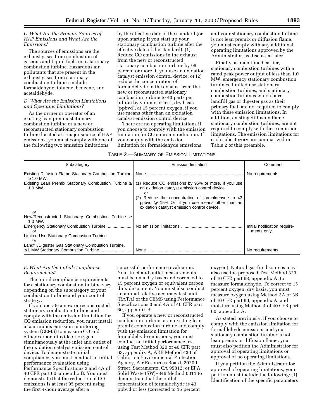## *C. What Are the Primary Sources of HAP Emissions and What Are the Emissions?*

The sources of emissions are the exhaust gases from combustion of gaseous and liquid fuels in a stationary combustion turbine. Hazardous air pollutants that are present in the exhaust gases from stationary combustion turbines include formaldehyde, toluene, benzene, and acetaldehyde.

## *D. What Are the Emission Limitations and Operating Limitations?*

As the owner or operator of an existing lean premix stationary combustion turbine or a new or reconstructed stationary combustion turbine located at a major source of HAP emissions, you must comply with one of the following two emission limitations

by the effective date of the standard (or upon startup if you start up your stationary combustion turbine after the effective date of the standard): (1) Reduce CO emissions in the exhaust from the new or reconstructed stationary combustion turbine by 95 percent or more, if you use an oxidation catalyst emission control device; or (2) reduce the concentration of formaldehyde in the exhaust from the new or reconstructed stationary combustion turbine to 43 parts per billion by volume or less, dry basis (ppbvd), at 15 percent oxygen, if you use means other than an oxidation catalyst emission control device.

There are no operating limitations if you choose to comply with the emission limitation for CO emission reduction. If you comply with the emission limitation for formaldehyde emissions

and your stationary combustion turbine is not lean premix or diffusion flame, you must comply with any additional operating limitations approved by the Administrator, as discussed later.

Finally, as mentioned earlier, stationary combustion turbines with a rated peak power output of less than 1.0 MW, emergency stationary combustion turbines, limited use stationary combustion turbines, and stationary combustion turbines which burn landfill gas or digester gas as their primary fuel, are not required to comply with these emission limitations. In addition, existing diffusion flame stationary combustion turbines, are not required to comply with these emission limitations. The emission limitations for each subcategory are summarized in Table 2 of this preamble.

## TABLE 2.—SUMMARY OF EMISSION LIMITATIONS

| Subcategory                                                              | <b>Emission limitation</b>                                                                                                                                                                                                                                                   | Comment                                      |
|--------------------------------------------------------------------------|------------------------------------------------------------------------------------------------------------------------------------------------------------------------------------------------------------------------------------------------------------------------------|----------------------------------------------|
| Existing Diffusion Flame Stationary Combustion Turbine<br>$\geq$ 1.0 MW. | None                                                                                                                                                                                                                                                                         | No requirements.                             |
| Existing Lean Premix Stationary Combustion Turbine $\geq$<br>1.0 MW.     | (1) Reduce CO emissions by 95% or more, if you use<br>an oxidation catalyst emission control device.<br>Ωr<br>(2) Reduce the concentration of formaldehyde to 43<br>ppbvd $\omega$ 15% $O_2$ , if you use means other than an<br>oxidation catalyst emission control device. |                                              |
| or                                                                       |                                                                                                                                                                                                                                                                              |                                              |
| New/Reconstructed Stationary Combustion Turbine ≥<br>1.0 MW.             |                                                                                                                                                                                                                                                                              |                                              |
| nr                                                                       |                                                                                                                                                                                                                                                                              | Initial notification require-<br>ments only. |
| Limited Use Stationary Combustion Turbine<br>n                           |                                                                                                                                                                                                                                                                              |                                              |
| Landfill/Digester Gas Stationary Combustion Turbine.                     |                                                                                                                                                                                                                                                                              | No requirements.                             |

## *E. What Are the Initial Compliance Requirements?*

The initial compliance requirements for a stationary combustion turbine vary depending on the subcategory of your combustion turbine and your control strategy.

If you operate a new or reconstructed stationary combustion turbine and comply with the emission limitation for CO emission reduction, you must install a continuous emission monitoring system (CEMS) to measure CO and either carbon dioxide or oxygen simultaneously at the inlet and outlet of the oxidation catalyst emission control device. To demonstrate initial compliance, you must conduct an initial performance evaluation using Performance Specifications 3 and 4A of 40 CFR part 60, appendix B. You must demonstrate that the reduction of CO emissions is at least 95 percent using the first 4-hour average after a

successful performance evaluation. Your inlet and outlet measurements must be on a dry basis and corrected to 15 percent oxygen or equivalent carbon dioxide content. You must also conduct an annual relative accuracy test audit (RATA) of the CEMS using Performance Specifications 3 and 4A of 40 CFR part 60, appendix B.

If you operate a new or reconstructed combustion turbine or an existing lean premix combustion turbine and comply with the emission limitation for formaldehyde emissions, you must conduct an initial performance test using Test Method 320 of 40 CFR part 63, appendix A; ARB Method 430 of California Environmental Protection Agency, Air Resources Board, 2020 L Street, Sacramento, CA 95812; or EPA Solid Waste (SW)–846 Method 0011 to demonstrate that the outlet concentration of formaldehyde is 43 ppbvd or less (corrected to 15 percent

oxygen). Natural gas-fired sources may also use the proposed Test Method 323 of 40 CFR part 63, appendix A, to measure formaldehyde. To correct to 15 percent oxygen, dry basis, you must measure oxygen using Method 3A or 3B of 40 CFR part 60, appendix A, and moisture using Method 4 of 40 CFR part 60, appendix A.

As stated previously, if you choose to comply with the emission limitation for formaldehyde emissions and your stationary combustion turbine is not lean premix or diffusion flame, you must also petition the Administrator for approval of operating limitations or approval of no operating limitations.

If you petition the Administrator for approval of operating limitations, your petition must include the following: (1) Identification of the specific parameters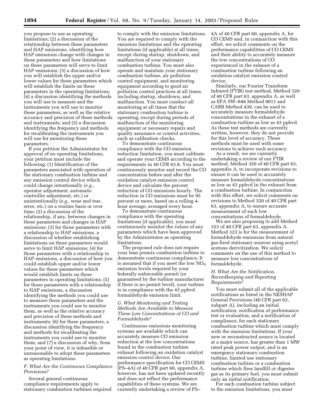you propose to use as operating limitations; (2) a discussion of the relationship between these parameters and HAP emissions, identifying how HAP emissions change with changes in these parameters and how limitations on these parameters will serve to limit HAP emissions; (3) a discussion of how you will establish the upper and/or lower values for these parameters which will establish the limits on these parameters in the operating limitations; (4) a discussion identifying the methods you will use to measure and the instruments you will use to monitor these parameters, as well as the relative accuracy and precision of these methods and instruments; and (5) a discussion identifying the frequency and methods for recalibrating the instruments you will use for monitoring these parameters.

If you petition the Administrator for approval of no operating limitations, your petition must include the following: (1) Identification of the parameters associated with operation of the stationary combustion turbine and any emission control device which could change intentionally (*e.g.*, operator adjustment, automatic controller adjustment, etc.) or unintentionally (*e.g.*, wear and tear, error, etc.) on a routine basis or over time; (2) a discussion of the relationship, if any, between changes in these parameters and changes in HAP emissions; (3) for those parameters with a relationship to HAP emissions, a discussion of whether establishing limitations on these parameters would serve to limit HAP emissions; (4) for those parameters with a relationship to HAP emissions, a discussion of how you could establish upper and/or lower values for these parameters which would establish limits on these parameters in operating limitations; (5) for those parameters with a relationship to HAP emissions, a discussion identifying the methods you could use to measure these parameters and the instruments you could use to monitor them, as well as the relative accuracy and precision of these methods and instruments; (6) for these parameters, a discussion identifying the frequency and methods for recalibrating the instruments you could use to monitor them; and (7) a discussion of why, from your point of view, it is infeasible or unreasonable to adopt these parameters as operating limitations.

#### *F. What Are the Continuous Compliance Provisions?*

Several general continuous compliance requirements apply to stationary combustion turbines required

to comply with the emission limitations. You are required to comply with the emission limitations and the operating limitations (if applicable) at all times, except during startup, shutdown, and malfunction of your stationary combustion turbine. You must also operate and maintain your stationary combustion turbine, air pollution control equipment, and monitoring equipment according to good air pollution control practices at all times, including startup, shutdown, and malfunction. You must conduct all monitoring at all times that the stationary combustion turbine is operating, except during periods of malfunction of the monitoring equipment or necessary repairs and quality assurance or control activities, such as calibration checks.

To demonstrate continuous compliance with the CO emission reduction limitation, you must calibrate and operate your CEMS according to the requirements in 40 CFR 63.8. You must continuously monitor and record the CO concentration before and after the oxidation catalyst emission control device and calculate the percent reduction of CO emissions hourly. The reduction in CO emissions must be 95 percent or more, based on a rolling 4 hour average, averaged every hour.

To demonstrate continuous compliance with the operating limitations (if applicable), you must continuously monitor the values of any parameters which have been approved by the Administrator as operating limitations.

The proposed rule does not require your lean premix combustion turbine to demonstrate continuous compliance. It is assumed that if you meet the low  $NO<sub>x</sub>$ emission levels required by your federally enforceable permit (or guaranteed by the turbine manufacturer if there is no permit level), your turbine is in compliance with the 43 ppbvd formaldehyde emission limit.

## *G. What Monitoring and Testing Methods Are Available to Measure These Low Concentrations of CO and Formaldehyde?*

Continuous emissions monitoring systems are available which can accurately measure CO emission reduction at the low concentrations found in the combustion turbine exhaust following an oxidation catalyst emission control device. Our performance specification for CO CEMS (PS–4A) of 40 CFR part 60, appendix A, however, has not been updated recently and does not reflect the performance capabilities of these systems. We are currently undertaking a review of PS–

4A of 40 CFR part 60, appendix A, for CO CEMS and, in conjunction with this effort, we solicit comments on the performance capabilities of CO CEMS and their ability to accurately measure the low concentrations of CO experienced in the exhaust of a combustion turbine following an oxidation catalyst emission control device.

Similarly, our Fourier Transform Infrared (FTIR) test method, Method 320 of 40 CFR part 63, appendix A, as well as EPA SW–846 Method 0011 and CARB Method 430, can be used to accurately measure formaldehyde concentrations in the exhaust of a combustion turbine as low as 43 ppbvd. As these test methods are currently written, however, they do not provide for this level of accuracy. These methods must be used with some revisions to achieve such accuracy.

As a result, we are currently undertaking a review of our FTIR method, Method 320 of 40 CFR part 63, appendix A, to incorporate revisions to ensure it can be used to accurately measure formaldehyde concentrations as low as 43 ppbvd in the exhaust from a combustion turbine. In conjunction with this effort, we solicit comments on revisions to Method 320 of 40 CFR part 63, appendix A, to ensure accurate measurement of such low concentrations of formaldehyde.

We are also proposing to add Method 323 of 40 CFR part 63, appendix A. Method 323 is for the measurement of formaldehyde emissions from natural gas-fired stationary sources using acetyl acetone derivitization. We solicit comments on the use of this method to measure low concentrations of formaldehyde.

#### *H. What Are the Notification, Recordkeeping and Reporting Requirements?*

You must submit all of the applicable notifications as listed in the NESHAP General Provisions (40 CFR part 63, subpart A), including an initial notification, notification of performance test or evaluation, and a notification of compliance, for each stationary combustion turbine which must comply with the emission limitations. If your new or reconstructed source is located at a major source, has greater than 1 MW rated peak power output, and is an emergency stationary combustion turbine, limited use stationary combustion turbine or a combustion turbine which fires landfill or digester gas as its primary fuel, you must submit only an initial notification.

For each combustion turbine subject to the emission limitations, you must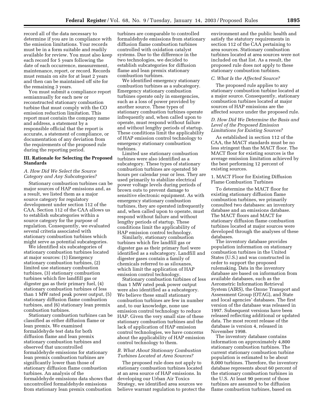record all of the data necessary to determine if you are in compliance with the emission limitations. Your records must be in a form suitable and readily available for review. You must also keep each record for 5 years following the date of each occurrence, measurement, maintenance, report, or record. Records must remain on site for at least 2 years and then can be maintained off site for the remaining 3 years.

You must submit a compliance report semiannually for each new or reconstructed stationary combustion turbine that must comply with the CO emission reduction limitation. This report must contain the company name and address, a statement by a responsible official that the report is accurate, a statement of compliance, or documentation of any deviation from the requirements of the proposed rule during the reporting period.

## **III. Rationale for Selecting the Proposed Standards**

## *A. How Did We Select the Source Category and Any Subcategories?*

Stationary combustion turbines can be major sources of HAP emissions and, as a result, we listed them as a major source category for regulatory development under section 112 of the CAA. Section 112 of the CAA allows us to establish subcategories within a source category for the purpose of regulation. Consequently, we evaluated several criteria associated with stationary combustion turbines which might serve as potential subcategories.

We identified six subcategories of stationary combustion turbines located at major sources: (1) Emergency stationary combustion turbines, (2) limited use stationary combustion turbines, (3) stationary combustion turbines which fire landfill gas or digester gas as their primary fuel, (4) stationary combustion turbines of less than 1 MW rated peak power output, (5) stationary diffusion flame combustion turbines, and (6) stationary lean premix combustion turbines.

Stationary combustion turbines can be classified as either diffusion flame or lean premix. We examined formaldehyde test data for both diffusion flame and lean premix stationary combustion turbines and observed that uncontrolled formaldehyde emissions for stationary lean premix combustion turbines are significantly lower than those of stationary diffusion flame combustion turbines. An analysis of the formaldehyde emissions data shows that uncontrolled formaldehyde emissions from stationary lean premix combustion

turbines are comparable to controlled formaldehyde emissions from stationary diffusion flame combustion turbines controlled with oxidation catalyst systems. Due to the difference in the two technologies, we decided to establish subcategories for diffusion flame and lean premix stationary combustion turbines.

We identified emergency stationary combustion turbines as a subcategory. Emergency stationary combustion turbines operate only in emergencies, such as a loss of power provided by another source. These types of stationary combustion turbines operate infrequently and, when called upon to operate, must respond without failure and without lengthy periods of startup. These conditions limit the applicability of HAP emission control technology to emergency stationary combustion turbines.

Limited use stationary combustion turbines were also identified as a subcategory. These types of stationary combustion turbines are operated 50 hours per calendar year or less. They are used primarily to stabilize electrical power voltage levels during periods of brown outs to prevent damage to sensitive electronic equipment. As with emergency stationary combustion turbines, they are operated infrequently and, when called upon to operate, must respond without failure and without lengthy periods of startup. These conditions limit the applicability of HAP emission control technology.

Similarly, stationary combustion turbines which fire landfill gas or digester gas as their primary fuel were identified as a subcategory. Landfill and digester gases contain a family of chemicals referred to as siloxanes, which limit the application of HAP emission control technology.

Stationary combustion turbines of less than 1 MW rated peak power output were also identified as a subcategory. We believe these small stationary combustion turbines are few in number and, to our knowledge, none use emission control technology to reduce HAP. Given the very small size of these stationary combustion turbines and the lack of application of HAP emission control technologies, we have concerns about the applicability of HAP emission control technology to them.

#### *B. What About Stationary Combustion Turbines Located at Area Sources?*

The proposed rule does not apply to stationary combustion turbines located at an area source of HAP emissions. In developing our Urban Air Toxics Strategy, we identified area sources we believe warrant regulation to protect the

environment and the public health and satisfy the statutory requirements in section 112 of the CAA pertaining to area sources. Stationary combustion turbines located at area sources were not included on that list. As a result, the proposed rule does not apply to these stationary combustion turbines.

#### *C. What Is the Affected Source?*

The proposed rule applies to any stationary combustion turbine located at a major source. Consequently, stationary combustion turbines located at major sources of HAP emissions are the affected source under the proposed rule.

## *D. How Did We Determine the Basis and Level of the Proposed Emission Limitations for Existing Sources?*

As established in section 112 of the CAA, the MACT standards must be no less stringent than the MACT floor. The MACT floor for existing sources is the average emission limitation achieved by the best performing 12 percent of existing sources.

1. MACT Floor for Existing Diffusion Flame Combustion Turbines

To determine the MACT floor for existing stationary diffusion flame combustion turbines, we primarily consulted two databases: an inventory database and an emissions database. The MACT floors and MACT for stationary diffusion flame combustion turbines located at major sources were developed through the analyses of these databases.

The inventory database provides population information on stationary combustion turbines in the United States (U.S.) and was constructed in order to support the proposed rulemaking. Data in the inventory database are based on information from available databases, such as the Aerometric Information Retrieval System (AIRS), the Ozone Transport and Assessment Group (OTAG), and State and local agencies' databases. The first version of the database was released in 1997. Subsequent versions have been released reflecting additional or updated data. The most recent release of the database is version 4, released in November 1998.

The inventory database contains information on approximately 4,800 stationary combustion turbines. The current stationary combustion turbine population is estimated to be about 8,000 turbines. Therefore, the inventory database represents about 60 percent of the stationary combustion turbines in the U.S. At least 90 percent of those turbines are assumed to be diffusion flame combustion turbines, based on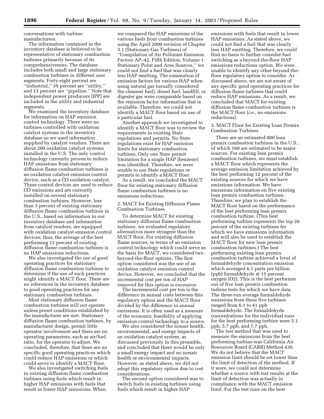conversations with turbine manufacturers.

The information contained in the inventory database is believed to be representative of stationary combustion turbines primarily because of its comprehensiveness. The database includes both small and large stationary combustion turbines in different user segments. Forty-eight percent are ''industrial,'' 39 percent are ''utility,'' and 13 percent are ''pipeline.'' Note that independent power producers (IPP) are included in the utility and industrial segments.

We examined the inventory database for information on HAP emission control technology. There were no turbines controlled with oxidation catalyst systems in the inventory database so we used information supplied by catalyst vendors. There are about 200 oxidation catalyst systems installed in the U.S. The only control technology currently proven to reduce HAP emissions from stationary diffusion flame combustion turbines is an oxidation catalyst emission control device, such as a CO oxidation catalyst. These control devices are used to reduce CO emissions and are currently installed on several stationary combustion turbines. However, less than 3 percent of existing stationary diffusion flame combustion turbines in the U.S., based on information in our inventory database and information from catalyst vendors, are equipped with oxidation catalyst emission control devices; thus, the average of the best performing 12 percent of existing diffusion flame combustion turbines is no HAP emissions reductions.

We also investigated the use of good operating practices for stationary diffusion flame combustion turbines to determine if the use of such practices might identify a MACT floor. There are no references in the inventory database to good operating practices for any stationary combustion turbines.

Most stationary diffusion flame combustion turbines will not operate unless preset conditions established by the manufacturer are met. Stationary diffusion flame combustion turbines, by manufacturer design, permit little operator involvement and there are no operating parameters, such as air/fuel ratio, for the operator to adjust. We concluded, therefore, that there are no specific good operating practices which could reduce HAP emissions or which could serve to identify a MACT floor.

We also investigated switching fuels in existing diffusion flame combustion turbines using fuels which result in higher HAP emissions with fuels that result in lower HAP emissions. When

we compared the HAP emissions of the various fuels from combustion turbines using the April 2000 revision of Chapter 3.1 (Stationary Gas Turbines) of ''Compilation of Air Pollutant Emission Factors AP–42, Fifth Edition, Volume 1: Stationary Point and Area Sources,'' we could not find a fuel that was clearly less HAP emitting. The summation of emission factors for various HAP when using natural gas (usually considered the cleanest fuel), diesel fuel, landfill, or digester gas were comparable based on the emission factor information that is available. Therefore, we could not identify a MACT floor based on use of a particular fuel.

Another approach we investigated to identify a MACT floor was to review the requirements in existing State regulations and permits. No State regulations exist for HAP emission limits for stationary combustion turbines. Only one State permit limitation for a single HAP (benzene) was identified. Therefore, we were unable to use State regulations or permits to identify a MACT floor.

As a result, we concluded the MACT floor for existing stationary diffusion flame combustion turbines is no emissions reductions.

## 2. MACT for Existing Diffusion Flame Combustion Turbines

To determine MACT for existing stationary diffusion flame combustion turbines, we evaluated regulatory alternatives more stringent than the MACT floor. For existing diffusion flame sources, in terms of an emission control technology which could serve as the basis for MACT, we considered two beyond-the-floor options. The first option considered was the use of an oxidation catalyst emission control device. However, we concluded that the incremental cost per ton of HAP removed for this option is excessive.

The incremental cost per ton is the difference in annual costs between this regulatory option and the MACT floor divided by the difference in annual emissions. It is often used as a measure of the economic feasibility of applying emission control technology to a source.

We also considered the nonair health, environmental, and energy impacts of an oxidation catalyst system, as discussed previously in this preamble, and concluded that there would be only a small energy impact and no nonair health or environmental impacts. However, as stated above, we did not adopt this regulatory option due to cost considerations.

The second option considered was to switch fuels in existing turbines using fuels which result in higher HAP

emissions with fuels that result in lower HAP emissions. As stated above, we could not find a fuel that was clearly less HAP emitting. Therefore, we could find no basis to further consider fuel switching as a beyond-the-floor HAP emissions reductions option. We were unable to identify any other beyond-thefloor regulatory option to consider. As discussed above, we are not aware of any specific good operating practices for diffusion flame turbines that could reduce HAP emissions. As a result, we concluded that MACT for existing diffusion flame combustion turbines is the MACT floor (*i.e.*, no emissions reductions).

3. MACT Floor for Existing Lean Premix Combustion Turbines

There are an estimated 800 lean premix combustion turbines in the U.S., of which 160 are estimated to be major sources. For existing lean premix combustion turbines, we must establish a MACT floor which represents the average emission limitation achieved by the best performing 12 percent of the existing sources for which we have emissions information. We have emissions information on five existing lean premix combustion turbines. Therefore, we plan to establish the MACT floor based on the performance of the best performing lean premix combustion turbine. (This best performing turbine represents the top 20 percent of the existing turbines for which we have emissions information and will also be used to establish the MACT floor for new lean premix combustion turbines.) The best performing existing lean premix combustion turbine achieved a level of formaldehyde concentration emission which averaged 6.1 parts per billion (ppb) formaldehyde at 15 percent oxygen (O2). This is the best performer out of five lean premix combustion turbine tests for which we have data. The three-run average formaldehyde emissions from these five turbines ranged from 6.1 to 41 ppb formaldehyde. The formaldehyde concentrations for the individual runs for the best performing turbine were 5.1 ppb, 5.7 ppb, and 7.7 ppb.

The test method that was used to measure the emissions from the best performing turbine was California Air Resources Board (CARB) Method 430. We do not believe that the MACT emission limit should be set lower than the limit of detection of the method. If it were, we could not determine whether a source with test results at the limit of detection was actually in compliance with the MACT emission limit. For the test runs on the best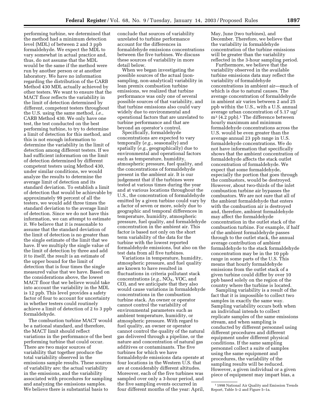performing turbine, we determined that the method had a minimum detection level (MDL) of between 2 and 3 ppb formaldehyde. We expect the MDL to vary somewhat in actual practice and, thus, do not assume that the MDL would be the same if the method were run by another person or at another laboratory. We have no information regarding the distribution of the CARB Method 430 MDL actually achieved by other testers. We want to ensure that the MACT floor reflects the variability in the limit of detection determined by different, competent testers throughout the U.S. using the same method, *i.e.*, CARB Method 430. We only have one test, the test conducted on the best performing turbine, to try to determine a limit of detection for this method, and this is not enough information to determine the variability in the limit of detection among different testers. If we had sufficient information on the limit of detection determined by different competent testers using Method 430, under similar conditions, we would analyze the results to determine the average limit of detection and its standard deviation. To establish a limit of detection that would be achievable by approximately 99 percent of all the testers, we would add three times the standard deviation to the average limit of detection. Since we do not have this information, we can attempt to estimate it. We believe that it is reasonable to assume that the standard deviation of the limit of detection is no greater than the single estimate of the limit that we have. If we multiply the single value of the limit of detection by three and add it to itself, the result is an estimate of the upper bound for the limit of detection that is four times the single measured value that we have. Based on the considerations above, the lowest MACT floor that we believe would take into account the variability in the MDL is 12 ppb. This level provides a safety factor of four to account for uncertainty in whether testers could routinely achieve a limit of detection of 2 to 3 ppb formaldehyde.

The combustion turbine MACT would be a national standard, and therefore, the MACT limit should reflect variations in the performance of the best performing turbine that could occur. There are two major sources of variability that together produce the total variability observed in the emissions sample results. These sources of variability are: the actual variability in the emissions, and the variability associated with procedures for sampling and analyzing the emissions samples. We believe there is substantial basis to

conclude that sources of variability unrelated to turbine performance account for the differences in formaldehyde emissions concentrations between the five turbines. We discuss these sources of variability in more detail below.

When we began investigating the possible sources of the actual (nonsampling, non-analytical) variability in lean premix combustion turbine emissions, we realized that turbine performance was only one of several possible sources of that variability, and that turbine emissions also could vary widely due to environmental and operational factors that are unrelated to turbine performance and that are beyond an operator's control.

Specifically, formaldehyde concentrations are expected to vary temporally (*e.g.*, seasonally) and spatially (*e.g.*, geographically) due to environmental and operational factors such as temperature, humidity, atmospheric pressure, fuel quality, and the concentrations of formaldehyde present in the ambient air. It is our judgement that if the turbines were tested at various times during the year and at various locations throughout the U.S., the concentration of formaldehyde emitted by a given turbine could vary by a factor of seven or more, solely due to geographic and temporal differences in temperature, humidity, atmospheric pressure, fuel quality, and formaldehyde concentration in the ambient air. This factor is based not only on the short term variability of the data for the turbine with the lowest reported formaldehyde emissions, but also on the test data from all five turbines.

Variations in temperature, humidity, atmospheric pressure, and fuel quality are known to have resulted in fluctuations in criteria pollutant stack concentrations  $(e.g., NO<sub>X</sub>, VOC, and$ CO), and we anticipate that they also would cause variations in formaldehyde concentrations in the combustion turbine stack. An owner or operator cannot control the variability of environmental parameters such as ambient temperature, humidity, or atmospheric pressure. With regard to fuel quality, an owner or operator cannot control the quality of the natural gas delivered through a pipeline, or the nature and concentration of natural gas additives or contaminants. The five turbines for which we have formaldehyde emissions data operate at four locations in the Western U.S. that are at considerably different altitudes. Moreover, each of the five turbines was sampled over only a 3-hour period, and the five sampling events occurred in four different months of the year: April,

May, June (two turbines), and December. Therefore, we believe that the variability in formaldehyde concentration of the turbine emissions will be greater than the variability reflected in the 3-hour sampling period.

Furthermore, we believe that the variability observed in the available turbine emissions data may reflect the variability of formaldehyde concentrations in ambient air—much of which is due to natural causes. The average concentration of formaldehyde in ambient air varies between 2 and 25 ppb within the U.S., with a U.S. annual average urban concentration of 5.17 ug/  $m^3$  (4.2 ppb).<sup>1</sup> The difference between hourly maximum and minimum formaldehyde concentrations across the U.S. would be even greater than the average annual 23 ppb range in U.S. formaldehyde concentrations. We do not have information that specifically shows that the ambient concentration of formaldehyde affects the stack outlet concentration of formaldehyde. We expect that some formaldehyde, especially the portion that goes through the combustors, would be destroyed. However, about two-thirds of the inlet combustion turbine air bypasses the combustors. We are not sure that all of the ambient formaldehyde that enters with the combustion air is destroyed and, therefore, ambient formaldehyde may affect the formaldehyde concentration in the outlet stack of the combustion turbine. For example, if half of the ambient formaldehyde passes through to the outlet stack, the annual average contribution of ambient formaldehyde to the stack formaldehyde concentration may be in the 10 ppb range in some parts of the U.S. This means that hourly formaldehyde emissions from the outlet stack of a given turbine could differ by over 10 ppb based solely on the region of the country where the turbine is located.

Sampling variability is a result of the fact that it is impossible to collect two samples in exactly the same way. Sampling variability occurs both when an individual intends to collect replicate samples of the same emissions stream, and when sampling is conducted by different personnel using different procedures and different equipment under different physical conditions. If the same sampling personnel collect a suite of samples using the same equipment and procedures, the variability of the sampling results will be reduced. However, a given individual or a given piece of equipment may impart bias, a

<sup>1</sup> 1998 National Air Quality and Emission Trends Report, Table 5–2 and Figure 5–1a.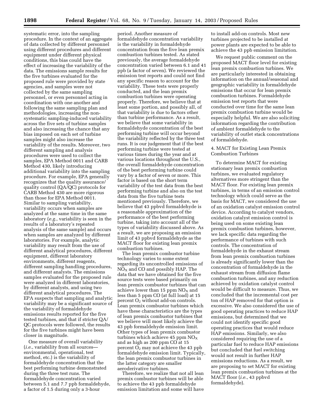systematic error, into the sampling procedure. In the context of an aggregate of data collected by different personnel using different procedures and different equipment under different physical conditions, this bias could have the effect of increasing the variability of the data. The emissions sample results for the five turbines evaluated for the proposed rule were provided by state agencies, and samples were not collected by the same sampling personnel, or even personnel acting in coordination with one another and following the same sampling plan and methodologies, increasing the nonsystematic sampling-induced variability across the five sets of turbine samples and also increasing the chance that any bias imposed on each set of turbine samples might also increase the variability of the results. Moreover, two different sampling and analysis procedures were used to collect the samples, EPA Method 0011 and CARB Method 430, likely introducing additional variability into the sampling procedure. For example, EPA generally recognizes that the quality assurance/ quality control (QA/QC) protocols for CARB Method 430 are more rigorous than those for EPA Method 0011. Similar to sampling variability, variability occurs when samples are analyzed at the same time in the same laboratory (*e.g.*, variability is seen in the results of a laboratory's repeated analysis of the same sample) and occurs when samples are analyzed by different laboratories. For example, analytic variability may result from the use of different analytical procedures, different equipment, different laboratory environments, different reagents, different sampling handling procedures, and different analysts. The emissions samples evaluated for the proposed rule were analyzed in different laboratories, by different analysts, and using two different analytical procedures. The EPA suspects that sampling and analytic variability may be a significant source of the variability of formaldehyde emissions results reported for the five tested turbines, and that if stricter QA/ QC protocols were followed, the results for the five turbines might have been closer in magnitude.

One measure of overall variability (*i.e.*, variability from all sources environmental, operational, test method, etc.) is the variability of formaldehyde concentration that the best performing turbine demonstrated during the three test runs. The formaldehyde concentration varied between 5.1 and 7.7 ppb formaldehyde, a factor of 1.5 during only a 3-hour

period. Another measure of formaldehyde concentration variability is the variability in formaldehyde concentration from the five lean premix combustion turbines tested. As stated previously, the average formaldehyde concentration varied between 6.1 and 41 ppb (a factor of seven). We reviewed the emission test reports and could not find any specific reason to account for the variability. These tests were properly conducted, and the lean premix combustion turbines were operating properly. Therefore, we believe that at least some portion, and possibly all, of that variability is due to factors other than turbine performance. As a result, we believe that some variability in formaldehyde concentration of the best performing turbine will occur beyond the variability reflected by the three test runs. It is our judgement that if the best performing turbine were tested at various times during the year and at various locations throughout the U.S., the overall formaldehyde concentration of the best performing turbine could vary by a factor of seven or more. This factor is based on the short term variability of the test data from the best performing turbine and also on the test data from the five turbine tests mentioned previously. Therefore, we believe that 43 ppbvd formaldehyde is a reasonable approximation of the performance of the best performing turbine, taking into account all of the types of variability discussed above. As a result, we are proposing an emission limit of 43 ppbvd formaldehyde as the MACT floor for existing lean premix combustion turbines.

The lean premix combustor turbine technology varies to some extent regarding its uncontrolled emissions of  $NO<sub>X</sub>$  and CO and possibly HAP. The data that we have obtained for the five source tests were based primarily on lean premix combustor turbines that can achieve lower than 15 ppm  $NO<sub>X</sub>$  and less than 5 ppm CO (at full load) at 15 percent O<sub>2</sub> without add-on controls. Lean premix combustor turbines which have these characteristics are the types of lean premix combustor turbines that we believe will most likely achieve the 43 ppb formaldehyde emission limit. Other types of lean premix combustor turbines which achieve 45 ppm  $NO<sub>x</sub>$ and as high as 200 ppm CO at 15 percent  $O_2$  may not achieve the 43 ppb formaldehyde emission limit. Typically, the lean premix combustor turbines in the latter category are smaller aeroderivative turbines.

Therefore, we realize that not all lean premix combustor turbines will be able to achieve the 43 ppb formaldehyde emission limitation and some will have

to install add-on controls. Most new turbines projected to be installed at power plants are expected to be able to achieve the 43 ppb emission limitation.

We request public comment on the proposed MACT floor level for existing lean premix combustion turbines. We are particularly interested in obtaining information on the annual/seasonal and geographic variability in formaldehyde emissions that occur for lean premix combustion turbines. Formaldehyde emission test reports that were conducted over time for the same lean premix combustion turbine would be especially helpful. We are also soliciting information regarding the contribution of ambient formaldehyde to the variability of outlet stack concentrations of formaldehyde.

## 4. MACT for Existing Lean Premix Combustion Turbines

To determine MACT for existing stationary lean premix combustion turbines, we evaluated regulatory alternatives more stringent than the MACT floor. For existing lean premix turbines, in terms of an emission control technology which could serve as the basis for MACT, we considered the use of an oxidation catalyst emission control device. According to catalyst vendors, oxidation catalyst emission control is being used on some existing lean premix combustion turbines, however, we lack specific data regarding the performance of turbines with such controls. The concentration of formaldehyde in the exhaust stream from lean premix combustion turbines is already significantly lower than the concentration of formaldehyde in the exhaust stream from diffusion flame combustion turbines, and any reduction achieved by oxidation catalyst control would be difficult to measure. Thus, we concluded that the incremental cost per ton of HAP removed for that option is excessive. We also considered the use of good operating practices to reduce HAP emissions, but determined that we could not identify specific good operating practices that would reduce HAP emissions. Similarly, we also considered requiring the use of a particular fuel to reduce HAP emissions but concluded that fuel switching would not result in further HAP emissions reductions. As a result, we are proposing to set MACT for existing lean premix combustion turbines at the MACT floor (*i.e.*, 43 ppbvd formaldehyde).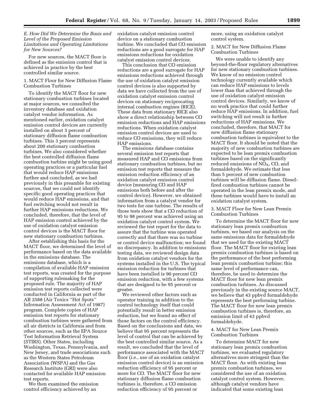## *E. How Did We Determine the Basis and Level of the Proposed Emission Limitations and Operating Limitations for New Sources?*

For new sources, the MACT floor is defined as the emission control that is achieved in practice by the best controlled similar source.

## 1. MACT Floor for New Diffusion Flame Combustion Turbines

To identify the MACT floor for new stationary combustion turbines located at major sources, we consulted the inventory database and oxidation catalyst vendor information. As mentioned earlier, oxidation catalyst emission control devices are currently installed on about 3 percent of stationary diffusion flame combustion turbines. This 3 percent represents about 200 stationary combustion turbines. We also considered whether the best controlled diffusion flame combustion turbine might be using good operating practices or a particular fuel that would reduce HAP emissions further and concluded, as we had previously in this preamble for existing sources, that we could not identify specific good operating practices that would reduce HAP emissions, and that fuel switching would not result in further HAP emissions reductions. We concluded, therefore, that the level of HAP emission control achieved by the use of oxidation catalyst emission control devices is the MACT floor for new stationary combustion turbines.

After establishing this basis for the MACT floor, we determined the level of performance based on the data available in the emissions database. The emissions database, which is a compilation of available HAP emission test reports, was created for the purpose of supporting rulemaking for the proposed rule. The majority of HAP emission test reports collected were conducted in California as part of the AB 2588 (Air Toxics ''Hot Spots'' Information Assessment Act of 1987) program. Complete copies of HAP emission test reports for stationary combustion turbines were gathered from all air districts in California and from other sources, such as the EPA Source Test Information Retrieval System (STIRS). Other States, including Washington, Texas, Pennsylvania, and New Jersey, and trade associations such as the Western States Petroleum Association (WSPA) and the Gas Research Institute (GRI) were also contacted for available HAP emission test reports.

We then examined the emission control efficiency achieved by an

oxidation catalyst emission control device on a stationary combustion turbine. We concluded that CO emission reductions are a good surrogate for HAP emissions reductions for oxidation catalyst emission control devices.

This conclusion that CO emission reductions are a good surrogate for HAP emissions reductions achieved through the use of oxidation catalyst emission control devices is also supported by data we have collected from the use of oxidation catalyst emission control devices on stationary reciprocating internal combustion engines (RICE). These data from stationary RICE also show a direct relationship between CO emission reductions and HAP emissions reductions. When oxidation catalyst emission control devices are used to reduce CO emissions, they will reduce HAP emissions.

The emissions database contains several emission test reports that measured HAP and CO emissions from stationary combustion turbines, but no emission test reports that measure the emission reduction efficiency of an oxidation catalyst emission control device (measuring CO and HAP emissions both before and after the control device). However, we obtained information from a catalyst vendor for two tests for one turbine. The results of those tests show that a CO reduction of 95 to 98 percent was achieved using an oxidation catalyst control system. We reviewed the test report for the data to assure that the turbine was operated correctly and that there was no turbine or control device malfunction; we found no discrepancy. In addition to emissions testing data, we reviewed design data from oxidation catalyst vendors for the systems installed in the U.S. The typical emission reduction for turbines that have been installed is 90 percent CO emission reduction, with a few systems that are designed to be 95 percent or greater.

We reviewed other factors such as operator training in addition to the control technology itself that could potentially result in better emission reduction, but we found no effect of those factors on the control efficiency. Based on the conclusions and data, we believe that 95 percent represents the level of control that can be achieved by the best controlled similar source. As a result, we concluded that the level of performance associated with the MACT floor (*i.e.*, use of an oxidation catalyst emission control device) is an emission reduction efficiency of 95 percent or more for CO. The MACT floor for new stationary diffusion flame combustion turbines is, therefore, a CO emission reduction efficiency of 95 percent or

more, using an oxidation catalyst control system.

2. MACT for New Diffusion Flame Combustion Turbines

We were unable to identify any beyond-the-floor regulatory alternatives for new stationary combustion turbines. We know of no emission control technology currently available which can reduce HAP emissions to levels lower than that achieved through the use of oxidation catalyst emission control devices. Similarly, we know of no work practice that could further reduce HAP emissions. In addition, fuel switching will not result in further reductions of HAP emissions. We concluded, therefore, that MACT for new diffusion flame stationary combustion turbines is equivalent to the MACT floor. It should be noted that the majority of new combustion turbines are expected to be lean premix combustion turbines based on the significantly reduced emissions of  $NO<sub>X</sub>$ , CO, and formaldehyde. We estimate that less than 5 percent of new combustion turbines will be diffusion flame. Dieselfired combustion turbines cannot be operated in the lean premix mode, and these turbines would have to install an oxidation catalyst system.

## 3. MACT Floor for New Lean Premix Combustion Turbines

To determine the MACT floor for new stationary lean premix combustion turbines, we based our analysis on the same emissions data for formaldehyde that we used for the existing MACT floor. The MACT floor for existing lean premix combustion turbines is based on the performance of the best performing lean premix combustion turbine; this same level of performance can, therefore, be used to determine the MACT floor for new lean premix combustion turbines. As discussed previously in the existing source MACT, we believe that 43 ppbvd formaldehyde represents the best performing turbine. The MACT floor for new lean premix combustion turbines is, therefore, an emission limit of 43 ppbvd formaldehyde.

## 4. MACT for New Lean Premix Combustion Turbines

To determine MACT for new stationary lean premix combustion turbines, we evaluated regulatory alternatives more stringent than the MACT floor. As with existing lean premix combustion turbines, we considered the use of an oxidation catalyst control system. However, although catalyst vendors have indicated that some existing lean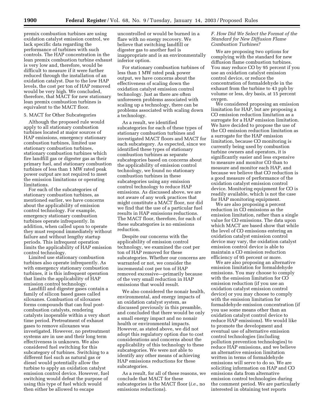premix combustion turbines are using oxidation catalyst emission control, we lack specific data regarding the performance of turbines with such controls. The HAP concentration in the lean premix combustion turbine exhaust is very low and, therefore, would be difficult to measure if it were further reduced through the installation of an oxidation catalyst. Due to the low HAP levels, the cost per ton of HAP removed would be very high. We concluded, therefore, that MACT for new stationary lean premix combustion turbines is equivalent to the MACT floor.

### 5. MACT for Other Subcategories

Although the proposed rule would apply to all stationary combustion turbines located at major sources of HAP emissions, emergency stationary combustion turbines, limited use stationary combustion turbines, stationary combustion turbines which fire landfill gas or digester gas as their primary fuel, and stationary combustion turbines of less than 1 MW rated peak power output are not required to meet the emission limitations or operating limitations.

For each of the subcategories of stationary combustion turbines, as mentioned earlier, we have concerns about the applicability of emission control technology. For example, emergency stationary combustion turbines operate infrequently. In addition, when called upon to operate they must respond immediately without failure and without lengthy startup periods. This infrequent operation limits the applicability of HAP emission control technology.

Limited use stationary combustion turbines also operate infrequently. As with emergency stationary combustion turbines, it is this infrequent operation that limits the applicability of HAP emission control technology.

Landfill and digester gases contain a family of silicon based gases called siloxanes. Combustion of siloxanes forms compounds that can foul postcombustion catalysts, rendering catalysts inoperable within a very short time period. Pretreatment of exhaust gases to remove siloxanes was investigated. However, no pretreatment systems are in use and their long term effectiveness is unknown. We also considered fuel switching for this subcategory of turbines. Switching to a different fuel such as natural gas or diesel would potentially allow the turbine to apply an oxidation catalyst emission control device. However, fuel switching would defeat the purpose of using this type of fuel which would then either be allowed to escape

uncontrolled or would be burned in a flare with no energy recovery. We believe that switching landfill or digester gas to another fuel is inappropriate and is an environmentally inferior option.

For stationary combustion turbines of less than 1 MW rated peak power output, we have concerns about the effectiveness of scaling down the oxidation catalyst emission control technology. Just as there are often unforeseen problems associated with scaling up a technology, there can be problems associated with scaling down a technology.

As a result, we identified subcategories for each of these types of stationary combustion turbines and investigated MACT floors and MACT for each subcategory. As expected, since we identified these types of stationary combustion turbines as separate subcategories based on concerns about the applicability of emission control technology, we found no stationary combustion turbines in these subcategories using any emission control technology to reduce HAP emissions. As discussed above, we are not aware of any work practices that might constitute a MACT floor, nor did we find that the use of a particular fuel results in HAP emissions reductions. The MACT floor, therefore, for each of these subcategories is no emissions reduction.

Despite our concerns with the applicability of emission control technology, we examined the cost per ton of HAP removed for these subcategories. Whether our concerns are warranted or not, we consider the incremental cost per ton of HAP removed excessive—primarily because of the very small reduction in HAP emissions that would result.

We also considered the nonair health, environmental, and energy impacts of an oxidation catalyst system, as discussed previously in this preamble, and concluded that there would be only a small energy impact and no nonair health or environmental impacts. However, as stated above, we did not adopt this regulatory option due to cost considerations and concerns about the applicability of this technology to these subcategories. We were not able to identify any other means of achieving HAP emissions reductions for these subcategories.

As a result, for all of these reasons, we conclude that MACT for these subcategories is the MACT floor (*i.e.*, no emissions reductions).

## *F. How Did We Select the Format of the Standard for New Diffusion Flame Combustion Turbines?*

We are proposing two options for complying with the standard for new diffusion flame combustion turbines. You may reduce CO by 95 percent if you use an oxidation catalyst emission control device, or reduce the concentration of formaldehyde in the exhaust from the turbine to 43 ppb by volume or less, dry basis, at 15 percent oxygen.

We considered proposing an emission limitation for HAP, but are proposing a CO emission reduction limitation as a surrogate for a HAP emission limitation. We have decided to propose the use of the CO emission reduction limitation as a surrogate for the HAP emission limitation, because CO monitoring is currently being used by combustion turbine owners and operators, it is significantly easier and less expensive to measure and monitor CO than to measure and monitor each HAP, and because we believe that CO reduction is a good measure of performance of the oxidation catalyst emission control device. Monitoring equipment for CO is readily available, which is not the case for HAP monitoring equipment.

We are also proposing a percent reduction in CO emissions as the emission limitation, rather than a single value for CO emissions. The data upon which MACT are based show that while the level of CO emissions entering an oxidation catalyst emission control device may vary, the oxidation catalyst emission control device is able to maintain a CO emission reduction efficiency of 95 percent or more.

We are also proposing an alternative emission limitation for formaldehyde emissions. You may choose to comply with the emission limitation for CO emission reduction (if you use an oxidation catalyst emission control device) or you may choose to comply with the emission limitation for formaldehyde emission concentration (if you use some means other than an oxidation catalyst control device to reduce HAP emissions). We would like to promote the development and eventual use of alternative emission control technologies (including pollution prevention technologies) to reduce HAP emissions, and we believe an alternative emission limitation written in terms of formaldehyde emissions will serve to do so. We are soliciting information on HAP and CO emissions data from alternative emission control technologies during the comment period. We are particularly interested in obtaining test reports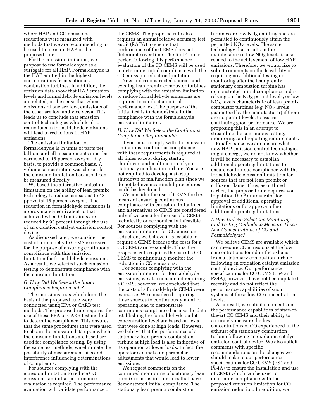where HAP and CO emissions reductions were measured with methods that we are recommending to be used to measure HAP in the proposed rule.

For the emission limitation, we propose to use formaldehyde as a surrogate for all HAP. Formaldehyde is the HAP emitted in the highest concentrations from stationary combustion turbines. In addition, the emission data show that HAP emission levels and formaldehyde emission levels are related, in the sense that when emissions of one are low, emissions of the other are low and vice versa. This leads us to conclude that emission control technologies which lead to reductions in formaldehyde emissions will lead to reductions in HAP emissions.

The emission limitation for formaldehyde is in units of parts per billion, and all measurements must be corrected to 15 percent oxygen, dry basis, to provide a common basis. A volume concentration was chosen for the emission limitation because it can be measured directly.

We based the alternative emission limitation on the ability of lean premix technology to reduce emissions to 43 ppbvd (at 15 percent oxygen). The reduction in formaldehyde emissions is approximately equivalent to that achieved when CO emissions are reduced by 95 percent through the use of an oxidation catalyst emission control device.

As discussed later, we consider the cost of formaldehyde CEMS excessive for the purpose of ensuring continuous compliance with this emission limitation for formaldehyde emissions. As a result, we selected stack emission testing to demonstrate compliance with the emission limitation.

## *G. How Did We Select the Initial Compliance Requirements?*

The emissions tests which form the basis of the proposed rule were conducted using EPA or CARB test methods. The proposed rule requires the use of these EPA or CARB test methods to determine compliance. This ensures that the same procedures that were used to obtain the emission data upon which the emission limitations are based are used for compliance testing. By using the same test methods, we eliminate the possibility of measurement bias and interference influencing determinations of compliance.

For sources complying with the emission limitation to reduce CO emissions, an initial performance evaluation is required. The performance evaluation will validate performance of

the CEMS. The proposed rule also requires an annual relative accuracy test audit (RATA) to ensure that performance of the CEMS does not deteriorate over time. The first 4-hour period following this performance evaluation of the CO CEMS will be used to determine initial compliance with the CO emission reduction limitation.

New and reconstructed sources and existing lean premix combustor turbines complying with the emission limitation to reduce formaldehyde emissions are required to conduct an initial performance test. The purpose of the initial test is to demonstrate initial compliance with the formaldehyde emission limitation.

## *H. How Did We Select the Continuous Compliance Requirements?*

If you must comply with the emission limitations, continuous compliance with these requirements is required at all times except during startup, shutdown, and malfunction of your stationary combustion turbine. You are not required to develop a startup, shutdown or malfunction plan since we do not believe meaningful procedures could be developed.

We consider the use of CEMS the best means of ensuring continuous compliance with emission limitations, and alternatives to CEMS are considered only if we consider the use of a CEMS technically or economically infeasible. For sources complying with the emission limitation for CO emission reduction, we believe it is feasible to require a CEMS because the costs for a CO CEMS are reasonable. Thus, the proposed rule requires the use of a CO CEMS to continuously monitor the reduction in CO emissions.

For sources complying with the emission limitation for formaldehyde emissions, we also considered requiring a CEMS; however, we concluded that the costs of a formaldehyde CEMS were excessive. We considered requiring those sources to continuously monitor operating load to demonstrate continuous compliance because the data establishing the formaldehyde outlet concentration level are based on tests that were done at high loads. However, we believe that the performance of a stationary lean premix combustion turbine at high load is also indicative of its operation at lower loads. In fact, the operator can make no parameter adjustments that would lead to lower emissions.

We request comments on the continued monitoring of stationary lean premix combustion turbines that have demonstrated initial compliance. The stationary lean premix combustion

turbines are low  $NO<sub>x</sub>$  emitting and are permitted to continuously attain the permitted  $NO<sub>x</sub>$  levels. The same technology that results in the maintenance of low  $NO<sub>X</sub>$  levels is also related to the achievement of low HAP emissions. Therefore, we would like to solicit comments on the feasibility of requiring no additional testing or monitoring after the lean premix stationary combustion turbine has demonstrated initial compliance and is relying on the  $NO<sub>x</sub>$  permit levels, or low  $NO<sub>x</sub>$  levels characteristic of lean premix combustor turbines (e.g. NO<sub>X</sub> levels guaranteed by the manufacturer) if there are no permit levels, to assure continuing good performance. We are proposing this in an attempt to streamline the continuous testing, monitoring, and reporting requirements.

Finally, since we are unsure what new HAP emission control technologies might emerge, we do not know whether it will be necessary to establish additional operating limitations to ensure continuous compliance with the formaldehyde emission limitation for sources that are not lean premix or diffusion flame. Thus, as outlined earlier, the proposed rule requires you to petition the Administrator for approval of additional operating limitations or for approval of no additional operating limitations.

## *I. How Did We Select the Monitoring and Testing Methods to Measure These Low Concentrations of CO and Formaldehyde?*

We believe CEMS are available which can measure CO emissions at the low concentrations found in the exhaust from a stationary combustion turbine following an oxidation catalyst emission control device. Our performance specifications for CO CEMS (PS4 and PS4A), however, have not been updated recently and do not reflect the performance capabilities of such systems at these low CO concentration levels.

As a result, we solicit comments on the performance capabilities of state-ofthe-art CO CEMS and their ability to accurately measure the low concentrations of CO experienced in the exhaust of a stationary combustion turbine following an oxidation catalyst emission control device. We also solicit comments with specific recommendations on the changes we should make to our performance specifications for CO CEMS (PS4 and PS4A) to ensure the installation and use of CEMS which can be used to determine compliance with the proposed emission limitation for CO emission reduction. In addition, we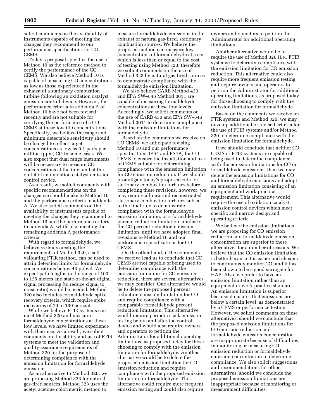solicit comments on the availability of instruments capable of meeting the changes they recommend to our performance specifications for CO CEMS.

Today's proposal specifies the use of Method 10 as the reference method to certify the performance of the CO CEMS. We also believe Method 10 is capable of measuring CO concentrations as low as those experienced in the exhaust of a stationary combustion turbine following an oxidation catalyst emission control device. However, the performance criteria in addenda A of Method 10 have not been revised recently and are not suitable for certifying the performance of a CO CEMS at these low CO concentrations. Specifically, we believe the range and minimum detectable sensitivity should be changed to reflect target concentrations as low as 0.1 parts per million (ppm) CO in some cases. We also expect that dual range instruments will be necessary to measure CO concentrations at the inlet and at the outlet of an oxidation catalyst emission control device.

As a result, we solicit comments with specific recommendations on the changes we should make to Method 10 and the performance criteria in addenda A. We also solicit comments on the availability of instruments capable of meeting the changes they recommend to Method 10 and the performance criteria in addenda A, while also meeting the remaining addenda A performance criteria.

With regard to formaldehyde, we believe systems meeting the requirements of Method 320, a selfvalidating FTIR method, can be used to attain detection limits for formaldehyde concentrations below 43 ppbvd. We expect path lengths in the range of 100 to 125 meters and state-of-the-art digital signal processing (to reduce signal to noise ratio) would be needed. Method 320 also includes formaldehyde spike recovery criteria, which require spike recoveries of 70 to 130 percent.

While we believe FTIR systems can meet Method 320 and measure formaldehyde concentrations at these low levels, we have limited experience with their use. As a result, we solicit comments on the ability and use of FTIR systems to meet the validation and quality assurance requirements of Method 320 for the purpose of determining compliance with the emission limitation for formaldehyde emissions.

As an alternative to Method 320, we are proposing Method 323 for natural gas-fired sources. Method 323 uses the acetyl acetone colorimetric method to

measure formaldehyde emissions in the exhaust of natural gas-fired, stationary combustion sources. We believe the proposed method can measure low concentrations of formaldehyde at a cost which is less than or equal to the cost of testing using Method 320; therefore, we solicit comments on the use of Method 323 by natural gas-fired sources to demonstrate compliance with the formaldehyde emission limitation.

We also believe CARB Method 430 and EPA SW–846 Method 0011 are capable of measuring formaldehyde concentrations at these low levels. Accordingly, we solicit comments on the use of CARB 430 and EPA SW–846 Method 0011 to determine compliance with the emission limitations for formaldehyde.

Based on the comments we receive on CO CEMS, we anticipate revising Method 10 and our performance specifications (PS4 and PS4A) for CO CEMS to ensure the installation and use of CEMS suitable for determining compliance with the emission limitation for CO emission reduction. If we should promulgate today's proposed rule for stationary combustion turbines before completing these revisions, however, we may require all new and reconstructed stationary combustion turbines subject to the final rule to demonstrate compliance with the formaldehyde emission limitation, or a formaldehyde percent reduction limitation similar to the CO percent reduction emission limitation, until we have adopted final revisions to Method 10 and our performance specifications for CO CEMS.

On the other hand, if the comments we receive lead us to conclude that CO CEMS are not capable of being used to determine compliance with the emission limitation for CO emission reduction, there are several alternatives we may consider. One alternative would be to delete the proposed percent reduction emission limitation for CO and require compliance with a comparable formaldehyde percent reduction limitation. This alternative would require periodic stack emission testing before and after the control device and would also require owners and operators to petition the Administrator for additional operating limitations, as proposed today for those choosing to comply with the emission limitation for formaldehyde. Another alternative would be to delete the proposed emission limitation for CO emission reduction and require compliance with the proposed emission limitation for formaldehyde. This alternative could require more frequent emission testing and could also require

owners and operators to petition the Administrator for additional operating limitations.

Another alternative would be to require the use of Method 320 (*i.e.*, FTIR systems) to determine compliance with the emission limitation for CO emission reduction. This alternative could also require more frequent emission testing and require owners and operators to petition the Administrator for additional operating limitations, as proposed today for those choosing to comply with the emission limitation for formaldehyde.

Based on the comments we receive on FTIR systems and Method 320, we may develop additional or revised criteria for the use of FTIR systems and/or Method 320 to determine compliance with the emission limitation for formaldehyde.

If we should conclude that neither CO CEMS or FTIR systems are capable of being used to determine compliance with the emission limitations for CO or formaldehyde emissions, then we may delete the emission limitations for CO and formaldehyde emissions and adopt an emission limitation consisting of an equipment and work practice requirement. This alternative would require the use of oxidation catalyst emission control devices which meet specific and narrow design and operating criteria.

We believe the emission limitations we are proposing for CO emission reduction and formaldehyde emission concentration are superior to these alternatives for a number of reasons. We believe that the CO emission limitation is better because it is easier and cheaper to continuously monitor CO, and it has been shown to be a good surrogate for HAP. Also, we prefer to have an emission limitation rather than an equipment or work practice standard. An emission limitation is superior because it ensures that emissions are below a certain level, as demonstrated by a CEMS or performance testing. However, we solicit comments on these alternatives, should we conclude that the proposed emission limitations for CO emission reduction and formaldehyde emission concentration are inappropriate because of difficulties in monitoring or measuring CO emission reduction or formaldehyde emission concentration to determine compliance. We also solicit suggestions and recommendations for other alternatives, should we conclude the proposed emission limitations are inappropriate because of monitoring or measurement difficulties.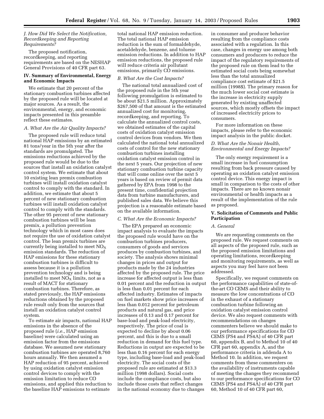#### *J. How Did We Select the Notification, Recordkeeping and Reporting Requirements?*

The proposed notification, recordkeeping, and reporting requirements are based on the NESHAP General Provisions of 40 CFR part 63.

## **IV. Summary of Environmental, Energy and Economic Impacts**

We estimate that 20 percent of the stationary combustion turbines affected by the proposed rule will be located at major sources. As a result, the environmental, energy, and economic impacts presented in this preamble reflect these estimates.

#### *A. What Are the Air Quality Impacts?*

The proposed rule will reduce total national HAP emissions by an estimated 81 tons/year in the 5th year after the standards are promulgated. The emissions reductions achieved by the proposed rule would be due to the sources that install an oxidation catalyst control system. We estimate that about 10 existing lean premix combustion turbines will install oxidation catalyst control to comply with the standard. In addition, we estimate that about 5 percent of new stationary combustion turbines will install oxidation catalyst control to comply with the standards. The other 95 percent of new stationary combustion turbines will be lean premix, a pollution prevention technology which in most cases does not require the use of oxidation catalyst control. The lean premix turbines are currently being installed to meet  $NO<sub>X</sub>$ emission standards. The reduction of HAP emissions for these stationary combustion turbines is difficult to assess because it is a pollution prevention technology and is being installed to meet  $NO<sub>x</sub>$  limits, not as a result of MACT for stationary combustion turbines. Therefore, as stated previously, the HAP emissions reductions obtained by the proposed rule result only from the sources that install an oxidation catalyst control system.

To estimate air impacts, national HAP emissions in the absence of the proposed rule (*i.e.*, HAP emission baseline) were calculated using an emission factor from the emissions database. We assumed new stationary combustion turbines are operated 8,760 hours annually. We then assumed a HAP reduction of 95 percent, achieved by using oxidation catalyst emission control devices to comply with the emission limitation to reduce CO emissions, and applied this reduction to the baseline HAP emissions to estimate

total national HAP emission reduction. The total national HAP emission reduction is the sum of formaldehyde, acetaldehyde, benzene, and toluene emission reductions. In addition to HAP emission reductions, the proposed rule will reduce criteria air pollutant emissions, primarily CO emissions.

#### *B. What Are the Cost Impacts?*

The national total annualized cost of the proposed rule in the 5th year following promulgation is estimated to be about \$21.5 million. Approximately \$267,500 of that amount is the estimated annualized cost for monitoring, recordkeeping, and reporting. To calculate the annualized control costs, we obtained estimates of the capital costs of oxidation catalyst emission control devices from vendors. We then calculated the national total annualized costs of control for the new stationary combustion turbines installing oxidation catalyst emission control in the next 5 years. Our projection of new stationary combustion turbine capacity that will come online over the next 5 years is based on review of permit data gathered by EPA from 1998 to the present time, confidential projection data from turbine manufacturers, and published sales data. We believe this projection is a reasonable estimate based on the available information.

#### *C. What Are the Economic Impacts?*

The EPA prepared an economic impact analysis to evaluate the impacts the proposed rule would have on the combustion turbines producers, consumers of goods and services produces by combustion turbines, and society. The analysis shows minimal changes in prices and output for products made by the 24 industries affected by the proposed rule. The price increase for affected output is less than 0.01 percent and the reduction in output is less than 0.01 percent for each affected industry. Estimates of impacts on fuel markets show price increases of less than 0.012 percent for petroleum products and natural gas, and price increases of 0.13 and 0.17 percent for base-load and peak-load electricity, respectively. The price of coal is expected to decline by about 0.06 percent, and this is due to a small reduction in demand for this fuel type. Reductions in output are expected to be less than 0.16 percent for each energy type, including base-load and peak-load electricity. The social costs of the proposed rule are estimated at \$13.3 million (1998 dollars). Social costs include the compliance costs, but also include those costs that reflect changes in the national economy due to changes

in consumer and producer behavior resulting from the compliance costs associated with a regulation. In this case, changes in energy use among both consumers and producers to reduce the impact of the regulatory requirements of the proposed rule on them lead to the estimated social costs being somewhat less than the total annualized compliance cost estimate of \$21.5 million (1998\$). The primary reason for the much lower social cost estimate is the increase in electricity supply generated by existing unaffected sources, which mostly offsets the impact of increased electricity prices to consumers.

For more information on these impacts, please refer to the economic impact analysis in the public docket.

## *D. What Are the Nonair Health, Environmental and Energy Impacts?*

The only energy requirement is a small increase in fuel consumption resulting from back pressure caused by operating an oxidation catalyst emission control device. This energy impact is small in comparison to the costs of other impacts. There are no known nonair environmental or health impacts as a result of the implementation of the rule as proposed.

## **V. Solicitation of Comments and Public Participation**

#### *A. General*

We are requesting comments on the proposed rule. We request comments on all aspects of the proposed rule, such as the proposed emission limitations and operating limitations, recordkeeping and monitoring requirements, as well as aspects you may feel have not been addressed.

Specifically, we request comments on the performance capabilities of state-ofthe-art CO CEMS and their ability to measure the low concentrations of CO in the exhaust of a stationary combustion turbine following an oxidation catalyst emission control device. We also request comments with recommendations on changes commenters believe we should make to our performance specifications for CO CEMS (PS4 and PS4A) of 40 CFR part 60, appendix B, and to Method 10 of 40 CFR part 60, appendix A, and the performance criteria in addenda A to Method 10. In addition, we request comments from these commenters on the availability of instruments capable of meeting the changes they recommend to our performance specifications for CO CEMS (PS4 and PS4A) of 40 CFR part 60, Method 10 of 40 CFR part 60,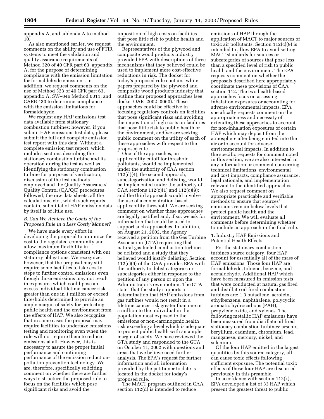appendix A, and addenda A to method 10.

As also mentioned earlier, we request comments on the ability and use of FTIR systems to meet the validation and quality assurance requirements of Method 320 of 40 CFR part 63, appendix A, for the purpose of determining compliance with the emission limitation for formaldehyde emissions. In addition, we request comments on the use of Method 323 of 40 CFR part 63, appendix A, SW–846 Method 0011, and CARB 430 to determine compliance with the emission limitations for formaldehyde.

We request any HAP emissions test data available from stationary combustion turbines; however, if you submit HAP emissions test data, please submit the full and complete emission test report with this data. Without a complete emission test report, which includes sections describing the stationary combustion turbine and its operation during the test as well as identifying the stationary combustion turbine for purposes of verification, discussion of the test methods employed and the Quality Assurance/ Quality Control (QA/QC) procedures followed, the raw data sheets, all the calculations, etc., which such reports contain, submittal of HAP emission data by itself is of little use.

## *B. Can We Achieve the Goals of the Proposed Rule in a Less Costly Manner?*

We have made every effort in developing the proposal to minimize the cost to the regulated community and allow maximum flexibility in compliance options consistent with our statutory obligations. We recognize, however, that the proposal may still require some facilities to take costly steps to further control emissions even though those emissions may not result in exposures which could pose an excess individual lifetime cancer risk greater than one in 1 million or exceed thresholds determined to provide an ample margin of safety for protecting public health and the environment from the effects of HAP. We also recognize that in some cases the proposal may require facilities to undertake emissions testing and monitoring even when the rule will not require them to reduce emissions at all. However, this is necessary to assure the proper initial performance and continuing performance of the emission reductionpollution prevention technology. We are, therefore, specifically soliciting comment on whether there are further ways to structure the proposed rule to focus on the facilities which pose significant risks and avoid the

imposition of high costs on facilities that pose little risk to public health and the environment.

Representatives of the plywood and composite wood products industry provided EPA with descriptions of three mechanisms that they believed could be used to implement more cost-effective reductions in risk. The docket for today's proposed rule contains white papers prepared by the plywood and composite wood products industry that outline their proposed approaches (see docket OAR–2002–0060). These approaches could be effective in focusing regulatory controls on facilities that pose significant risks and avoiding the imposition of high costs on facilities that pose little risk to public health or the environment, and we are seeking public comment on the utility of each of these approaches with respect to the proposed rule.

One of the approaches, an applicability cutoff for threshold pollutants, would be implemented under the authority of CAA section 112(d)(4); the second approach, subcategorization and delisting, would be implemented under the authority of CAA sections  $112(c)(1)$  and  $112(c)(9)$ ; and the third approach would involve the use of a concentration-based applicability threshold. We are seeking comment on whether these approaches are legally justified and, if so, we ask for information that could be used to support such approaches. In addition, on August 21, 2002, the Agency received a petition from the Gas Turbine Association (GTA) requesting that natural gas fueled combustion turbines be delisted and a study that they believed would justify delisting. Section 112(c)(9) of the CAA provides EPA with the authority to delist categories or subcategories either in response to the petition of any person or upon the Administrator's own motion. The GTA states that the study supports a determination that HAP emissions from gas turbines would not result in a lifetime cancer risk greater than one in a million to the individual in the population most exposed to the emissions or non-carcinogenic health risk exceeding a level which is adequate to protect public health with an ample margin of safety. We have reviewed the GTA study and responded to the GTA on October 11, 2002 with questions and areas that we believe need further analysis. The EPA's request for further information and all information provided by the petitioner to date is located in the docket for today's proposed rule.

The MACT program outlined in CAA section 112(d) is intended to reduce

emissions of HAP through the application of MACT to major sources of toxic air pollutants. Section 112(c)(9) is intended to allow EPA to avoid setting MACT standards for sources or subcategories of sources that pose less than a specified level of risk to public health and the environment. The EPA requests comment on whether the proposals described here appropriately coordinate these provisions of CAA section 112. The two health-based approaches focus on assessing inhalation exposures or accounting for adverse environmental impacts. EPA specifically requests comment on the appropriateness and necessity of extending these approaches to account for non-inhalation exposures of certain HAP which may deposit from the atmosphere after being emitted into the air or to account for adverse environmental impacts. In addition to the specific requests for comment noted in this section, we are also interested in any information or comment concerning technical limitations, environmental and cost impacts, compliance assurance, legal rationale, and implementation relevant to the identified approaches. We also request comment on appropriate practicable and verifiable methods to ensure that sources' emissions remain below levels that protect public health and the environment. We will evaluate all comments before determining whether to include an approach in the final rule.

## 1. Industry HAP Emissions and Potential Health Effects

For the stationary combustion turbines source category, four HAP account for essentially all of the mass of HAP emissions. Those four HAP are formaldehyde, toluene, benzene, and acetaldehyde. Additional HAP which have been measured in emission tests that were conducted at natural gas fired and distillate oil fired combustion turbines are: 1,3 butadiene, acrolein, ethylbenzene, naphthalene, polycyclic aromatic hydrocarbons (PAH), propylene oxide, and xylenes. The following metallic HAP emissions have been measured from distillate oil fired stationary combustion turbines: arsenic, beryllium, cadmium, chromium, lead, manganese, mercury, nickel, and selenium.

Of the four HAP emitted in the largest quantities by this source category, all can cause toxic effects following sufficient exposure. The potential toxic effects of these four HAP are discussed previously in this preamble.

In accordance with section 112(k), EPA developed a list of 33 HAP which present the greatest threat to public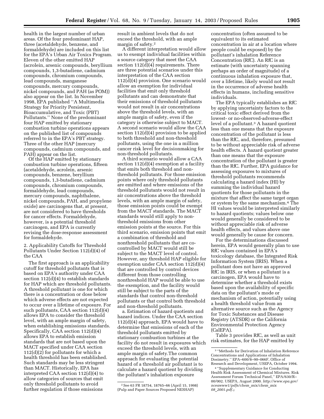health in the largest number of urban areas. Of the four predominant HAP, three (acetaldehyde, benzene, and formaldehyde) are included on this list for the EPA's Urban Air Toxics Program. Eleven of the other emitted HAP (acrolein, arsenic compounds, beryllium compounds, 1,3-butadiene, cadmium compounds, chromium compounds, lead compounds, manganese compounds, mercury compounds, nickel compounds, and PAH (as POM)) also appear on the list. In November 1998, EPA published ''A Multimedia Strategy for Priority Persistent, Bioaccumulative, and Toxic (PBT) Pollutants.'' None of the predominant four HAP emitted by stationary combustion turbine operations appears on the published list of compounds referred to in the EPA's PBT strategy. Three of the other HAP (mercury compounds, cadmium compounds, and PAH) appear on the list.

Of the HAP emitted by stationary combustion turbine operations, fifteen (acetaldehyde, acrolein, arsenic compounds, benzene, beryllium compounds, 1,3-butadiene, cadmium compounds, chromium compounds, formaldehyde, lead compounds, mercury compounds, naphthalene, nickel compounds, PAH, and propylene oxide) are carcinogens that, at present, are not considered to have thresholds for cancer effects. Formaldehyde, however, is a potential threshold carcinogen, and EPA is currently revising the dose-response assessment for formaldehyde.

2. Applicability Cutoffs for Threshold Pollutants Under Section 112(d)(4) of the CAA

The first approach is an applicability cutoff for threshold pollutants that is based on EPA's authority under CAA section 112(d)(4) to establish standards for HAP which are threshold pollutants. A threshold pollutant is one for which there is a concentration or dose below which adverse effects are not expected to occur over a lifetime of exposure. For such pollutants, CAA section 112(d)(4) allows EPA to consider the threshold level, with an ample margin of safety, when establishing emissions standards. Specifically, CAA section 112(d)(4) allows EPA to establish emission standards that are not based upon the MACT specified under CAA section  $112(d)(2)$  for pollutants for which a health threshold has been established. Such standards may be less stringent than MACT. Historically, EPA has interpreted CAA section 112(d)(4) to allow categories of sources that emit only threshold pollutants to avoid further regulation if those emissions

result in ambient levels that do not exceed the threshold, with an ample margin of safety.2

A different interpretation would allow us to exempt individual facilities within a source category that meet the CAA section 112(d)(4) requirements. There are three potential scenarios under this interpretation of the CAA section 112(d)(4) provision. One scenario would allow an exemption for individual facilities that emit only threshold pollutants and can demonstrate that their emissions of threshold pollutants would not result in air concentrations above the threshold levels, with an ample margin of safety, even if the category is otherwise subject to MACT. A second scenario would allow the CAA section 112(d)(4) provision to be applied to both threshold and non-threshold pollutants, using the one in a million cancer risk level for decisionmaking for non-threshold pollutants.

A third scenario would allow a CAA section 112(d)(4) exemption at a facility that emits both threshold and nonthreshold pollutants. For those emission points where only threshold pollutants are emitted and where emissions of the threshold pollutants would not result in air concentrations above the threshold levels, with an ample margin of safety, those emission points could be exempt from the MACT standards. The MACT standards would still apply to nonthreshold emissions from other emission points at the source. For this third scenario, emission points that emit a combination of threshold and nonthreshold pollutants that are cocontrolled by MACT would still be subject to the MACT level of control. However, any threshold HAP eligible for exemption under CAA section 112(d)(4) that are controlled by control devices different from those controlling nonthreshold HAP would be able to use the exemption, and the facility would still be subject to the parts of the standards that control non-threshold pollutants or that control both threshold and non-threshold pollutants.

a. Estimation of hazard quotients and hazard indices. Under the CAA section 112(d)(4) approach, EPA would have to determine that emissions of each of the threshold pollutants emitted by stationary combustion turbines at the facility do not result in exposures which exceed the threshold levels, with an ample margin of safety.The common approach for evaluating the potential hazard of a threshold air pollutant is to calculate a hazard quotient by dividing the pollutant's inhalation exposure

2See 63 FR 18754, 18765–66 (April 15, 1998) (Pulp and Paper Sources Proposed NESHAP)

concentration (often assumed to be equivalent to its estimated concentration in air at a location where people could be exposed) by the pollutant's inhalation Reference Concentration (RfC). An RfC is an estimate (with uncertainty spanning perhaps an order of magnitude) of a continuous inhalation exposure that, over a lifetime, likely would not result in the occurrence of adverse health effects in humans, including sensitive individuals.

The EPA typically establishes an RfC by applying uncertainty factors to the critical toxic effect derived from the lowest- or no-observed-adverse-effect level of a pollutant.3 A hazard quotient less than one means that the exposure concentration of the pollutant is less than the RfC, and, therefore, presumed to be without appreciable risk of adverse health effects. A hazard quotient greater than one means that the exposure concentration of the pollutant is greater than the RfC. Further, EPA guidance for assessing exposures to mixtures of threshold pollutants recommends calculating a hazard index (HI) by summing the individual hazard quotients for those pollutants in the mixture that affect the same target organ or system by the same mechanism.4 The HI values would be interpreted similarly to hazard quotients; values below one would generally be considered to be without appreciable risk of adverse health effects, and values above one would generally be cause for concern.

For the determinations discussed herein, EPA would generally plan to use RfC values contained in EPA's toxicology database, the Integrated Risk Information System (IRIS). When a pollutant does not have an approved RfC in IRIS, or when a pollutant is a carcinogen, EPA would have to determine whether a threshold exists based upon the availability of specific data on the pollutant's mode or mechanism of action, potentially using a health threshold value from an alternative source such as the Agency for Toxic Substances and Disease Registry (ATSDR) or the California Environmental Protection Agency (CalEPA).

Table 3 provides RfC, as well as unit risk estimates, for the HAP emitted by

<sup>3</sup> ''Methods for Derivation of Inhalation Reference Concentrations and Applications of Inhalation Dosimetry." EPA–600/8–90–066F, Office of Research and Development, USEPA, October 1994.

<sup>4</sup> ''Supplementary Guidance for Conducting Health Risk Assessment of Chemical Mixtures. Risk Assessment Forum Technical Panel,'' EPA/630/R– 00/002. USEPA, August 2000. *http://www.epa.gov/ nceawww1/pdfs/chem*\_*mix/chem*\_*mix 08*\_*2001.pdf.*2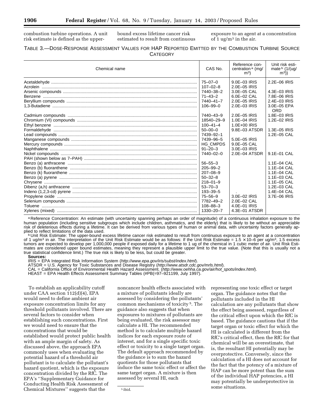combustion turbine operations. A unit risk estimate is defined as the upper-

bound excess lifetime cancer risk estimated to result from continuous exposure to an agent at a concentration of 1 ug/ $m<sup>3</sup>$  in the air.

## TABLE 3.—DOSE-RESPONSE ASSESSMENT VALUES FOR HAP REPORTED EMITTED BY THE COMBUSTION TURBINE SOURCE **CATEGORY**

| Chemical name | CAS No.         | Reference con-<br>centration $a$ (mg/<br>m <sup>3</sup> | Unit risk esti-<br>mate $b$ (1/(ug/<br>(m <sup>3</sup> ) |
|---------------|-----------------|---------------------------------------------------------|----------------------------------------------------------|
|               | $75 - 07 - 0$   | 9.0E-03 IRIS                                            | 2.2E-06 IRIS                                             |
|               | $107 - 02 - 8$  | 2.0E-05 IRIS                                            |                                                          |
|               | 7440-38-2       | 3.0E-05 CAL                                             | 4.3E-03 IRIS                                             |
|               | $71 - 43 - 2$   | 6.0E-02 CAL                                             | 7.8E-06 IRIS                                             |
|               | 7440-41-7       | 2.0E-05 IRIS                                            | 2.4E-03 IRIS                                             |
|               | $106 - 99 - 0$  | 2.0E-03 IRIS                                            | 3.0E-05 EPA<br>ORD                                       |
|               | 7440-43-9       | 2.0E-05 IRIS                                            | 1.8E-03 IRIS                                             |
|               | 18540-29-9      | 1.0E-04 IRIS                                            | 1.2E-02 IRIS                                             |
|               | $100 - 41 - 4$  | $1.0E + 00$ IRIS                                        |                                                          |
|               | $50 - 00 - 0$   | 9.8E-03 ATSDR                                           | 1.3E-05 IRIS                                             |
|               | 7439-92-1       |                                                         | 1.2E-05 CAL                                              |
|               | 7439-96-5       | 5.0E-05 IRIS                                            |                                                          |
|               | <b>HG CMPDS</b> | 9.0E-05 CAL                                             |                                                          |
|               | $91 - 20 - 3$   | 3.0E-03 IRIS                                            |                                                          |
|               | 7440-02-0       | $2.0E-04$ ATSDR                                         | 9.1E-01 CAL                                              |
|               |                 |                                                         |                                                          |
|               | $56 - 55 - 3$   |                                                         | 1.1E-04 CAL                                              |
|               | $205 - 99 - 2$  |                                                         | 1.1E-04 CAL                                              |
|               |                 |                                                         | 1.1E-04 CAL                                              |
|               | $50 - 32 - 8$   |                                                         | 1.1E-03 CAL                                              |
|               | $218 - 01 - 9$  |                                                         | 1.1E-05 CAL                                              |
|               | $53 - 70 - 3$   |                                                         | 1.2E-03 CAL                                              |
|               |                 |                                                         | 1.4E-04 CAL                                              |
|               | 75-56-9         | 3.0E-02 IRIS                                            | 3.7E-06 IRIS                                             |
|               | 7782-49-2       | 2.0E-02 CAL                                             |                                                          |
|               | $108 - 88 - 3$  | 4.0E-01 IRIS                                            |                                                          |
|               | 1330-20-7       | 4.3E-01 ATSDR                                           |                                                          |

a Reference Concentration: An estimate (with uncertainty spanning perhaps an order of magnitude) of a continuous inhalation exposure to the human population (including sensitive subgroups which include children, asthmatics, and the elderly) that is likely to be without an appreciable risk of deleterious effects during a lifetime. It can be derived from various types of human or animal data, with uncertainty factors generally ap-<br>plied to reflect limitations of the data used.

<sup>b</sup> Unit Risk Estimate: The upper-bound excess lifetime cancer risk estimated to result from continuous exposure to an agent at a concentration of 1 ug/m<sup>3</sup> in air. The interpretation of the Unit Risk Estimate would be as follows: If the Unit Risk Estimate =  $1.5 \times 10^{-6}$  per ug/m<sup>3</sup>, 1.5 excess tumors are expected to develop per 1,000,000 people if exposed daily for a lifetime to 1 ug of the chemical in 1 cubic meter of air. Unit Risk Estimates are considered upper bound estimates, meaning they represent a plausible upper limit to the true value. (Note that this is usually not a true statistical confidence limit.) The true risk is likely to be less, but could be greater. **Sources:**

IRIS = EPA Integrated Risk Information System (http://www.epa.gov/iris/subst/index.html).

ATSDR = U.S. Agency for Toxic Substances and Disease Registry (http://www.atsdr.cdc.gov/mrls.html).

CAL = California Office of Environmental Health Hazard Assessment. (*http://www.oehha.ca.gov/air/hot\_spots/index.html*).<br>HEAST = EPA Health Effects Assessment Summary Tables (#PB(=97–921199, July 1997).

To establish an applicability cutoff under CAA section 112(d)(4), EPA would need to define ambient air exposure concentration limits for any threshold pollutants involved. There are several factors to consider when establishing such concentrations. First we would need to ensure that the concentrations that would be established would protect public health with an ample margin of safety. As discussed above, the approach EPA commonly uses when evaluating the potential hazard of a threshold air pollutant is to calculate the pollutant's hazard quotient, which is the exposure concentration divided by the RfC. The EPA's ''Supplementary Guidance for Conducting Health Risk Assessment of Chemical Mixtures'' suggests that the

noncancer health effects associated with a mixture of pollutants ideally are assessed by considering the pollutants' common mechanisms of toxicity 5. The guidance also suggests that when exposures to mixtures of pollutants are being evaluated, the risk assessor may calculate a HI. The recommended method is to calculate multiple hazard indices for each exposure route of interest, and for a single specific toxic effect or toxicity to a single target organ. The default approach recommended by the guidance is to sum the hazard quotients for those pollutants that induce the same toxic effect or affect the same target organ. A mixture is then assessed by several HI, each

representing one toxic effect or target organ. The guidance notes that the pollutants included in the HI calculation are any pollutants that show the effect being assessed, regardless of the critical effect upon which the RfC is based. The guidance cautions that if the target organ or toxic effect for which the HI is calculated is different from the RfC's critical effect, then the RfC for that chemical will be an overestimate, that is, the resultant HI potentially may be overprotective. Conversely, since the calculation of a HI does not account for the fact that the potency of a mixture of HAP can be more potent than the sum of the individual HAP potencies, a HI may potentially be underprotective in some situations.

<sup>5</sup> ibid.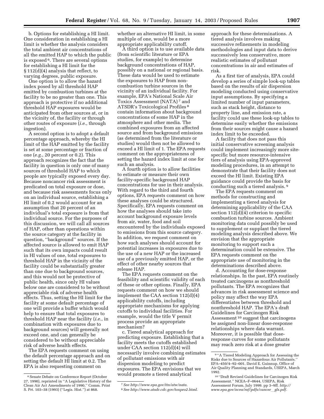b. Options for establishing a HI limit. One consideration in establishing a HI limit is whether the analysis considers the total ambient air concentrations of all the emitted HAP to which the public is exposed 6. There are several options for establishing a HI limit for the § 112(d)(4) analysis that reflect, to

varying degrees, public exposure. One option is to allow the hazard index posed by all threshold HAP emitted by combustion turbines at the facility to be no greater than one. This approach is protective if no additional threshold HAP exposures would be anticipated from other sources at, or in the vicinity of, the facility or through other routes of exposure (*i.e.*, through ingestion).

A second option is to adopt a default percentage approach, whereby the HI limit of the HAP emitted by the facility is set at some percentage or fraction of one (*e.g.*, 20 percent or 0.2). This approach recognizes the fact that the facility in question is only one of many sources of threshold HAP to which people are typically exposed every day. Because noncancer risk assessment is predicated on total exposure or dose, and because risk assessments focus only on an individual source, establishing a HI limit of 0.2 would account for an assumption that 20 percent of an individual's total exposure is from that individual source. For the purposes of this discussion, we will call all sources of HAP, other than operations within the source category at the facility in question, ''background'' sources. If the affected source is allowed to emit HAP such that its own impacts could result in HI values of one, total exposures to threshold HAP in the vicinity of the facility could be substantially greater than one due to background sources, and this would not be protective of public health, since only HI values below one are considered to be without appreciable risk of adverse health effects. Thus, setting the HI limit for the facility at some default percentage of one will provide a buffer which would help to ensure that total exposures to threshold HAP near the facility (*i.e.*, in combination with exposures due to background sources) will generally not exceed one, and can generally be considered to be without appreciable risk of adverse health effects.

The EPA requests comment on using the default percentage approach and on setting the default HI limit at 0.2. The EPA is also requesting comment on

whether an alternative HI limit, in some multiple of one, would be a more appropriate applicability cutoff.

A third option is to use available data (from scientific literature or EPA studies, for example) to determine background concentrations of HAP, possibly on a national or regional basis. These data would be used to estimate the exposures to HAP from noncombustion turbine sources in the vicinity of an individual facility. For example, EPA's National Scale Air Toxics Assessment (NATA) 7 and ATSDR's Toxicological Profiles 8 contain information about background concentrations of some HAP in the atmosphere and other media. The combined exposures from an affected source and from background emissions (as determined from the literature or studies) would then not be allowed to exceed a HI limit of 1. The EPA requests comment on the appropriateness of setting the hazard index limit at one for such an analysis.

A fourth option is to allow facilities to estimate or measure their own facility-specific background HAP concentrations for use in their analysis. With regard to the third and fourth options, EPA requests comment on how these analyses could be structured. Specifically, EPA requests comment on how the analyses should take into account background exposure levels from air, water, food and soil encountered by the individuals exposed to emissions from this source category. In addition, we request comment on how such analyses should account for potential increases in exposures due to the use of a new HAP or the increased use of a previously emitted HAP, or the effect of other nearby sources that release HAP.

The EPA requests comment on the feasibility and scientific validity of each of these or other options. Finally, EPA requests comment on how we should implement the CAA section 112(d)(4) applicability cutoffs, including appropriate mechanisms for applying cutoffs to individual facilities. For example, would the title V permit process provide an appropriate mechanism?

c. Tiered analytical approach for predicting exposure. Establishing that a facility meets the cutoffs established under CAA section 112(d)(4) will necessarily involve combining estimates of pollutant emissions with air dispersion modeling to predict exposures. The EPA envisions that we would promote a tiered analytical

approach for these determinations. A tiered analysis involves making successive refinements in modeling methodologies and input data to derive successively less conservative, more realistic estimates of pollutant concentrations in air and estimates of risk.

As a first tier of analysis, EPA could develop a series of simple look-up tables based on the results of air dispersion modeling conducted using conservative input assumptions. By specifying a limited number of input parameters, such as stack height, distance to property line, and emission rate, a facility could use these look-up tables to determine easily whether the emissions from their sources might cause a hazard index limit to be exceeded.

A facility that does not pass this initial conservative screening analysis could implement increasingly more sitespecific but more resource-intensive tiers of analysis using EPA-approved modeling procedures, in an attempt to demonstrate that their facility does not exceed the HI limit. Existing EPA guidance could provide the basis for conducting such a tiered analysis. 9

The EPA requests comment on methods for constructing and implementing a tiered analysis for determining applicability of the CAA section 112(d)(4) criterion to specific combustion turbine sources. Ambient monitoring data could possibly be used to supplement or supplant the tiered modeling analysis described above. We envision that the appropriate monitoring to support such a determination could be extensive. The EPA requests comment on the appropriate use of monitoring in the determinations described above.

d. Accounting for dose-response relationships. In the past, EPA routinely treated carcinogens as nonthreshold pollutants. The EPA recognizes that advances in risk assessment science and policy may affect the way EPA differentiates between threshold and nonthreshold HAP. The EPA's draft Guidelines for Carcinogen Risk Assessment 10 suggest that carcinogens be assigned non-linear dose-response relationships where data warrant. Moreover, it is possible that doseresponse curves for some pollutants may reach zero risk at a dose greater

<sup>6</sup>Senate Debate on Conference Report (October 27, 1990), reprinted in ''A Legislative History of the Clean Air Act Amendments of 1990,'' Comm. Print S. Prt. 103–38 (1993) (''Legis. Hist.'') at 868.

<sup>7</sup>*See http://www.epa.gov/ttn/atw/nata.*

<sup>8</sup>*See http://www.atsdr.cdc.gov/toxpro2.html.*

<sup>&</sup>lt;sup>9</sup> "A Tiered Modeling Approach for Assessing the Risks due to Sources of Hazardous Air Pollutants.'' EPA–450/4–92–001. David E. Guinnup, Office of Air Quality Planning and Standards, USEPA, March 1992.

<sup>10</sup> ''Draft Revised Guidelines for Carcinogen Risk Assessment.'' NCEA–F–0644, USEPA, Risk Assessment Forum, July 1999. pp 3–9ff. *http:// www.epa.gov/ncea/raf/pdfs/cancer*l*gls.pdf.*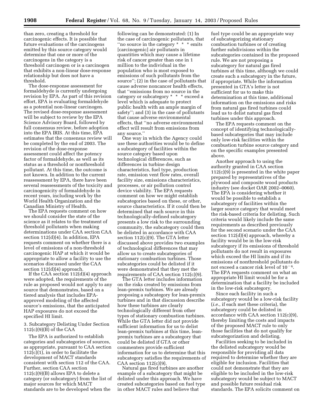than zero, creating a threshold for carcinogenic effects. It is possible that future evaluations of the carcinogens emitted by this source category would determine that one or more of the carcinogens in the category is a threshold carcinogen or is a carcinogen that exhibits a non-linear dose-response relationship but does not have a threshold.

The dose-response assessment for formaldehyde is currently undergoing revision by EPA. As part of this revision effort, EPA is evaluating formaldehyde as a potential non-linear carcinogen. The revised dose-response assessment will be subject to review by the EPA Science Advisory Board, followed by full consensus review, before adoption into the EPA IRIS. At this time, EPA estimates that the consensus review will be completed by the end of 2003. The revision of the dose-response assessment could affect the potency factor of formaldehyde, as well as its status as a threshold or nonthreshold pollutant. At this time, the outcome is not known. In addition to the current reassessment by EPA, there have been several reassessments of the toxicity and carcinogenicity of formaldehyde in recent years, including work by the World Health Organization and the Canadian Ministry of Health.

The EPA requests comment on how we should consider the state of the science as it relates to the treatment of threshold pollutants when making determinations under CAA section CAA section 112(d)(4). In addition, EPA requests comment on whether there is a level of emissions of a non-threshold carcinogenic HAP at which it would be appropriate to allow a facility to use the scenarios discussed under the CAA section 112(d)(4) approach.

If the CAA section 112(d)(4) approach were adopted, the requirements of the rule as proposed would not apply to any source that demonstrates, based on a tiered analysis that includes EPAapproved modeling of the affected source's emissions, that the anticipated HAP exposures do not exceed the specified HI limit.

3. Subcategory Delisting Under Section 112(c)(9)(B) of the CAA

The EPA is authorized to establish categories and subcategories of sources, as appropriate, pursuant to CAA section 112(c)(1), in order to facilitate the development of MACT standards consistent with section 112 of the CAA. Further, section CAA section 112(c)(9)(B) allows EPA to delete a category (or subcategory) from the list of major sources for which MACT standards are to be developed when the

following can be demonstrated: (1) In the case of carcinogenic pollutants, that ''no source in the category \* \* \* emits [carcinogenic] air pollutants in quantities which may cause a lifetime risk of cancer greater than one in 1 million to the individual in the population who is most exposed to emissions of such pollutants from the source''; (2) in the case of pollutants that cause adverse noncancer health effects, that ''emissions from no source in the category or subcategory \* \* \* exceed a level which is adequate to protect public health with an ample margin of safety''; and (3) in the case of pollutants that cause adverse environmental effects, that ''no adverse environmental effect will result from emissions from any source.''

One way in which the Agency could use these authorities would be to define a subcategory of facilities within the source category based upon technological differences, such as differences in turbine design characteristics, fuel type, production rate, emission vent flow rates, overall facility size, emissions characteristics, processes, or air pollution control device viability. The EPA requests comment on how we might establish subcategories based on these, or other, source characteristics. If it could then be determined that each source in this technologically-defined subcategory presents a low risk to the surrounding community, the subcategory could then be delisted in accordance with CAA section 112(c)(9). The GTA letter discussed above provides two examples of technological differences that may allow us to create subcategories of stationary combustion turbines. Those subcategories could be delisted if it were demonstrated that they met the requirements of CAA section 112(c)(9).

The GTA letter includes information on the risks created by emissions from lean-premix turbines. We are already proposing a subcategory for lean-premix turbines and in that discussion describe how these turbines are clearly technologically different from other types of stationary combustion turbines. While the GTA letter did not provide sufficient information for us to delist lean-premix turbines at this time, leanpremix turbines are a subcategory that could be delisted if GTA or other commenters provide sufficient information for us to determine that this subcategory satisfies the requirements of  $CAA$  section  $112(c)(9)$ .

Natural gas fired turbines are another example of a subcategory that might be delisted under this approach. We have created subcategories based on fuel type in other MACT rules and believe that

fuel type could be an appropriate way of subcategorizing stationary combustion turbines or of creating further subdivisions within the subcategories contained in the proposed rule. We are not proposing a subcategory for natural gas fired turbines at this time, although we could create such a subcategory in the future, if appropriate. While the information presented in GTA's letter is not sufficient for us to make this determination at this time, additional information on the emissions and risks from natural gas fired turbines could lead us to delist natural gas fired turbines under this approach.

The EPA requests comment on the concept of identifying technologicallybased subcategories that may include only low-risk facilities within the combustion turbine source category and on the specific examples presented above.

Another approach to using the authority granted in CAA section 112(c)(9) is presented in the white paper prepared by representatives of the plywood and composite wood products industry (see docket OAR 2002–0060). The EPA is considering whether it would be possible to establish a subcategory of facilities within the larger source category that would meet the risk-based criteria for delisting. Such criteria would likely include the same requirements as described previously for the second scenario under the CAA section 112(d)(4) approach, whereby a facility would be in the low-risk subcategory if its emissions of threshold pollutants do not result in exposures which exceed the HI limits and if its emissions of nonthreshold pollutants do not exceed a cancer risk level of  $10^{-6}$ . The EPA requests comment on what an appropriate HI limit would be for a determination that a facility be included in the low-risk subcategory.

Since each facility in such a subcategory would be a low-risk facility (*i.e.*, if each met these criteria), the subcategory could be delisted in accordance with CAA section 112(c)(9), thereby limiting the costs and impacts of the proposed MACT rule to only those facilities that do not qualify for subcategorization and delisting.

Facilities seeking to be included in the delisted subcategory would be responsible for providing all data required to determine whether they are eligible for inclusion. Facilities that could not demonstrate that they are eligible to be included in the low-risk subcategory would be subject to MACT and possible future residual risk standards. The EPA solicits comment on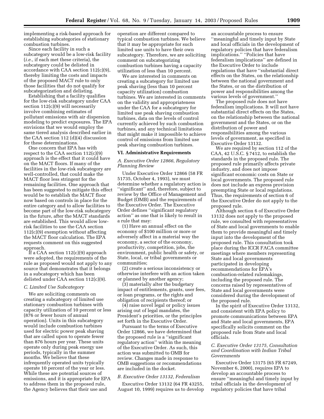implementing a risk-based approach for establishing subcategories of stationary combustion turbines.

Since each facility in such a subcategory would be a low-risk facility (*i.e.*, if each met these criteria), the subcategory could be delisted in accordance with CAA section 112(c)(9), thereby limiting the costs and impacts of the proposed MACT rule to only those facilities that do not qualify for subcategorization and delisting.

Establishing that a facility qualifies for the low-risk subcategory under CAA section 112(c)(9) will necessarily involve combining estimates of pollutant emissions with air dispersion modeling to predict exposures. The EPA envisions that we would employ the same tiered analysis described earlier in the CAA section 112 (d)(4) discussion for these determinations.

One concern that EPA has with respect to the CAA section  $112(c)(9)$ approach is the effect that it could have on the MACT floors. If many of the facilities in the low-risk subcategory are well-controlled, that could make the MACT floor less stringent for the remaining facilities. One approach that has been suggested to mitigate this effect would be to establish the MACT floor now based on controls in place for the entire category and to allow facilities to become part of the low-risk subcategory in the future, after the MACT standards are established. This would allow lowrisk facilities to use the CAA section 112(c)(9) exemption without affecting the MACT floor calculation. The EPA requests comment on this suggested approach.

If a CAA section  $112(c)(9)$  approach were adopted, the requirements of the rule as proposed would not apply to any source that demonstrates that it belongs in a subcategory which has been delisted under CAA section 112(c)(9).

#### *C. Limited Use Subcategory*

We are soliciting comments on creating a subcategory of limited use stationary combustion turbines with capacity utilization of 10 percent or less (876 or fewer hours of annual operation). Units in this subcategory would include combustion turbines used for electric power peak shaving that are called upon to operate fewer than 876 hours per year. These units operate only during peak energy use periods, typically in the summer months. We believe that these infrequently operated units typically operate 10 percent of the year or less. While these are potential sources of emissions, and it is appropriate for EPA to address them in the proposed rule, the Agency believes that their use and

operation are different compared to typical combustion turbines. We believe that it may be appropriate for such limited use units to have their own subcategory. Therefore, we are soliciting comment on subcategorizing combustion turbines having a capacity utilization of less than 10 percent.

We are interested in comments on creating a subcategory for limited use peak shaving (less than 10 percent capacity utilization) combustion turbines. We are interested in comments on the validity and appropriateness under the CAA for a subcategory for limited use peak shaving combustion turbines, data on the levels of control currently achieved by such combustion turbines, and any technical limitations that might make it impossible to achieve control of emissions from limited use peak shaving combustion turbines.

#### **VI. Administrative Requirements**

## *A. Executive Order 12866, Regulatory Planning Review*

Under Executive Order 12866 (58 FR 51735, October 4, 1993), we must determine whether a regulatory action is ''significant'' and, therefore, subject to review by the Office of Management and Budget (OMB) and the requirements of the Executive Order. The Executive Order defines ''significant regulatory action'' as one that is likely to result in a rule that may:

(1) Have an annual effect on the economy of \$100 million or more or adversely affect in a material way the economy, a sector of the economy, productivity, competition, jobs, the environment, public health or safety, or State, local, or tribal governments or communities;

(2) create a serious inconsistency or otherwise interfere with an action taken or planned by another agency;

(3) materially alter the budgetary impact of entitlements, grants, user fees, or loan programs, or the rights and obligation of recipients thereof; or

(4) raise novel legal or policy issues arising out of legal mandates, the President's priorities, or the principles set forth in the Executive Order.

Pursuant to the terms of Executive Order 12866, we have determined that the proposed rule is a ''significant regulatory action'' within the meaning of the Executive Order. As such, this action was submitted to OMB for review. Changes made in response to OMB suggestions or recommendations are included in the docket.

#### *B. Executive Order 13132, Federalism*

Executive Order 13132 (64 FR 43255, August 10, 1999) requires us to develop

an accountable process to ensure ''meaningful and timely input by State and local officials in the development of regulatory policies that have federalism implications.'' ''Policies that have federalism implications'' are defined in the Executive Order to include regulations that have ''substantial direct effects on the States, on the relationship between the national government and the States, or on the distribution of power and responsibilities among the various levels of government.''

The proposed rule does not have federalism implications. It will not have substantial direct effects on the States, on the relationship between the national government and the States, or on the distribution of power and responsibilities among the various levels of government, as specified in Executive Order 13132.

We are required by section 112 of the CAA, 42 U.S.C. § 7412, to establish the standards in the proposed rule. The proposed rule primarily affects private industry, and does not impose significant economic costs on State or local governments. The proposed rule does not include an express provision preempting State or local regulations. Thus, the requirements of section 6 of the Executive Order do not apply to the proposed rule.

Although section 6 of Executive Order 13132 does not apply to the proposed rule, we consulted with representatives of State and local governments to enable them to provide meaningful and timely input into the development of the proposed rule. This consultation took place during the ICCR FACA committee meetings where members representing State and local governments participated in developing recommendations for EPA's combustion-related rulemakings, including the proposed rule. The concerns raised by representatives of State and local governments were considered during the development of the proposed rule.

In the spirit of Executive Order 13132, and consistent with EPA policy to promote communications between EPA and State and local governments, EPA specifically solicits comment on the proposed rule from State and local officials.

## *C. Executive Order 13175, Consultation and Coordination with Indian Tribal Governments*

Executive Order 13175 (65 FR 67249, November 6, 2000), requires EPA to develop an accountable process to ensure ''meaningful and timely input by tribal officials in the development of regulatory policies that have tribal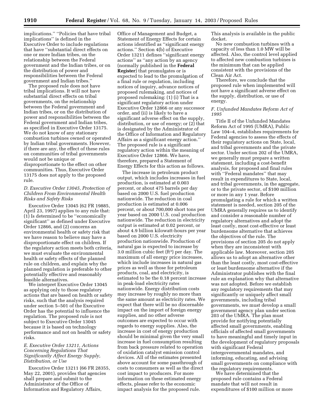implications.'' ''Policies that have tribal implications'' is defined in the Executive Order to include regulations that have ''substantial direct effects on one or more Indian tribes, on the relationship between the Federal government and the Indian tribes, or on the distribution of power and responsibilities between the Federal government and Indian tribes.''

The proposed rule does not have tribal implications. It will not have substantial direct effects on tribal governments, on the relationship between the Federal government and Indian tribes, or on the distribution of power and responsibilities between the Federal government and Indian tribes, as specified in Executive Order 13175. We do not know of any stationary combustion turbines owned or operated by Indian tribal governments. However, if there are any, the effect of these rules on communities of tribal governments would not be unique or disproportionate to the effect on other communities. Thus, Executive Order 13175 does not apply to the proposed rule.

## *D. Executive Order 13045, Protection of Children From Environmental Health Risks and Safety Risks*

Executive Order 13045 (62 FR 19885, April 23, 1997) applies to any rule that: (1) Is determined to be ''economically significant'' as defined under Executive Order 12866, and (2) concerns an environmental health or safety risk that we have reason to believe may have a disproportionate effect on children. If the regulatory action meets both criteria, we must evaluate the environmental health or safety effects of the planned rule on children, and explain why the planned regulation is preferable to other potentially effective and reasonably feasible alternatives.

We interpret Executive Order 13045 as applying only to those regulatory actions that are based on health or safety risks, such that the analysis required under section 5–501 of the Executive Order has the potential to influence the regulation. The proposed rule is not subject to Executive Order 13045 because it is based on technology performance and not on health or safety risks.

## *E. Executive Order 13211, Actions Concerning Regulations That Significantly Affect Energy Supply, Distribution, or Use*

Executive Order 13211 (66 FR 28355, May 22, 2001), provides that agencies shall prepare and submit to the Administrator of the Office of Information and Regulatory Affairs,

Office of Management and Budget, a Statement of Energy Effects for certain actions identified as ''significant energy actions.'' Section 4(b) of Executive Order 13211 defines ''significant energy actions'' as ''any action by an agency (normally published in the **Federal Register**) that promulgates or is expected to lead to the promulgation of a final rule or regulation, including notices of inquiry, advance notices of proposed rulemaking, and notices of proposed rulemaking: (1) (i) That is a significant regulatory action under Executive Order 12866 or any successor order, and (ii) is likely to have a significant adverse effect on the supply, distribution, or use of energy; or (2) that is designated by the Administrator of the Office of Information and Regulatory Affairs as a significant energy action.'' The proposed rule is a significant regulatory action within the meaning of Executive Order 12866. We have, therefore, prepared a Statement of Energy Effects for this action as follows.

The increase in petroleum product output, which includes increases in fuel production, is estimated at 0.003 percent, or about 475 barrels per day based on 2000 U.S. fuel production nationwide. The reduction in coal production is estimated at 0.006 percent, or about 700,000 short tons per year based on 2000 U.S. coal production nationwide. The reduction in electricity output is estimated at 0.02 percent, or about 4.9 billion kilowatt-hours per year based on 2000 U.S. electricity production nationwide. Production of natural gas is expected to increase by 3.0 million cubic feet (ft3) per day. The maximum of all energy price increases, which include increases in natural gas prices as well as those for petroleum products, coal, and electricity, is estimated to be the 0.18 percent increase in peak-load electricity rates nationwide. Energy distribution costs may increase by roughly no more than the same amount as electricity rates. We expect that there will be no discernable impact on the import of foreign energy supplies, and no other adverse outcomes are expected to occur with regards to energy supplies. Also, the increase in cost of energy production should be minimal given the very small increase in fuel consumption resulting from back pressure related to operation of oxidation catalyst emission control devices. All of the estimates presented above account for some passthrough of costs to consumers as well as the direct cost impact to producers. For more information on these estimated energy effects, please refer to the economic impact analysis for the proposed rule.

This analysis is available in the public docket.

No new combustion turbines with a capacity of less than 1.0 MW will be affected. Also, the control level applied to affected new combustion turbines is the minimum that can be applied consistent with the provisions of the Clean Air Act.

Therefore, we conclude that the proposed rule when implemented will not have a significant adverse effect on the supply, distribution, or use of energy.

## *F. Unfunded Mandates Reform Act of 1995*

Title II of the Unfunded Mandates Reform Act of 1995 (UMRA), Public Law 104–4, establishes requirements for Federal agencies to assess the effects of their regulatory actions on State, local, and tribal governments and the private sector. Under section 202 of the UMRA, we generally must prepare a written statement, including a cost-benefit analysis, for proposed and final rules with ''Federal mandates'' that may result in expenditures to State, local, and tribal governments, in the aggregate, or to the private sector, of \$100 million or more in any 1 year. Before promulgating a rule for which a written statement is needed, section 205 of the UMRA generally requires us to identify and consider a reasonable number of regulatory alternatives and adopt the least costly, most cost-effective or least burdensome alternative that achieves the objectives of the rule. The provisions of section 205 do not apply when they are inconsistent with applicable law. Moreover, section 205 allows us to adopt an alternative other than the least costly, most cost-effective or least burdensome alternative if the Administrator publishes with the final rule an explanation why that alternative was not adopted. Before we establish any regulatory requirements that may significantly or uniquely affect small governments, including tribal governments, we must develop a small government agency plan under section 203 of the UMRA. The plan must provide for notifying potentially affected small governments, enabling officials of affected small governments to have meaningful and timely input in the development of regulatory proposals with significant Federal intergovernmental mandates, and informing, educating, and advising small governments on compliance with the regulatory requirements.

We have determined that the proposed rule contains a Federal mandate that will not result in expenditures of \$100 million or more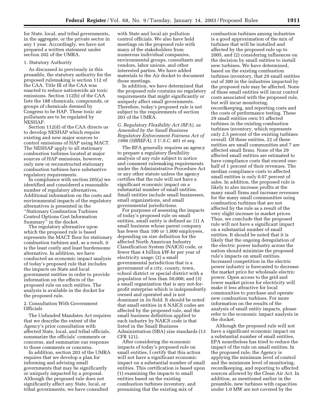for State, local, and tribal governments, in the aggregate, or the private sector in any 1 year. Accordingly, we have not prepared a written statement under section 202 of the UMRA.

#### 1. Statutory Authority

As discussed in previously in this preamble, the statutory authority for the proposed rulemaking is section 112 of the CAA. Title III of the CAA was enacted to reduce nationwide air toxic emissions. Section 112(b) of the CAA lists the 188 chemicals, compounds, or groups of chemicals deemed by Congress to be HAP. These toxic air pollutants are to be regulated by NESHAP.

Section 112(d) of the CAA directs us to develop NESHAP which require existing and new major sources to control emissions of HAP using MACT. The NESHAP apply to all stationary combustion turbines located at major sources of HAP emissions, however, only new or reconstructed stationary combustion turbines have substantive regulatory requirements.

In compliance with section 205(a) we identified and considered a reasonable number of regulatory alternatives. Additional information on the costs and environmental impacts of the regulatory alternatives is presented in the ''Stationary Combustion Turbines Control Options Cost Information Summary'' in the docket.

The regulatory alternative upon which the proposed rule is based represents the MACT floor for stationary combustion turbines and, as a result, it is the least costly and least burdensome alternative. In addition, we have conducted an economic impact analysis of today's proposed rule that includes the impacts on State and local government entities in order to provide information on the effects of the proposed rule on such entities. The analysis is available in the docket for the proposed rule.

## 2. Consultation With Government **Officials**

The Unfunded Mandates Act requires that we describe the extent of the Agency's prior consultation with affected State, local, and tribal officials, summarize the officials' comments or concerns, and summarize our response to those comments or concerns.

In addition, section 203 of the UMRA requires that we develop a plan for informing and advising small governments that may be significantly or uniquely impacted by a proposal. Although the proposed rule does not significantly affect any State, local, or tribal governments, we have consulted

with State and local air pollution control officials. We also have held meetings on the proposed rule with many of the stakeholders from numerous individual companies, environmental groups, consultants and vendors, labor unions, and other interested parties. We have added materials to the Air docket to document those meetings.

In addition, we have determined that the proposed rule contains no regulatory requirements that might significantly or uniquely affect small governments. Therefore, today's proposed rule is not subject to the requirements of section 203 of the UMRA.

## *G. Regulatory Flexibility Act (RFA), as Amended by the Small Business Regulatory Enforcement Fairness Act of 1996 (SBREFA), 5 U.S.C. 601 et seq.*

The RFA generally requires an agency to prepare a regulatory flexibility analysis of any rule subject to notice and comment rulemaking requirements under the Administrative Procedure Act or any other statute unless the agency certifies that the rule will not have a significant economic impact on a substantial number of small entities. Small entities include small businesses, small organizations, and small governmental jurisdictions.

For purposes of assessing the impacts of today's proposed rule on small entities, small entity is defined as: (1) A small business whose parent company has fewer than 100 or 1,000 employees, depending on size definition for the affected North American Industry Classification System (NAICS) code, or fewer than 4 billion kW-hr per year of electricity usage; (2) a small governmental jurisdiction that is a government of a city, county, town, school district or special district with a population of less than 50,000; and (3) a small organization that is any not-forprofit enterprise which is independently owned and operated and is not dominant in its field. It should be noted that small entities in 6 NAICS codes are affected by the proposed rule, and the small business definition applied to each industry by NAICS code is that listed in the Small Business Administration (SBA) size standards (13 CFR 121).

After considering the economic impacts of today's proposed rule on small entities, I certify that this action will not have a significant economic impact on a substantial number of small entities. This certification is based upon (1) examining the impacts to small entities based on the existing combustion turbines inventory, and presuming that the existing mix of

combustion turbines among industries is a good approximation of the mix of turbines that will be installed and affected by the proposed rule up to 2005, and (2) considering influences on the decision by small entities to install new turbines. We have determined, based on the existing combustion turbines inventory, that 29 small entities out of 300 in the industries impacted by the proposed rule may be affected. None of these small entities will incur control costs associated with the proposed rule, but will incur monitoring, recordkeeping, and reporting costs and the costs of performance testing. These 29 small entities own 51 affected turbines in the existing combustion turbines inventory, which represents only 2.5 percent of the existing turbines overall. Of these entities, 22 of these entities are small communities and 7 are affected small firms. None of the 29 affected small entities are estimated to have compliance costs that exceed onehalf of 1 percent of their revenues. The median compliance costs to affected small entities is only 0.07 percent of sales. In addition, the proposed rule is likely to also increase profits at the many small firms and increase revenues for the many small communities using combustion turbines that are not affected by the rule as a result of the very slight increase in market prices. Thus, we conclude that the proposed rule will not have a significant impact on a substantial number of small entities. It should be noted that it is likely that the ongoing deregulation of the electric power industry across the nation should minimize the proposed rule's impacts on small entities. Increased competition in the electric power industry is forecasted to decrease the market price for wholesale electric power. Open access to the grid and lower market prices for electricity will make it less attractive for local communities to purchase and operate new combustion turbines. For more information on the results of the analysis of small entity impacts, please refer to the economic impact analysis in the docket.

Although the proposed rule will not have a significant economic impact on a substantial number of small entities, EPA nonetheless has tried to reduce the impact of the rule on small entities. In the proposed rule, the Agency is applying the minimum level of control and the minimum level of monitoring, recordkeeping, and reporting to affected sources allowed by the Clean Air Act. In addition, as mentioned earlier in the preamble, new turbines with capacities under 1.0 MW are not covered by the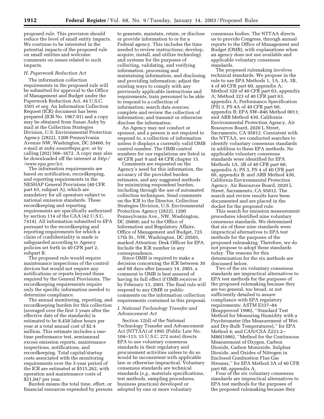proposed rule. This provision should reduce the level of small entity impacts. We continue to be interested in the potential impacts of the proposed rule on small entities and welcome comments on issues related to such impacts.

## *H. Paperwork Reduction Act*

The information collection requirements in the proposed rule will be submitted for approval to the Office of Management and Budget under the Paperwork Reduction Act, 44 U.S.C. 3501 *et seq.* An Information Collection Request (ICR) document has been prepared (ICR No. 1967.01) and a copy may be obtained from Susan Auby by mail at the Collection Strategies Division, U.S. Environmental Protection Agency (2822), 1200 Pennsylvania Avenue NW, Washington, DC 20460, by e-mail at *auby.susan@epa.gov*, or by calling (202) 566–1672. A copy may also be downloaded off the internet at *http:/ /www.epa.gov/icr*.

The information requirements are based on notification, recordkeeping, and reporting requirements in the NESHAP General Provisions (40 CFR part 63, subpart A), which are mandatory for all operators subject to national emission standards. These recordkeeping and reporting requirements are specifically authorized by section 114 of the CAA (42 U.S.C. 7414). All information submitted to EPA pursuant to the recordkeeping and reporting requirements for which a claim of confidentiality is made is safeguarded according to Agency policies set forth in 40 CFR part 2, subpart B.

The proposed rule would require maintenance inspections of the control devices but would not require any notifications or reports beyond those required by the General Provisions. The recordkeeping requirements require only the specific information needed to determine compliance.

The annual monitoring, reporting, and recordkeeping burden for this collection (averaged over the first 3 years after the effective date of the standards) is estimated to be 8,458 labor hours per year at a total annual cost of \$2.4 million. This estimate includes a onetime performance test, semiannual excess emission reports, maintenance inspections, notifications, and recordkeeping. Total capital/startup costs associated with the monitoring requirements over the 3-year period of the ICR are estimated at \$515,262, with operation and maintenance costs of \$21,047 per year.

Burden means the total time, effort, or financial resources expended by persons

to generate, maintain, retain, or disclose or provide information to or for a Federal agency. This includes the time needed to review instructions; develop, acquire, install, and utilize technology and systems for the purposes of collecting, validating, and verifying information, processing and maintaining information, and disclosing and providing information; adjust the existing ways to comply with any previously applicable instructions and requirements; train personnel to be able to respond to a collection of information; search data sources; complete and review the collection of information; and transmit or otherwise disclose the information.

An Agency may not conduct or sponsor, and a person is not required to respond to, a collection of information unless it displays a currently valid OMB control number. The OMB control numbers for our regulations are listed in 40 CFR part 9 and 48 CFR chapter 15.

Comments are requested on the Agency's need for this information, the accuracy of the provided burden estimates, and any suggested methods for minimizing respondent burden, including through the use of automated collection techniques. Send comments on the ICR to the Director, Collection Strategies Division, U.S. Environmental Protection Agency (2822), 1200 Pennsylvania Ave., NW, Washington, DC 20460; and to the Office of Information and Regulatory Affairs, Office of Management and Budget, 725 17th St., NW, Washington, DC 20503, marked Attention: Desk Officer for EPA. Include the ICR number in any correspondence.

Since OMB is required to make a decision concerning the ICR between 30 and 60 days after January 14, 2003, a comment to OMB is best assured of having its full effect if OMB receives it by February 13, 2003. The final rule will respond to any OMB or public comments on the information collection requirements contained in this proposal.

#### *I. National Technology Transfer and Advancement Act*

Section 12(d) of the National Technology Transfer and Advancement Act (NTTAA) of 1995 (Public Law No. 104–113; 15 U.S.C. 272 note) directs EPA to use voluntary consensus standards in their regulatory and procurement activities unless to do so would be inconsistent with applicable law or otherwise impractical. Voluntary consensus standards are technical standards (*e.g.*, materials specifications, test methods, sampling procedures, business practices) developed or adopted by one or more voluntary

consensus bodies. The NTTAA directs us to provide Congress, through annual reports to the Office of Management and Budget (OMB), with explanations when an agency does not use available and applicable voluntary consensus standards.

The proposed rulemaking involves technical standards. We propose in the rule to use EPA Methods 1, 1A, 3A, 3B, 4 of 40 CFR part 60, appendix A; Method 320 of 40 CFR part 63, appendix A; Method 323 of 40 CFR part 63, appendix A; Performance Specification (PS) 3, PS 4A of 40 CFR part 60, appendix B; EPA SW–846 Method 0011; and ARB Method 430, California Environmental Protection Agency, Air Resources Board, 2020 L Street, Sacramento, CA 95812. Consistent with the NTTAA, we conducted searches to identify voluntary consensus standards in addition to these EPA methods. No applicable voluntary consensus standards were identified for EPA Methods 1A, 3B of 40 CFR part 60, appendix A; PS 3, PS 4 of 40 CFR part 60, appendix B; and ARB Method 430, California Environmental Protection Agency, Air Resources Board, 2020 L Street, Sacramento, CA 95812. The search and review results have been documented and are placed in the docket for the proposed rule.

This search for emission measurement procedures identified nine voluntary consensus standards. We determined that six of these nine standards were impractical alternatives to EPA test methods for the purposes of the proposed rulemaking. Therefore, we do not propose to adopt these standards today. The reasons for this determination for the six methods are discussed below.

Two of the six voluntary consensus standards are impractical alternatives to EPA test methods for the purposes of the proposed rulemaking because they are too general, too broad, or not sufficiently detailed to assure compliance with EPA regulatory requirements: ASTM E337–84 (Reapproved 1996), ''Standard Test Method for Measuring Humidity with a Psychrometer (the Measurement of Wetand Dry-Bulb Temperatures),'' for EPA Method 4; and CAN/CSA Z223.2– M86(1986), ''Method for the Continuous Measurement of Oxygen, Carbon Dioxide, Carbon Monoxide, Sulphur Dioxide, and Oxides of Nitrogen in Enclosed Combustion Flue Gas Streams,'' for EPA Method 3A of 40 CFR part 60, appendix A.

Four of the six voluntary consensus standards are impractical alternatives to EPA test methods for the purposes of the proposed rulemaking because they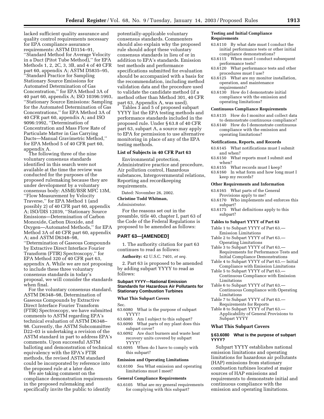lacked sufficient quality assurance and quality control requirements necessary for EPA compliance assurance requirements: ASTM D3154–91, ''Standard Method for Average Velocity in a Duct (Pitot Tube Method),'' for EPA Methods 1, 2, 2C, 3, 3B, and 4 of 40 CFR part 60, appendix A; ASTM D5835–95, ''Standard Practice for Sampling Stationary Source Emissions for Automated Determination of Gas Concentration,'' for EPA Method 3A of 40 part 60, appendix A; ISO 10396:1993, ''Stationary Source Emissions: Sampling for the Automated Determination of Gas Concentrations,'' for EPA Method 3A of 40 CFR part 60, appendix A; and ISO 9096:1992, ''Determination of Concentration and Mass Flow Rate of Particulate Matter in Gas Carrying Ducts—Manual Gravimetric Method,'' for EPA Method 5 of 40 CFR part 60, appendix A.

The following three of the nine voluntary consensus standards identified in this search were not available at the time the review was conducted for the purposes of the proposed rulemaking because they are under development by a voluntary consensus body: ASME/BSR MFC 13M, ''Flow Measurement by Velocity Traverse,'' for EPA Method 1 (and possibly 2) of 40 CFR part 60, appendix A; ISO/DIS 12039, ''Stationary Source Emissions—Determination of Carbon Monoxide, Carbon Dioxide, and Oxygen—Automated Methods,'' for EPA Method 3A of 40 CFR part 60, appendix A; and ASTM D6348–98, ''Determination of Gaseous Compounds by Extractive Direct Interface Fourier Transform (FTIR) Spectroscopy,'' for EPA Method 320 of 40 CFR part 63, appendix A. While we are not proposing to include these three voluntary consensus standards in today's proposal, we will consider the standards when final.

For the voluntary consensus standard, ASTM D6348–98, Determination of Gaseous Compounds by Extractive Direct Interface Fourier Transform (FTIR) Spectroscopy, we have submitted comments to ASTM regarding EPA's technical evaluation of ASTM D6348– 98. Currently, the ASTM Subcommittee D22–03 is undertaking a revision of the ASTM standard in part to address EPA's comments. Upon successful ASTM balloting and demonstration of technical equivalency with the EPA's FTIR methods, the revised ASTM standard could be incorporated by reference into the proposed rule at a later date.

We are taking comment on the compliance demonstration requirements in the proposed rulemaking and specifically invite the public to identify

potentially-applicable voluntary consensus standards. Commenters should also explain why the proposed rule should adopt these voluntary consensus standards in lieu of or in addition to EPA's standards. Emission test methods and performance specifications submitted for evaluation should be accompanied with a basis for the recommendation, including method validation data and the procedure used to validate the candidate method (if a method other than Method 301, 40 CFR part 63, Appendix A, was used).

Tables 3 and 5 of proposed subpart YYYY list the EPA testing methods and performance standards included in the proposed rule. Under § 63.8 of 40 CFR part 63, subpart A, a source may apply to EPA for permission to use alternative monitoring in place of any of the EPA testing methods.

#### **List of Subjects in 40 CFR Part 63**

Environmental protection, Administrative practice and procedure, Air pollution control, Hazardous substances, Intergovernmental relations, Reporting and recordkeeping requirements.

Dated: November 26, 2002.

**Christine Todd Whitman,** 

*Administrator.*

For the reasons set out in the preamble, title 40, chapter I, part 63 of the Code of the Federal Regulations is proposed to be amended as follows:

#### **PART 63—[AMENDED]**

1. The authority citation for part 63 continues to read as follows:

**Authority:** 42 U.S.C. 7401, *et seq.*

2. Part 63 is proposed to be amended by adding subpart YYYY to read as follows:

#### **Subpart YYYY—National Emission Standards for Hazardous Air Pollutants for Stationary Combustion Turbines**

#### **What This Subpart Covers**

Sec.

- 63.6080 What is the purpose of subpart YYYY?
- 63.6085 Am I subject to this subpart?
- 63.6090 What parts of my plant does this subpart cover?
- 63.6092 Are duct burners and waste heat recovery units covered by subpart YYYY?
- 63.6095 When do I have to comply with this subpart?

#### **Emission and Operating Limitations**

63.6100 Sea What emission and operating limitations must I meet?

#### **General Compliance Requirements**

63.6105 What are my general requirements for complying with this subpart?

#### **Testing and Initial Compliance Requirements**

- 63.6110 By what date must I conduct the initial performance tests or other initial compliance demonstrations?
- 63.6115 When must I conduct subsequent performance tests?
- 63.6120 What performance tests and other procedures must I use?
- 63.6125 What are my monitor installation, operation, and maintenance requirements?
- 63.6130 How do I demonstrate initial compliance with the emission and operating limitations?

#### **Continuous Compliance Requirements**

- 63.6135 How do I monitor and collect data to demonstrate continuous compliance?
- 63.6140 How do I demonstrate continuous compliance with the emission and operating limitations?

#### **Notifications, Reports, and Records**

- 63.6145 What notifications must I submit and when?
- 63.6150 What reports must I submit and when?<br>1 63.6155
- What records must I keep?
- 63.6160 In what form and how long must I keep my records?

#### **Other Requirements and Information**

- 63.6165 What parts of the General Provisions apply to me?
- 63.6170 Who implements and enforces this subpart?
- 63.6175 What definitions apply to this subpart?

#### **Tables to Subpart YYYY of Part 63**

- Table 1 to Subpart YYYY of Part 63.— Emission Limitations
- Table 2 to Subpart YYYY of Part 63.— Operating Limitations
- Table 3 to Subpart YYYY of Part 63.— Requirements for Performance Tests and Initial Compliance Demonstrations
- Table 4 to Subpart YYYY of Part 63.— Initial Compliance with Emission Limitations
- Table 5 to Subpart YYYY of Part 63.— Continuous Compliance with Emission Limitations
- Table 6 to Subpart YYYY of Part 63.— Continuous Compliance with Operating Limitations
- Table 7 to Subpart YYYY of Part 63.— Requirements for Reports
- Table 8 to Subpart YYYY of Part 63.— Applicability of General Provisions to Subpart YYYY

#### **What This Subpart Covers**

#### **§ 63.6080 What is the purpose of subpart YYYY?**

Subpart YYYY establishes national emission limitations and operating limitations for hazardous air pollutants (HAP) emissions from stationary combustion turbines located at major sources of HAP emissions and requirements to demonstrate initial and continuous compliance with the emission and operating limitations.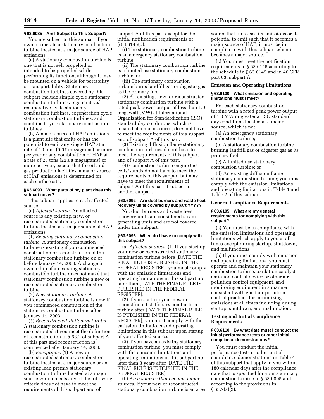#### **§ 63.6085 Am I Subject to This Subpart?**

You are subject to this subpart if you own or operate a stationary combustion turbine located at a major source of HAP emissions.

(a) A stationary combustion turbine is one that is not self propelled or intended to be propelled while performing its function, although it may be mounted on a vehicle for portability or transportability. Stationary combustion turbines covered by this subpart include simple cycle stationary combustion turbines, regenerative/ recuperative cycle stationary combustion turbines, cogeneration cycle stationary combustion turbines, and combined cycle stationary combustion turbines.

(b) A major source of HAP emissions is a plant site that emits or has the potential to emit any single HAP at a rate of 10 tons (9.07 megagrams) or more per year or any combination of HAP at a rate of 25 tons (22.68 megagrams) or more per year, except that for oil and gas production facilities, a major source of HAP emissions is determined for each surface site.

#### **§ 63.6090 What parts of my plant does this subpart cover?**

This subpart applies to each affected source.

(a) *Affected source.* An affected source is any existing, new, or reconstructed stationary combustion turbine located at a major source of HAP emissions.

(1) *Existing stationary combustion turbine.* A stationary combustion turbine is existing if you commenced construction or reconstruction of the stationary combustion turbine on or before January 14, 2003. A change in ownership of an existing stationary combustion turbine does not make that stationary combustion turbine a new or reconstructed stationary combustion turbine.

(2) *New stationary turbine.* A stationary combustion turbine is new if you commenced construction of the stationary combustion turbine after January 14, 2003.

(3) *Reconstructed stationary turbine.* A stationary combustion turbine is reconstructed if you meet the definition of reconstruction in § 63.2 of subpart A of this part and reconstruction is commenced after January 14, 2003.

(b) *Exceptions.* (1) A new or reconstructed stationary combustion turbine located at a major source or an existing lean premix stationary combustion turbine located at a major source which meets any of the following criteria does not have to meet the requirements of this subpart and of

subpart A of this part except for the initial notification requirements of § 63.6145(d):

(i) The stationary combustion turbine is an emergency stationary combustion turbine;

(ii) The stationary combustion turbine is a limited use stationary combustion turbine; or

(iii) The stationary combustion turbine burns landfill gas or digester gas as the primary fuel.

(2) An existing, new, or reconstructed stationary combustion turbine with a rated peak power output of less than 1.0 megawatt (MW) at International Organization for Standardization (ISO) standard day conditions, which is located at a major source, does not have to meet the requirements of this subpart and of subpart A of this part.

(3) Existing diffusion flame stationary combustion turbines do not have to meet the requirements of this subpart and of subpart A of this part.

(4) Combustion turbine engine test cells/stands do not have to meet the requirements of this subpart but may have to meet the requirements of subpart A of this part if subject to another subpart.

#### **§ 63.6092 Are duct burners and waste heat recovery units covered by subpart YYYY?**

No, duct burners and waste heat recovery units are considered steam generating units and are not covered under this subpart.

#### **§ 63.6095 When do I have to comply with this subpart?**

(a) *Affected sources.* (1) If you start up your new or reconstructed stationary combustion turbine before [DATE THE FINAL RULE IS PUBLISHED IN THE FEDERAL REGISTER], you must comply with the emission limitations and operating limitations in this subpart no later than [DATE THE FINAL RULE IS PUBLISHED IN THE FEDERAL REGISTER].

(2) If you start up your new or reconstructed stationary combustion turbine after [DATE THE FINAL RULE IS PUBLISHED IN THE FEDERAL REGISTER], you must comply with the emission limitations and operating limitations in this subpart upon startup of your affected source.

(3) If you have an existing stationary combustion turbine, you must comply with the emission limitations and operating limitations in this subpart no later than 3 years after [DATE THE FINAL RULE IS PUBLISHED IN THE FEDERAL REGISTER].

(b) *Area sources that become major sources.* If your new or reconstructed stationary combustion turbine is an area

source that increases its emissions or its potential to emit such that it becomes a major source of HAP, it must be in compliance with this subpart when it becomes a major source.

(c) You must meet the notification requirements in § 63.6145 according to the schedule in § 63.6145 and in 40 CFR part 63, subpart A.

#### **Emission and Operating Limitations**

#### **§ 63.6100 What emission and operating limitations must I meet?**

For each stationary combustion turbine with a rated peak power output of 1.0 MW or greater at ISO standard day conditions located at a major source, which is not:

(a) An emergency stationary combustion turbine;

(b) A stationary combustion turbine burning landfill gas or digester gas as its primary fuel;

(c) A limited use stationary combustion turbine; or

(d) An existing diffusion flame stationary combustion turbine; you must comply with the emission limitations and operating limitations in Table 1 and Table 2 of this subpart.

#### **General Compliance Requirements**

#### **§ 63.6105 What are my general requirements for complying with this subpart?**

(a) You must be in compliance with the emission limitations and operating limitations which apply to you at all times except during startup, shutdown, and malfunctions.

(b) If you must comply with emission and operating limitations, you must operate and maintain your stationary combustion turbine, oxidation catalyst emission control device or other air pollution control equipment, and monitoring equipment in a manner consistent with good air pollution control practices for minimizing emissions at all times including during startup, shutdown, and malfunction.

## **Testing and Initial Compliance Requirements**

#### **§ 63.6110 By what date must I conduct the initial performance tests or other initial compliance demonstrations?**

You must conduct the initial performance tests or other initial compliance demonstrations in Table 4 of this subpart that apply to you within 180 calendar days after the compliance date that is specified for your stationary combustion turbine in § 63.6095 and according to the provisions in § 63.7(a)(2).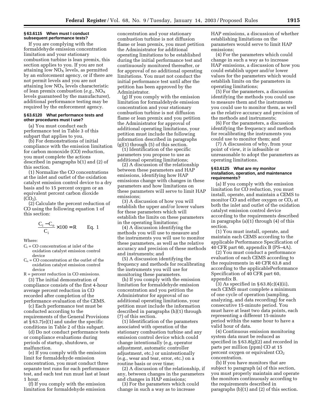#### **§ 63.6115 When must I conduct subsequent performance tests?**

If you are complying with the formaldehyde emission concentration limitation and your stationary combustion turbine is lean premix, this section applies to you. If you are not attaining low  $NO<sub>x</sub>$  levels, as permitted by an enforcement agency, or if there are not permit levels and you are not attaining low  $NO<sub>x</sub>$  levels characteristic of lean premix combustion (*e.g.*, NOX levels guaranteed by the manufacturer), additional performance testing may be required by the enforcement agency.

#### **§ 63.6120 What performance tests and other procedures must I use?**

(a) You must conduct each performance test in Table 3 of this subpart that applies to you.

(b) For demonstrations of initial compliance with the emission limitation for carbon monoxide (CO) reduction, you must complete the actions described in paragraphs b(1) and (2) of this section.

(1) Normalize the CO concentrations at the inlet and outlet of the oxidation catalyst emission control device to a dry basis and to 15 percent oxygen or an equivalent percent carbon dioxide  $(CO<sub>2</sub>)$ .

(2) Calculate the percent reduction of CO using the following equation 1 of this section:

$$
\frac{C_i - C_o}{C_i} \times 100 = R
$$
 Eq. 1

Where:

- $C_i = CO$  concentration at inlet of the oxidation catalyst emission control device
- $C<sub>o</sub> = CO concentration at the outlet of the$ oxidation catalyst emission control device
- R = percent reduction in CO emissions.

(3) The initial demonstration of compliance consists of the first 4-hour average percent reduction in CO recorded after completion of the performance evaluation of the CEMS.

(c) Each performance test must be conducted according to the requirements of the General Provisions at § 63.7(e)(1) and under the specific conditions in Table 2 of this subpart.

(d) Do not conduct performance tests or compliance evaluations during periods of startup, shutdown, or malfunction.

(e) If you comply with the emission limit for formaldehyde emission concentration, you must conduct three separate test runs for each performance test, and each test run must last at least 1 hour.

(f) If you comply with the emission limitation for formaldehyde emission

concentration and your stationary combustion turbine is not diffusion flame or lean premix, you must petition the Administrator for additional operating limitations to be established during the initial performance test and continuously monitored thereafter, or for approval of no additional operating limitations. You must not conduct the initial performance test until after the petition has been approved by the Administrator.

(g) If you comply with the emission limitation for formaldehyde emission concentration and your stationary combustion turbine is not diffusion flame or lean premix and you petition the Administrator for approval of additional operating limitations, your petition must include the following information described in paragraphs  $(g)(1)$  through  $(5)$  of this section.

(1) Identification of the specific parameters you propose to use as additional operating limitations;

(2) A discussion of the relationship between these parameters and HAP emissions, identifying how HAP emissions change with changes in these parameters and how limitations on these parameters will serve to limit HAP emissions;

(3) A discussion of how you will establish the upper and/or lower values for these parameters which will establish the limits on these parameters in the operating limitations;

(4) A discussion identifying the methods you will use to measure and the instruments you will use to monitor these parameters, as well as the relative accuracy and precision of these methods and instruments; and

(5) A discussion identifying the frequency and methods for recalibrating the instruments you will use for monitoring these parameters.

(h) If you comply with the emission limitation for formaldehyde emission concentration and you petition the Administrator for approval of no additional operating limitations, your petition must include the information described in paragraphs (h)(1) through (7) of this section.

(1) Identification of the parameters associated with operation of the stationary combustion turbine and any emission control device which could change intentionally (e.g, operator adjustment, automatic controller adjustment, etc.) or unintentionally (e.g., wear and tear, error, etc.) on a routine basis or over time;

(2) A discussion of the relationship, if any, between changes in the parameters and changes in HAP emissions;

(3) For the parameters which could change in such a way as to increase

HAP emissions, a discussion of whether establishing limitations on the parameters would serve to limit HAP emissions;

(4) For the parameters which could change in such a way as to increase HAP emissions, a discussion of how you could establish upper and/or lower values for the parameters which would establish limits on the parameters in operating limitations;

(5) For the parameters, a discussion identifying the methods you could use to measure them and the instruments you could use to monitor them, as well as the relative accuracy and precision of the methods and instruments;

(6) For the parameters, a discussion identifying the frequency and methods for recalibrating the instruments you could use to monitor them; and

(7) A discussion of why, from your point of view, it is infeasible or unreasonable to adopt the parameters as operating limitations.

#### **§ 63.6125 What are my monitor installation, operation, and maintenance requirements?**

(a) If you comply with the emission limitation for CO reduction, you must install, operate, and maintain a CEMS to monitor  $CO$  and either oxygen or  $CO<sub>2</sub>$  at both the inlet and outlet of the oxidation catalyst emission control device according to the requirements described in paragraphs (a)(1) through (4) of this section.

(1) You must install, operate, and maintain each CEMS according to the applicable Performance Specification of 40 CFR part 60, appendix B (PS–4A).

(2) You must conduct a performance evaluation of each CEMS according to the requirements in 40 CFR 63.8 and according to the applicablePerformance Specification of 40 CFR part 60, appendix B.

(3) As specified in  $\S 63.8(c)(4)(ii)$ , each CEMS must complete a minimum of one cycle of operation (sampling, analyzing, and data recording) for each consecutive 15-minute period. You must have at least two data points, each representing a different 15-minute period within the same hour to have a valid hour of data.

(4) Continuous emission monitoring system data must be reduced as specified in § 63.8(g)(2) and recorded in parts per million (ppm) CO at 15 percent oxygen or equivalent  $CO<sub>2</sub>$ concentration.

(b) If you have monitors that are subject to paragraph (a) of this section, you must properly maintain and operate the monitors continuously according to the requirements described in paragraphs (b)(1) and (2) of this section.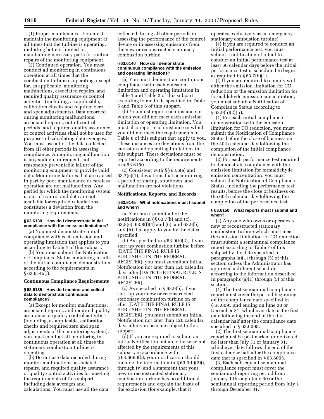(1) Proper maintenance. You must maintain the monitoring equipment at all times that the turbine is operating, including but not limited to, maintaining necessary parts for routine repairs of the monitoring equipment.

(2) Continued operation. You must conduct all monitoring in continuous operation at all times that the combustion turbine is operating, except for, as applicable, monitoring malfunctions, associated repairs, and required quality assurance or control activities (including, as applicable, calibration checks and required zero and span adjustments). Data recorded during monitoring malfunctions, associated repairs, out-of-control periods, and required quality assurance or control activities shall not be used for purposes of calculating data averages. You must use all of the data collected from all other periods in assessing compliance. A monitoring malfunction is any sudden, infrequent, not reasonably preventable failure of the monitoring equipment to provide valid data. Monitoring failures that are caused in part by poor maintenance or careless operation are not malfunctions. Any period for which the monitoring system is out-of-control and data are not available for required calculations constitutes a deviation from the monitoring requirements.

#### **§ 63.6130 How do I demonstrate initial compliance with the emission limitations?**

(a) You must demonstrate initial compliance with each emission and operating limitation that applies to you according to Table 4 of this subpart.

(b) You must submit the Notification of Compliance Status containing results of the initial compliance demonstration according to the requirements in § 63.6145(f).

#### **Continuous Compliance Requirements**

#### **§ 63.6135 How do I monitor and collect data to demonstrate continuous compliance?**

(a) Except for monitor malfunctions, associated repairs, and required quality assurance or quality control activities (including, as applicable, calibration checks and required zero and span adjustments of the monitoring system), you must conduct all monitoring in continuous operation at all times the stationary combustion turbine is operating.

(b) Do not use data recorded during monitor malfunctions, associated repairs, and required quality assurance or quality control activities for meeting the requirements of this subpart, including data averages and calculations. You must use all the data

collected during all other periods in assessing the performance of the control device or in assessing emissions from the new or reconstructed stationary combustion turbine.

#### **§ 63.6140 How do I demonstrate continuous compliance with the emission and operating limitations?**

(a) You must demonstrate continuous compliance with each emission limitation and operating limitation in Table 1 and Table 2 of this subpart according to methods specified in Table 5 and Table 6 of this subpart.

(b) You must report each instance in which you did not meet each emission limitation or operating limitation. You must also report each instance in which you did not meet the requirements in Table 8 of this subpart that apply to you. These instances are deviations from the emission and operating limitations in this subpart. These deviations must be reported according to the requirements in § 63.6150.

(c) Consistent with §§ 63.6(e) and 63.7(e)(1), deviations that occur during a period of startup, shutdown, and malfunction are not violations.

#### **Notifications, Reports, and Records**

#### **§ 63.6145 What notifications must I submit and when?**

(a) You must submit all of the notifications in §§ 63.7(b) and (c), 63.8(e), 63.8(f)(4) and (6), and 63.9(b) and (h) that apply to you by the dates specified.

(b) As specified in  $\S 63.9(b)(2)$ , if you start up your combustion turbine before [DATE THE FINAL RULE IS PUBLISHED IN THE FEDERAL REGISTER], you must submit an Initial Notification not later than 120 calendar days after [DATE THE FINAL RULE IS PUBLISHED IN THE FEDERAL REGISTER].

(c) As specified in § 63.9(b), if you start up your new or reconstructed stationary combustion turbine on or after [DATE THE FINAL RULE IS PUBLISHED IN THE FEDERAL REGISTER], you must submit an Initial Notification not later than 120 calendar days after you become subject to this subpart.

(d) If you are required to submit an Initial Notification but are otherwise not affected by the requirements of this subpart, in accordance with § 63.6090(b), your notification should include the information in § 63.9(b)(2)(i) through (v) and a statement that your new or reconstructed stationary combustion turbine has no additional requirements and explain the basis of the exclusion (for example, that it

operates exclusively as an emergency stationary combustion turbine).

(e) If you are required to conduct an initial performance test, you must submit a notification of intent to conduct an initial performance test at least 60 calendar days before the initial performance test is scheduled to begin as required in  $§ 63.7(b)(1)$ .

(f) If you are required to comply with either the emission limitation for CO reduction or the emission limitation for formaldehyde emission concentration, you must submit a Notification of Compliance Status according to  $§ 63.9(h)(2)(ii).$ 

(1) For each initial compliance demonstration with the emission limitation for CO reduction, you must submit the Notification of Compliance Status before the close of business on the 30th calendar day following the completion of the initial compliance demonstration.

(2) For each performance test required to demonstrate compliance with the emission limitation for formaldehyde emission concentration, you must submit the Notification of Compliance Status, including the performance test results, before the close of business on the 60th calendar day following the completion of the performance test.

#### **§ 63.6150 What reports must I submit and when?**

(a) Any one who owns or operates a new or reconstructed stationary combustion turbine which must meet the emission limitation for CO reduction must submit a semiannual compliance report according to Table 7 of this subpart by the date specified in paragraphs (a)(1) through (5) of this section unless the Administrator has approved a different schedule, according to the information described in paragraphs (a)(1) through (5) of this section.

(1) The first semiannual compliance report must cover the period beginning on the compliance date specified in § 63.6095 and ending on June 30 or December 31, whichever date is the first date following the end of the first calendar half after the compliance date specified in § 63.6095.

(2) The first semiannual compliance report must be postmarked or delivered no later than July 31 or January 31, whichever date follows the end of the first calendar half after the compliance date that is specified in § 63.6095.

(3) Each subsequent semiannual compliance report must cover the semiannual reporting period from January 1 through June 30 or the semiannual reporting period from July 1 through December 31.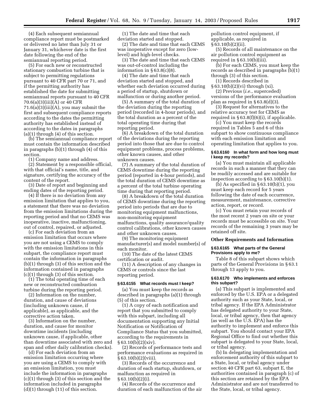(4) Each subsequent semiannual compliance report must be postmarked or delivered no later than July 31 or January 31, whichever date is the first date following the end of the semiannual reporting period.

(5) For each new or reconstructed stationary combustion turbine that is subject to permitting regulations pursuant to 40 CFR part 70 or 71, and if the permitting authority has established the date for submitting semiannual reports pursuant to 40 CFR 70.6(a)(3)(iii)(A) or 40 CFR  $71.6(a)(3)(iii)(A)$ , you may submit the first and subsequent compliance reports according to the dates the permitting authority has established instead of according to the dates in paragraphs (a)(1) through (4) of this section.

(b) The semiannual compliance report must contain the information described in paragraphs (b)(1) through (4) of this section.

(1) Company name and address.

(2) Statement by a responsible official, with that official's name, title, and signature, certifying the accuracy of the content of the report.

(3) Date of report and beginning and ending dates of the reporting period.

(4) If there is no deviation from any emission limitation that applies to you, a statement that there was no deviation from the emission limitations during the reporting period and that no CEMS was inoperative, inactive, malfunctioning, out of control, repaired, or adjusted.

(c) For each deviation from an emission limitation that occurs where you are not using a CEMS to comply with the emission limitations in this subpart, the compliance report must contain the information in paragraphs (b)(1) through (3) of this section and the information contained in paragraphs (c)(1) through (3) of this section.

(1) The total operating time of each new or reconstructed combustion turbine during the reporting period.

(2) Information on the number, duration, and cause of deviations (including unknown cause, if applicable), as applicable, and the corrective action taken.

(3) Information on the number, duration, and cause for monitor downtime incidents (including unknown cause, if applicable, other than downtime associated with zero and span and other daily calibration checks).

(d) For each deviation from an emission limitation occurring where you are using a CEMS to comply with an emission limitation, you must include the information in paragraphs (c)(1) through (3) of this section and the information included in paragraphs  $(d)(1)$  through  $(11)$  of this section.

(1) The date and time that each deviation started and stopped.

(2) The date and time that each CEMS was inoperative except for zero (lowlevel) and high-level checks.

(3) The date and time that each CEMS was out-of-control including the information in  $\S 63.8(c)(8)$ .

(4) The date and time that each deviation started and stopped, and whether each deviation occurred during a period of startup, shutdown or malfunction or during another period.

(5) A summary of the total duration of the deviation during the reporting period (recorded in 4-hour periods), and the total duration as a percent of the total operating time during that reporting period.

(6) A breakdown of the total duration of the deviations during the reporting period into those that are due to control equipment problems, process problems, other known causes, and other unknown causes.

(7) A summary of the total duration of CEMS downtime during the reporting period (reported in 4-hour periods), and the total duration of CEMS downtime as a percent of the total turbine operating time during that reporting period.

(8) A breakdown of the total duration of CEMS downtime during the reporting period into periods that are due to monitoring equipment malfunctions, non-monitoring equipment malfunctions, quality assurance/quality control calibrations, other known causes and other unknown causes.

(9) The monitoring equipment manufacturer(s) and model number(s) of each monitor.

(10) The date of the latest CEMS certification or audit.

(11) A description of any changes in CEMS or controls since the last reporting period.

#### **§ 63.6155 What records must I keep?**

(a) You must keep the records as described in paragraphs (a)(1) through (5) of this section.

(1) A copy of each notification and report that you submitted to comply with this subpart, including all documentation supporting any Initial Notification or Notification of Compliance Status that you submitted, according to the requirements in  $§ 63.10(b)(2)(xiv).$ 

(2) Records of performance tests and performance evaluations as required in  $§ 63.10(b)(2)(viii).$ 

(3) Records of the occurrence and duration of each startup, shutdown, or malfunction as required in § 63.10(b)(2)(i).

(4) Records of the occurrence and duration of each malfunction of the air pollution control equipment, if applicable, as required in  $§ 63.10(b)(2)(ii).$ 

(5) Records of all maintenance on the air pollution control equipment as required in § 63.10(b)(iii).

(b) For each CEMS, you must keep the records as described in paragraphs (b)(1) through (3) of this section.

(1) Records described in

§ 63.10(b)(2)(vi) through (xi).

(2) Previous (*i.e.*, superceded) versions of the performance evaluation plan as required in § 63.8(d)(3).

(3) Request for alternatives to the relative accuracy test for CEMS as required in § 63.8(f)(6)(i), if applicable.

(c) You must keep the records required in Tables 5 and 6 of this subpart to show continuous compliance with each emission limitation and operating limitation that applies to you.

#### **§ 63.6160 In what form and how long must I keep my records?**

(a) You must maintain all applicable records in such a manner that they can be readily accessed and are suitable for inspection according to § 63.10(b)(1).

 $(b)$  As specified in § 63.10 $(b)(1)$ , you must keep each record for 5 years following the date of each occurrence, measurement, maintenance, corrective action, report, or record.

(c) You must retain your records of the most recent 2 years on site or your records must be accessible on site. Your records of the remaining 3 years may be retained off site.

#### **Other Requirements and Information**

#### **§ 63.6165 What parts of the General Provisions apply to me?**

Table 8 of this subpart shows which parts of the General Provisions in §63.1 through 13 apply to you.

#### **§ 63.6170 Who implements and enforces this subpart?**

(a) This subpart is implemented and enforced by the U.S. EPA or a delegated authority such as your State, local, or tribal agency. If the EPA Administrator has delegated authority to your State, local, or tribal agency, then that agency (as well as the U.S. EPA) has the authority to implement and enforce this subpart. You should contact your EPA Regional Office to find out whether this subpart is delegated to your State, local, or tribal agency.

(b) In delegating implementation and enforcement authority of this subpart to a State, local, or tribal agency under section 40 CFR part 63, subpart E, the authorities contained in paragraph (c) of this section are retained by the EPA Administrator and are not transferred to the State, local, or tribal agency.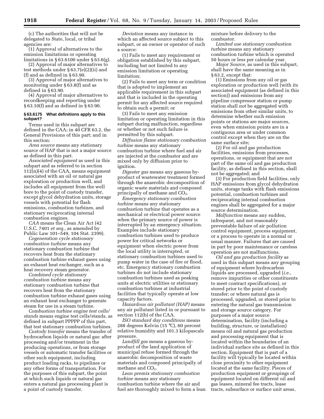(c) The authorities that will not be delegated to State, local, or tribal agencies are:

(1) Approval of alternatives to the emission limitations or operating limitations in § 63.6100 under § 63.6(g).

(2) Approval of major alternatives to test methods under § 63.7(e)(2)(ii) and (f) and as defined in § 63.90.

(3) Approval of major alternatives to monitoring under § 63.8(f) and as defined in § 63.90.

(4) Approval of major alternatives to recordkeeping and reporting under § 63.10(f) and as defined in § 63.90.

#### **§ 63.6175 What definitions apply to this subpart?**

Terms used in this subpart are defined in the CAA; in 40 CFR 63.2, the General Provisions of this part; and in this section:

*Area source* means any stationary source of HAP that is not a major source as defined in this part.

*Associated equipment* as used in this subpart and as referred to in section 112(n)(4) of the CAA, means equipment associated with an oil or natural gas exploration or production well, and includes all equipment from the well bore to the point of custody transfer, except glycol dehydration units, storage vessels with potential for flash emissions, combustion turbines, and stationary reciprocating internal combustion engines.

*CAA* means the Clean Air Act (42 U.S.C. 7401 *et seq.*, as amended by Public Law 101–549, 104 Stat. 2399).

*Cogeneration cycle stationary combustion turbine* means any stationary combustion turbine that recovers heat from the stationary combustion turbine exhaust gases using an exhaust heat exchanger, such as a heat recovery steam generator.

*Combined cycle stationary combustion turbine* means any stationary combustion turbine that recovers heat from the stationary combustion turbine exhaust gases using an exhaust heat exchanger to generate steam for use in a steam turbine.

*Combustion turbine engine test cells/ stands* means engine test cells/stands, as defined in subpart PPPPP of this part, that test stationary combustion turbines.

*Custody transfer* means the transfer of hydrocarbon liquids or natural gas: after processing and/or treatment in the producing operations, or from storage vessels or automatic transfer facilities or other such equipment, including product loading racks, to pipelines or any other forms of transportation. For the purposes of this subpart, the point at which such liquids or natural gas enters a natural gas processing plant is a point of custody transfer.

*Deviation* means any instance in which an affected source subject to this subpart, or an owner or operator of such a source:

(1) Fails to meet any requirement or obligation established by this subpart, including but not limited to any emission limitation or operating limitation;

(2) Fails to meet any term or condition that is adopted to implement an applicable requirement in this subpart and that is included in the operating permit for any affected source required to obtain such a permit; or

(3) Fails to meet any emission limitation or operating limitation in this subpart during malfunction, regardless or whether or not such failure is permitted by this subpart.

*Diffusion flame stationary combustion turbine* means any stationary combustion turbine where fuel and air are injected at the combustor and are mixed only by diffusion prior to ignition.

*Digester gas* means any gaseous byproduct of wastewater treatment formed through the anaerobic decomposition of organic waste materials and composed principally of methane and CO<sub>2</sub>.

*Emergency stationary combustion turbine* means any stationary combustion turbine that operates as a mechanical or electrical power source when the primary source of power is interrupted by an emergency situation. Examples include stationary combustion turbines used to produce power for critical networks or equipment when electric power from the local utility is interrupted, or stationary combustion turbines used to pump water in the case of fire or flood, etc. Emergency stationary combustion turbines do not include stationary combustion turbines used as peaking units at electric utilities or stationary combustion turbines at industrial facilities that typically operate at low capacity factors.

*Hazardous air pollutant (HAP)* means any air pollutant listed in or pursuant to section 112(b) of the CAA.

*ISO standard day conditions* means 288 degrees Kelvin (15 °C), 60 percent relative humidity and 101.3 kilopascals pressure.

*Landfill gas* means a gaseous byproduct of the land application of municipal refuse formed through the anaerobic decomposition of waste materials and composed principally of methane and  $CO<sub>2</sub>$ .

*Lean premix stationary combustion turbine* means any stationary combustion turbine where the air and fuel are thoroughly mixed to form a lean mixture before delivery to the combustor.

*Limited use stationary combustion turbine* means any stationary combustion turbine which is operated 50 hours or less per calendar year.

*Major Source,* as used in this subpart, shall have the same meaning as in § 63.2, except that:

(1) Emissions from any oil or gas exploration or production well (with its associated equipment (as defined in this section)) and emissions from any pipeline compressor station or pump station shall not be aggregated with emissions from other similar units, to determine whether such emission points or stations are major sources, even when emission points are in a contiguous area or under common control except when they are on the same surface site;

(2) For oil and gas production facilities, emissions from processes, operations, or equipment that are not part of the same oil and gas production facility, as defined in this section, shall not be aggregated; and

(3) For production field facilities, only HAP emissions from glycol dehydration units, storage tanks with flash emissions potential, combustion turbines and reciprocating internal combustion engines shall be aggregated for a major source determination.

*Malfunction* means any sudden, infrequent, and not reasonably preventable failure of air pollution control equipment, process equipment, or a process to operate in a normal or usual manner. Failures that are caused in part by poor maintenance or careless operation are not malfunctions.

*Oil and gas production facility* as used in this subpart means any grouping of equipment where hydrocarbon liquids are processed, upgraded (*i.e.*, remove impurities or other constituents to meet contract specifications), or stored prior to the point of custody transfer; or where natural gas is processed, upgraded, or stored prior to entering the natural gas transmission and storage source category. For purposes of a major source determination, facility (including a building, structure, or installation) means oil and natural gas production and processing equipment that is located within the boundaries of an individual surface site as defined in this section. Equipment that is part of a facility will typically be located within close proximity to other equipment located at the same facility. Pieces of production equipment or groupings of equipment located on different oil and gas leases, mineral fee tracts, lease tracts, subsurface or surface unit areas,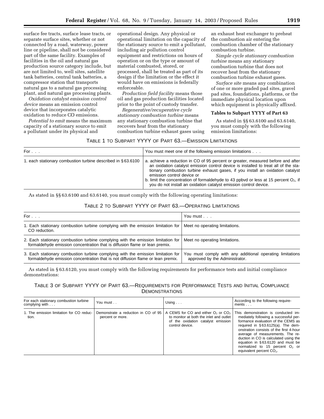surface fee tracts, surface lease tracts, or separate surface sites, whether or not connected by a road, waterway, power line or pipeline, shall not be considered part of the same facility. Examples of facilities in the oil and natural gas production source category include, but are not limited to, well sites, satellite tank batteries, central tank batteries, a compressor station that transports natural gas to a natural gas processing plant, and natural gas processing plants.

*Oxidation catalyst emission control device* means an emission control device that incorporates catalytic oxidation to reduce CO emissions.

*Potential to emit* means the maximum capacity of a stationary source to emit a pollutant under its physical and

operational design. Any physical or operational limitation on the capacity of the stationary source to emit a pollutant, including air pollution control equipment and restrictions on hours of operation or on the type or amount of material combusted, stored, or processed, shall be treated as part of its design if the limitation or the effect it would have on emissions is federally enforceable.

*Production field facility* means those oil and gas production facilities located prior to the point of custody transfer.

*Regenerative/recuperative cycle stationary combustion turbine* means any stationary combustion turbine that recovers heat from the stationary combustion turbine exhaust gases using

an exhaust heat exchanger to preheat the combustion air entering the combustion chamber of the stationary combustion turbine.

*Simple cycle stationary combustion turbine* means any stationary combustion turbine that does not recover heat from the stationary combustion turbine exhaust gases.

*Surface site* means any combination of one or more graded pad sites, gravel pad sites, foundations, platforms, or the immediate physical location upon which equipment is physically affixed.

## **Tables to Subpart YYYY of Part 63**

As stated in §§ 63.6100 and 63.6140, you must comply with the following emission limitations:

## TABLE 1 TO SUBPART YYYY OF PART 63.—EMISSION LIMITATIONS

| For $\ldots$                                                | You must meet one of the following emission limitations                                                                                                                                                                                                                                                                                                                                                                                                 |
|-------------------------------------------------------------|---------------------------------------------------------------------------------------------------------------------------------------------------------------------------------------------------------------------------------------------------------------------------------------------------------------------------------------------------------------------------------------------------------------------------------------------------------|
| 1. each stationary combustion turbine described in §63.6100 | a. achieve a reduction in CO of 95 percent or greater, measured before and after<br>an oxidation catalyst emission control device is installed to treat all of the sta-<br>tionary combustion turbine exhaust gases, if you install an oxidation catalyst<br>emission control device or<br>b. limit the concentration of formaldehyde to 43 ppbvd or less at 15 percent $O_2$ , if<br>you do not install an oxidation catalyst emission control device. |

As stated in §§ 63.6100 and 63.6140, you must comply with the following operating limitations:

## TABLE 2 TO SUBPART YYYY OF PART 63.—OPERATING LIMITATIONS

| For $\ldots$                                                                                                                                                        | You must                                                                                    |
|---------------------------------------------------------------------------------------------------------------------------------------------------------------------|---------------------------------------------------------------------------------------------|
| 1. Each stationary combustion turbine complying with the emission limitation for Meet no operating limitations.<br>CO reduction.                                    |                                                                                             |
| 2. Each stationary combustion turbine complying with the emission limitation for<br>formaldehyde emission concentration that is diffusion flame or lean premix.     | Meet no operating limitations.                                                              |
| 3. Each stationary combustion turbine complying with the emission limitation for<br>formaldehyde emission concentration that is not diffusion flame or lean premix. | You must comply with any additional operating limitations<br>approved by the Administrator. |

As stated in § 63.6120, you must comply with the following requirements for performance tests and initial compliance demonstrations:

## TABLE 3 OF SUBPART YYYY OF PART 63.—REQUIREMENTS FOR PERFORMANCE TESTS AND INITIAL COMPLIANCE **DEMONSTRATIONS**

| For each stationary combustion turbine<br>complying with $\ldots$ | You must         | Using $\ldots$                                                                                                                                                                              | According to the following require-<br>ments $\ldots$                                                                                                                                                                                                                                                                                                                                 |
|-------------------------------------------------------------------|------------------|---------------------------------------------------------------------------------------------------------------------------------------------------------------------------------------------|---------------------------------------------------------------------------------------------------------------------------------------------------------------------------------------------------------------------------------------------------------------------------------------------------------------------------------------------------------------------------------------|
| 1. The emission limitation for CO reduc-<br>tion.                 | percent or more. | Demonstrate a reduction in CO of 95   A CEMS for CO and either $O_2$ or CO <sub>2</sub><br>to monitor at both the inlet and outlet<br>of the oxidation catalyst emission<br>control device. | This demonstration is conducted im-<br>mediately following a successful per-<br>formance evaluation of the CEMS as<br>required in §63.6125(a). The dem-<br>onstration consists of the first 4-hour<br>average of measurements. The re-<br>duction in CO is calculated using the<br>equation in §63.6120 and must be<br>normalized to 15 percent $O2$ or<br>equivalent percent $CO2$ . |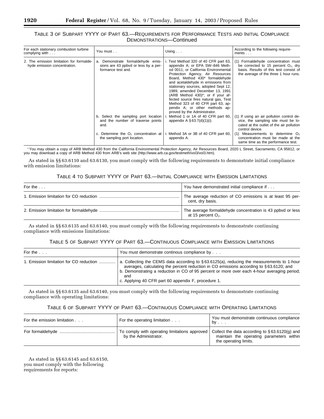## TABLE 3 OF SUBPART YYYY OF PART 63.—REQUIREMENTS FOR PERFORMANCE TESTS AND INITIAL COMPLIANCE DEMONSTRATIONS—Continued

| For each stationary combustion turbine<br>complying with $\ldots$        | You must                                                                                        | Using $\ldots$                                                                                                                                                                                                                                                                                                                                                                                                                                                                                | According to the following require-<br>ments $\ldots$                                                                                                            |
|--------------------------------------------------------------------------|-------------------------------------------------------------------------------------------------|-----------------------------------------------------------------------------------------------------------------------------------------------------------------------------------------------------------------------------------------------------------------------------------------------------------------------------------------------------------------------------------------------------------------------------------------------------------------------------------------------|------------------------------------------------------------------------------------------------------------------------------------------------------------------|
| 2. The emission limitation for formalde-<br>hyde emission concentration. | a. Demonstrate formaldehyde emis-<br>sions are 43 ppbvd or less by a per-<br>formance test and. | i. Test Method 320 of 40 CFR part 63,<br>appendix A; or EPA SW-846 Meth-<br>od 0011; or California Environmental<br>Protection Agency, Air Resources<br>Board, Method 430* formaldehyde<br>and acetaldehyde in emissions from<br>stationary sources, adopted Sept 12,<br>1989, amended December 13, 1991<br>(ARB Method 430)*; or if your af-<br>fected source fires natural gas, Test<br>Method 323 of 40 CFR part 63, ap-<br>pendix A; or other methods ap-<br>proved by the Administrator. | (1) Formaldehyde concentration must<br>be corrected to 15 percent $O_2$ , dry<br>basis. Results of this test consist of<br>the average of the three 1 hour runs. |
|                                                                          | b. Select the sampling port location<br>and the number of traverse points<br>and.               | i. Method 1 or 1A of 40 CFR part 60,<br>appendix A $\S 63.7(d)(1)(i)$ .                                                                                                                                                                                                                                                                                                                                                                                                                       | (1) If using an air pollution control de-<br>vice, the sampling site must be lo-<br>cated at the outlet of the air pollution<br>control device.                  |
|                                                                          | c. Determine the $O2$ concentration at $ $<br>the sampling port location.                       | i. Method 3A or 3B of 40 CFR part 60,<br>appendix A.                                                                                                                                                                                                                                                                                                                                                                                                                                          | Measurements to determine $O2$<br>(1)<br>concentration must be made at the<br>same time as the performance test.                                                 |

\*You may obtain a copy of ARB Method 430 from the California Environmental Protection Agency, Air Resources Board, 2020 L Street, Sacramento, CA 95812, or you may download a copy of ARB Method 430 from ARB's web site (http://www.arb.ca.gov/testmeth/vol3/vol3.htm).

As stated in §§ 63.6110 and 63.6130, you must comply with the following requirements to demonstrate initial compliance with emission limitations:

## TABLE 4 TO SUBPART YYYY OF PART 63.—INITIAL COMPLIANCE WITH EMISSION LIMITATIONS

| For the $\ldots$ | You have demonstrated initial compliance if                                        |
|------------------|------------------------------------------------------------------------------------|
|                  | The average reduction of CO emissions is at least 95 per-<br>cent, dry basis.      |
|                  | The average formaldehyde concentration is 43 ppbvd or less<br>at 15 percent $O2$ . |

As stated in §§ 63.6135 and 63.6140, you must comply with the following requirements to demonstrate continuing compliance with emissions limitations:

## TABLE 5 OF SUBPART YYYY OF PART 63.—CONTINUOUS COMPLIANCE WITH EMISSION LIMITATIONS

| For the                                 | You must demonstrate continous compliance by                                                                                                                                                                                                                                                                                                          |
|-----------------------------------------|-------------------------------------------------------------------------------------------------------------------------------------------------------------------------------------------------------------------------------------------------------------------------------------------------------------------------------------------------------|
| 1. Emission limitation for CO reduction | a. Collecting the CEMS data according to §63.6125(a), reducing the measurements to 1-hour<br>averages, calculating the percent reduction in CO emissions according to $\S 63.6120$ ; and<br>b. Demonstrating a reduction in CO of 95 percent or more over each 4-hour averaging period;<br>and<br>c. Applying 40 CFR part 60 appendix F, procedure 1. |

As stated in §§ 63.6135 and 63.6140, you must comply with the following requirements to demonstrate continuing compliance with operating limitations:

## TABLE 6 OF SUBPART YYYY OF PART 63.—CONTINUOUS COMPLIANCE WITH OPERATING LIMITATIONS

| For the emission limitation | For the operating limitation                                           | You must demonstrate continuous compliance<br>$by \ldots$                                                              |
|-----------------------------|------------------------------------------------------------------------|------------------------------------------------------------------------------------------------------------------------|
|                             | To comply with operating limitations approved<br>by the Administrator. | Collect the data according to $\S 63.6120(q)$ and<br>maintain the operating parameters within<br>the operating limits. |

As stated in §§ 63.6145 and 63.6150, you must comply with the following requirements for reports: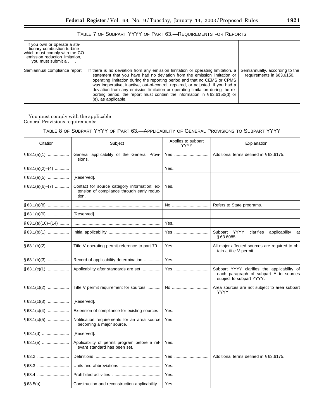| If you own or operate a sta-<br>tionary combustion turbine<br>which must comply with the CO<br>emission reduction limitation,<br>you must submit a |                                                                                                                                                                                                                                                                                                                                                                                                                                                                                                                      |                                                              |
|----------------------------------------------------------------------------------------------------------------------------------------------------|----------------------------------------------------------------------------------------------------------------------------------------------------------------------------------------------------------------------------------------------------------------------------------------------------------------------------------------------------------------------------------------------------------------------------------------------------------------------------------------------------------------------|--------------------------------------------------------------|
| Semiannual compliance report                                                                                                                       | If there is no deviation from any emission limitation or operating limitation, a<br>statement that you have had no deviation from the emission limitation or<br>operating limitation during the reporting period and that no CEMS or CPMS<br>was inoperative, inactive, out-of-control, repaired, or adjusted. If you had a<br>deviation from any emission limitation or operating limitation during the re-<br>porting period, the report must contain the information in $\S 63.6150(d)$ or<br>(e), as applicable. | Semiannually, according to the<br>requirements in \$63,6150. |

TABLE 7 OF SUBPART YYYY OF PART 63.—REQUIREMENTS FOR REPORTS

You must comply with the applicable General Provisions requirements:

## TABLE 8 OF SUBPART YYYY OF PART 63.—APPLICABILITY OF GENERAL PROVISIONS TO SUBPART YYYY

| Citation             | Subject                                                                                             | Applies to subpart<br><b>YYYY</b> | Explanation                                                                                                       |
|----------------------|-----------------------------------------------------------------------------------------------------|-----------------------------------|-------------------------------------------------------------------------------------------------------------------|
| $§ 63.1(a)(1)$       | General applicability of the General Provi-<br>sions.                                               | Yes                               | Additional terms defined in §63.6175.                                                                             |
| $§ 63.1(a)(2)–(4)$   |                                                                                                     | Yes                               |                                                                                                                   |
| $§ 63.1(a)(5)$       | [Reserved].                                                                                         |                                   |                                                                                                                   |
| $§ 63.1(a)(6)–(7)$   | Contact for source category information; ex-<br>tension of compliance through early reduc-<br>tion. | Yes.                              |                                                                                                                   |
| $§63.1(a)(8)$        |                                                                                                     | No                                | Refers to State programs.                                                                                         |
| $§63.1(a)(9)$        | [Reserved].                                                                                         |                                   |                                                                                                                   |
| $§ 63.1(a)(10)–(14)$ |                                                                                                     | Yes                               |                                                                                                                   |
| $\S$ 63.1(b)(1)      |                                                                                                     | Yes                               | Subpart YYYY<br>clarifies<br>applicability at<br>§63.6085.                                                        |
| $§63.1(b)(2)$        | Title V operating permit-reference to part 70                                                       | Yes                               | All major affected sources are required to ob-<br>tain a title V permit.                                          |
| $§ 63.1(b)(3)$       | Record of applicability determination                                                               | Yes.                              |                                                                                                                   |
| $§63.1(c)(1)$        | Applicability after standards are set                                                               | Yes                               | Subpart YYYY clarifies the applicability of<br>each paragraph of subpart A to sources<br>subject to subpart YYYY. |
| $§ 63.1(c)(2)$       | Title V permit requirement for sources                                                              | No                                | Area sources are not subject to area subpart<br>YYYY.                                                             |
| $§ 63.1(c)(3)$       | [Reserved].                                                                                         |                                   |                                                                                                                   |
| $§ 63.1(c)(4)$       | Extension of compliance for existing sources                                                        | Yes.                              |                                                                                                                   |
| $\S 63.1(c)(5)$      | Notification requirements for an area source<br>becoming a major source.                            | Yes                               |                                                                                                                   |
|                      | [Reserved].                                                                                         |                                   |                                                                                                                   |
| §63.1(e)             | Applicability of permit program before a rel-<br>evant standard has been set.                       | Yes.                              |                                                                                                                   |
| §63.2                |                                                                                                     | Yes                               | Additional terms defined in §63.6175.                                                                             |
| \$63.3               |                                                                                                     | Yes.                              |                                                                                                                   |
|                      |                                                                                                     | Yes.                              |                                                                                                                   |
|                      | Construction and reconstruction applicability                                                       | Yes.                              |                                                                                                                   |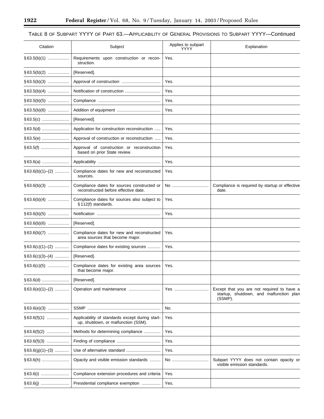-

## TABLE 8 OF SUBPART YYYY OF PART 63.—APPLICABILITY OF GENERAL PROVISIONS TO SUBPART YYYY—Continued

۰

| Citation              | Subject                                                                                | Applies to subpart<br>YYYY | Explanation                                                                                      |
|-----------------------|----------------------------------------------------------------------------------------|----------------------------|--------------------------------------------------------------------------------------------------|
| $§63.5(b)(1)$         | Requirements upon construction or recon-<br>struction.                                 | Yes.                       |                                                                                                  |
| $§63.5(b)(2)$         | [Reserved].                                                                            |                            |                                                                                                  |
| $§ 63.5(b)(3)$        |                                                                                        | Yes.                       |                                                                                                  |
| $§ 63.5(b)(4)$        | Notification of construction                                                           | Yes.                       |                                                                                                  |
| $§ 63.5(b)(5)$        |                                                                                        | Yes.                       |                                                                                                  |
| $\S 63.5(b)(6)$       |                                                                                        | Yes.                       |                                                                                                  |
|                       | [Reserved].                                                                            |                            |                                                                                                  |
|                       | Application for construction reconstruction                                            | Yes.                       |                                                                                                  |
|                       | Approval of construction or reconstruction                                             | Yes.                       |                                                                                                  |
|                       | Approval of construction or reconstruction<br>based on prior State review.             | Yes.                       |                                                                                                  |
|                       |                                                                                        | Yes.                       |                                                                                                  |
| $§ 63.6(b)(1)–(2)$    | Compliance dates for new and reconstructed<br>sources.                                 | Yes.                       |                                                                                                  |
|                       | Compliance dates for sources constructed or<br>reconstructed before effective date.    | No                         | Compliance is required by startup or effective<br>date.                                          |
| $§63.6(b)(4)$         | Compliance dates for sources also subject to<br>§ 112(f) standards.                    | Yes.                       |                                                                                                  |
| $§63.6(b)(5)$         |                                                                                        | Yes.                       |                                                                                                  |
| $§63.6(b)(6)$         | [Reserved].                                                                            |                            |                                                                                                  |
|                       | Compliance dates for new and reconstructed<br>area sources that become major.          | Yes.                       |                                                                                                  |
| $§ 63.6(c)(1)–(2)$    | Compliance dates for existing sources                                                  | Yes.                       |                                                                                                  |
| $\S 63.6(c)(3)–(4)$   | [Reserved].                                                                            |                            |                                                                                                  |
| $§63.6(c)(5)$         | Compliance dates for existing area sources<br>that become major.                       | Yes.                       |                                                                                                  |
|                       | [Reserved].                                                                            |                            |                                                                                                  |
| $§63.6(e)(1)–(2)$     |                                                                                        | Yes                        | Except that you are not required to have a<br>startup, shutdown, and malfunction plan<br>(SSMP). |
|                       |                                                                                        | No.                        |                                                                                                  |
|                       | Applicability of standards except during start-<br>up, shutdown, or malfunction (SSM). | Yes.                       |                                                                                                  |
| $\S 63.6(f)(2)$       | Methods for determining compliance                                                     | Yes.                       |                                                                                                  |
|                       |                                                                                        | Yes.                       |                                                                                                  |
| $\S 63.6(g)(1)$ – (3) |                                                                                        | Yes.                       |                                                                                                  |
| §63.6(h)              | Opacity and visible emission standards                                                 | No                         | Subpart YYYY does not contain opacity or<br>visible emission standards.                          |
|                       | Compliance extension procedures and criteria                                           | Yes.                       |                                                                                                  |
|                       | Presidential compliance exemption                                                      | Yes.                       |                                                                                                  |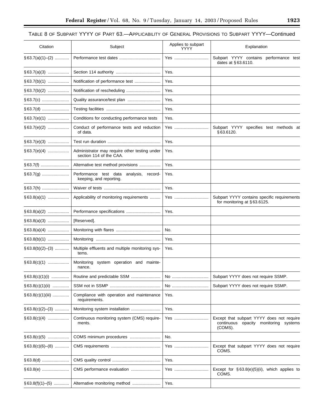-

## TABLE 8 OF SUBPART YYYY OF PART 63.—APPLICABILITY OF GENERAL PROVISIONS TO SUBPART YYYY—Continued

| Citation           | Subject                                                                  | Applies to subpart<br>YYYY | Explanation                                                                                   |  |
|--------------------|--------------------------------------------------------------------------|----------------------------|-----------------------------------------------------------------------------------------------|--|
| $§ 63.7(a)(1)–(2)$ |                                                                          | Yes                        | Subpart YYYY contains performance test<br>dates at §63.6110.                                  |  |
| $§ 63.7(a)(3)$     |                                                                          | Yes.                       |                                                                                               |  |
| $§ 63.7(b)(1)$     |                                                                          | Yes.                       |                                                                                               |  |
|                    |                                                                          | Yes.                       |                                                                                               |  |
|                    | Quality assurance/test plan                                              | Yes.                       |                                                                                               |  |
|                    |                                                                          | Yes.                       |                                                                                               |  |
| $§63.7(e)(1)$      | Conditions for conducting performance tests                              | Yes.                       |                                                                                               |  |
| $§ 63.7(e)(2)$     | Conduct of performance tests and reduction<br>of data.                   | Yes                        | Subpart YYYY specifies test methods at<br>§63.6120.                                           |  |
| $§ 63.7(e)(3)$     |                                                                          | Yes.                       |                                                                                               |  |
|                    | Administrator may require other testing under<br>section 114 of the CAA. | Yes.                       |                                                                                               |  |
|                    | Alternative test method provisions                                       | Yes.                       |                                                                                               |  |
|                    | Performance test data<br>analysis, record-<br>keeping, and reporting.    | Yes.                       |                                                                                               |  |
| §63.7(h)           |                                                                          | Yes.                       |                                                                                               |  |
| $§63.8(a)(1)$      | Applicability of monitoring requirements                                 | Yes                        | Subpart YYYY contains specific requirements<br>for monitoring at §63.6125.                    |  |
| $§ 63.8(a)(2)$     | Performance specifications                                               | Yes.                       |                                                                                               |  |
| $§ 63.8(a)(3)$     | [Reserved].                                                              |                            |                                                                                               |  |
| $§ 63.8(a)(4)$     |                                                                          | No.                        |                                                                                               |  |
| $§ 63.8(b)(1)$     |                                                                          | Yes.                       |                                                                                               |  |
| $§ 63.8(b)(2)–(3)$ | Multiple effluents and multiple monitoring sys-<br>tems.                 | Yes.                       |                                                                                               |  |
|                    | Monitoring system operation and mainte-<br>nance.                        |                            |                                                                                               |  |
| $§ 63.8(c)(1)(i)$  | Routine and predictable SSM                                              | No                         | Subpart YYYY does not require SSMP.                                                           |  |
| $§ 63.8(c)(1)(ii)$ |                                                                          | No                         | Subpart YYYY does not require SSMP.                                                           |  |
| $§63.8(c)(1)(iii)$ | Compliance with operation and maintenance<br>requirements.               | Yes.                       |                                                                                               |  |
| $§ 63.8(c)(2)–(3)$ | Monitoring system installation                                           | Yes.                       |                                                                                               |  |
| $§ 63.8(c)(4)$     | Continuous monitoring system (CMS) require-<br>ments.                    | Yes                        | Except that subpart YYYY does not require<br>continuous opacity monitoring systems<br>(COMS). |  |
| $§63.8(c)(5)$      |                                                                          | No.                        |                                                                                               |  |
| $§ 63.8(c)(6)–(8)$ |                                                                          | Yes                        | Except that subpart YYYY does not require<br>COMS.                                            |  |
|                    |                                                                          | Yes.                       |                                                                                               |  |
| §63.8(e)           | CMS performance evaluation                                               | Yes                        | Except for $\S 63.8(e)(5)(ii)$ , which applies to<br>COMS.                                    |  |
| $§ 63.8(f)(1)–(5)$ | Alternative monitoring method                                            | Yes.                       |                                                                                               |  |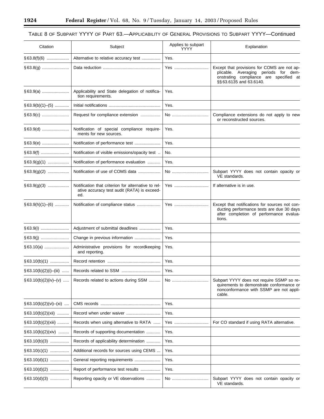۳

## TABLE 8 OF SUBPART YYYY OF PART 63.—APPLICABILITY OF GENERAL PROVISIONS TO SUBPART YYYY—Continued

۰

| Citation                    | Subject                                                                                                   | Applies to subpart<br>YYYY | Explanation                                                                                                                                              |
|-----------------------------|-----------------------------------------------------------------------------------------------------------|----------------------------|----------------------------------------------------------------------------------------------------------------------------------------------------------|
|                             | Alternative to relative accuracy test                                                                     | Yes.                       |                                                                                                                                                          |
|                             |                                                                                                           | Yes                        | Except that provisions for COMS are not ap-<br>plicable. Averaging periods for dem-<br>onstrating compliance are specified at<br>§§ 63.6135 and 63.6140. |
|                             | Applicability and State delegation of notifica-<br>tion requirements.                                     | Yes.                       |                                                                                                                                                          |
| $§ 63.9(b)(1)–(5)$          |                                                                                                           | Yes.                       |                                                                                                                                                          |
|                             | Request for compliance extension                                                                          | No                         | Compliance extensions do not apply to new<br>or reconstructed sources.                                                                                   |
|                             | Notification of special compliance require-<br>ments for new sources.                                     | Yes.                       |                                                                                                                                                          |
| §63.9(e)                    | Notification of performance test                                                                          | Yes.                       |                                                                                                                                                          |
|                             | Notification of visible emissions/opacity test                                                            | No.                        |                                                                                                                                                          |
| $§ 63.9(g)(1)$              | Notification of performance evaluation                                                                    | Yes.                       |                                                                                                                                                          |
|                             | Notification of use of COMS data                                                                          | No                         | Subpart YYYY does not contain opacity or<br>VE standards.                                                                                                |
|                             | Notification that criterion for alternative to rel-<br>ative accuracy test audit (RATA) is exceed-<br>ed. | Yes                        | If alternative is in use.                                                                                                                                |
| $§63.9(h)(1)–(6)$           | Notification of compliance status                                                                         | Yes                        | Except that notifications for sources not con-<br>ducting performance tests are due 30 days<br>after completion of performance evalua-<br>tions.         |
|                             | Adjustment of submittal deadlines                                                                         | Yes.                       |                                                                                                                                                          |
|                             | Change in previous information                                                                            | Yes.                       |                                                                                                                                                          |
| $§ 63.10(a)$                | Administrative provisions for recordkeeping<br>and reporting.                                             | Yes.                       |                                                                                                                                                          |
| $§ 63.10(b)(1)$             |                                                                                                           | Yes.                       |                                                                                                                                                          |
| $\S 63.10(b)(2)(i)$ - (iii) |                                                                                                           | Yes.                       |                                                                                                                                                          |
| $§ 63.10(b)(2)(iv)–(v)$     | Records related to actions during SSM                                                                     | No                         | Subpart YYYY does not require SSMP so re-<br>quirements to demonstrate conformance or<br>nonconformance with SSMP are not appli-<br>cable.               |
| $§ 63.10(b)(2)(vi)–(xi)$    |                                                                                                           | Yes.                       |                                                                                                                                                          |
| § 63.10(b)(2)(xii)          |                                                                                                           | Yes.                       |                                                                                                                                                          |
| § 63.10(b)(2)(xiii) ……….    | Records when using alternative to RATA                                                                    | Yes                        | For CO standard if using RATA alternative.                                                                                                               |
| § 63.10(b)(2)(xiv)          | Records of supporting documentation                                                                       | Yes.                       |                                                                                                                                                          |
| §63.10(b)(3)                | Records of applicability determination                                                                    | Yes.                       |                                                                                                                                                          |
| $\S 63.10(c)(1)$            | Additional records for sources using CEMS                                                                 | Yes.                       |                                                                                                                                                          |
| $\S$ 63.10(d)(1)            | General reporting requirements                                                                            | Yes.                       |                                                                                                                                                          |
| § 63.10(d)(2) ……………         | Report of performance test results                                                                        | Yes.                       |                                                                                                                                                          |
| $\S$ 63.10(d)(3)            | Reporting opacity or VE observations                                                                      | No                         | Subpart YYYY does not contain opacity or<br>VE standards.                                                                                                |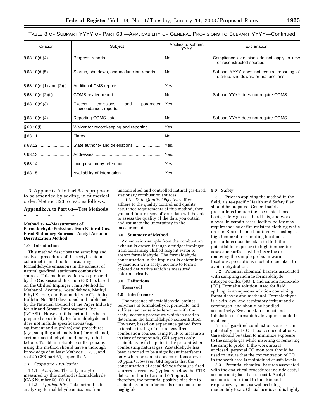## TABLE 8 OF SUBPART YYYY OF PART 63.—APPLICABILITY OF GENERAL PROVISIONS TO SUBPART YYYY—Continued

| Citation                    | Subject                                                                | Applies to subpart<br><b>YYYY</b> | Explanation                                                                        |
|-----------------------------|------------------------------------------------------------------------|-----------------------------------|------------------------------------------------------------------------------------|
|                             |                                                                        | No                                | Compliance extensions do not apply to new<br>or reconstructed sources.             |
| $§ 63.10(d)(5)$             | Startup, shutdown, and malfunction reports                             | No                                | Subpart YYYY does not require reporting of<br>startup, shutdowns, or malfunctions. |
| $\S$ 63.10(e)(1) and (2)(i) |                                                                        | Yes.                              |                                                                                    |
| $§63.10(e)(2)(ii)$          |                                                                        | No                                | Subpart YYYY does not require COMS.                                                |
| $§63.10(e)(3)$              | <b>Excess</b><br>emissions<br>parameter<br>and<br>exceedances reports. | Yes.                              |                                                                                    |
| $§ 63.10(e)(4)$             |                                                                        | No                                | Subpart YYYY does not require COMS.                                                |
|                             | Waiver for recordkeeping and reporting                                 | Yes.                              |                                                                                    |
|                             |                                                                        | No.                               |                                                                                    |
| §63.12                      | State authority and delegations                                        | Yes.                              |                                                                                    |
| §63.13                      |                                                                        | Yes.                              |                                                                                    |
|                             | Incorporation by reference                                             | Yes.                              |                                                                                    |
|                             |                                                                        | Yes.                              |                                                                                    |

3. Appendix A to Part 63 is proposed to be amended by adding, in numerical order, Method 323 to read as follows:

#### **Appendix A to Part 63—Test Methods**

## \* \* \* \* \*

#### **Method 323—Measurement of Formaldehyde Emissions from Natural Gas-Fired Stationary Sources—Acetyl Acetone Derivitization Method**

#### **1.0 Introduction**

This method describes the sampling and analysis procedures of the acetyl acetone colorimetric method for measuring formaldehyde emissions in the exhaust of natural gas-fired, stationary combustion sources. This method, which was prepared by the Gas Research Institute (GRI), is based on the Chilled Impinger Train Method for Methanol, Acetone, Acetaldehyde, Methyl Ethyl Ketone, and Formaldehyde (Technical Bulletin No. 684) developed and published by the National Council of the Paper Industry for Air and Stream Improvement, Inc. (NCASI).1 However, this method has been prepared specifically for formaldehyde and does not include specifications (*e.g.*, equipment and supplies) and procedures (*e.g.*, sampling and analytical) for methanol, acetone, acetaldehyde, and methyl ethyl ketone. To obtain reliable results, persons using this method should have a thorough knowledge of at least Methods 1, 2, 3, and 4 of 40 CFR part 60, appendix A.

#### *1.1 Scope and Application*

1.1.1 *Analytes.* The only analyte measured by this method is formaldehyde (CAS Number 50–00–0).

1.1.2 *Applicability.* This method is for analyzing formaldehyde emissions from

uncontrolled and controlled natural gas-fired, stationary combustion sources.

1.1.3 *Data Quality Objectives.* If you adhere to the quality control and quality assurance requirements of this method, then you and future users of your data will be able to assess the quality of the data you obtain and estimate the uncertainty in the measurements.

#### **2.0 Summary of Method**

An emission sample from the combustion exhaust is drawn through a midget impinger train containing chilled reagent water to absorb formaldehyde. The formaldehyde concentration in the impinger is determined by reaction with acetyl acetone to form a colored derivative which is measured colorimetrically.

#### **3.0 Definitions**

[Reserved]

#### **4.0 Interferences**

The presence of acetaldehyde, amines, polymers of formaldehyde, periodate, and sulfites can cause interferences with the acetyl acetone procedure which is used to determine the formaldehyde concentration. However, based on experience gained from extensive testing of natural gas-fired combustion sources using FTIR to measure a variety of compounds, GRI expects only acetaldehyde to be potentially present when combusting natural gas. Acetaldehyde has been reported to be a significant interferent only when present at concentrations above 50 ppm.4 However, GRI reports that the concentration of acetaldehyde from gas-fired sources is very low (typically below the FTIR detection limit of around 0.5 ppmv); therefore, the potential positive bias due to acetaldehyde interference is expected to be negligible.

#### **5.0 Safety**

5.1 Prior to applying the method in the field, a site-specific Health and Safety Plan should be prepared. General safety precautions include the use of steel-toed boots, safety glasses, hard hats, and work gloves. In certain cases, facility policy may require the use of fire-resistant clothing while on-site. Since the method involves testing at high-temperature sampling locations, precautions must be taken to limit the potential for exposure to high-temperature gases and surfaces while inserting or removing the sample probe. In warm locations, precautions must also be taken to avoid dehydration.

5.2 Potential chemical hazards associated with sampling include formaldehyde, nitrogen oxides  $(NO<sub>X</sub>)$ , and carbon monoxide (CO). Formalin solution, used for field spiking, is an aqueous solution containing formaldehyde and methanol. Formaldehyde is a skin, eye, and respiratory irritant and a carcinogen, and should be handled accordingly. Eye and skin contact and inhalation of formaldehyde vapors should be avoided.

Natural gas-fired combustion sources can potentially emit CO at toxic concentrations. Care should be taken to minimize exposure to the sample gas while inserting or removing the sample probe. If the work area is enclosed, personal CO monitors should be used to insure that the concentration of CO in the work area is maintained at safe levels.

5.3 Potential chemical hazards associated with the analytical procedures include acetyl acetone and glacial acetic acid. Acetyl acetone is an irritant to the skin and respiratory system, as well as being moderately toxic. Glacial acetic acid is highly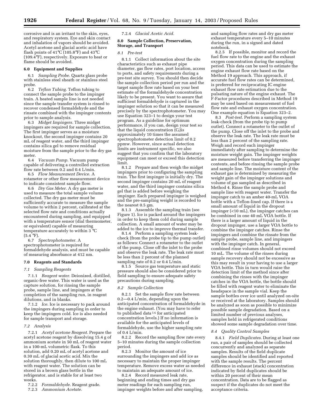corrosive and is an irritant to the skin, eyes, and respiratory system. Eye and skin contact and inhalation of vapors should be avoided. Acetyl acetone and glacial acetic acid have flash points of 41°C (105.8°F) and 43°C (109.4°F), respectively. Exposure to heat or flame should be avoided.

#### **6.0 Equipment and Supplies**

6.1 *Sampling Probe.* Quartz glass probe with stainless steel sheath or stainless steel probe.

6.2 *Teflon Tubing.* Teflon tubing to connect the sample probe to the impinger train. A heated sample line is not needed since the sample transfer system is rinsed to recover condensed formaldehyde and the rinsate combined with the impinger contents prior to sample analysis.

6.3 *Midget Impingers.* Three midget impingers are required for sample collection. The first impinger serves as a moisture knockout, the second impinger contains 20 mL of reagent water, and the third impinger contains silica gel to remove residual moisture from the sample prior to the dry gas meter.  $6.4\,$ 

6.4 *Vacuum Pump.* Vacuum pump capable of delivering a controlled extraction flow rate between 0.2 and 0.4 L/min.

6.5 *Flow Measurement Device.* A rotameter or other flow measurement device to indicate consistent sample flow.

6.6 *Dry Gas Meter.* A dry gas meter is used to measure the total sample volume collected. The dry gas meter must be sufficiently accurate to measure the sample volume to within 2 percent, calibrated at the selected flow rate and conditions actually encountered during sampling, and equipped with a temperature sensor (dial thermometer, or equivalent) capable of measuring temperature accurately to within 3 °C  $(5.4 °F)$ .

6.7 *Spectrophotometer.* A spectrophotometer is required for formaldehyde analysis, and must be capable of measuring absorbance at 412 nm.

#### **7.0 Reagents and Standards**

#### *7.1 Sampling Reagents*

7.1.1 *Reagent water.* Deionized, distilled, organic-free water. This water is used as the capture solution, for rinsing the sample probe, sample line, and impingers at the completion of the sampling run, in reagent dilutions, and in blanks.

7.1.2 *Ice.* Ice is necessary to pack around the impingers during sampling in order to keep the impingers cold. Ice is also needed for sample transport and storage.

#### *7.2 Analysis*

7.2.1 *Acetyl acetone Reagent.* Prepare the acetyl acetone reagent by dissolving 15.4 g of ammonium acetate in 50 mL of reagent water in a 100-mL volumetric flask. To this solution, add 0.20 mL of acetyl acetone and 0.30 mL of glacial acetic acid. Mix the solution thoroughly, then dilute to 100 mL with reagent water. The solution can be stored in a brown glass bottle in the refrigerator, and is stable for at least two weeks.

7.2.2 *Formaldehyde.* Reagent grade.

7.2.3 *Ammonium Acetate.*

7.2.4 *Glacial Acetic Acid.*

#### **8.0 Sample Collection, Preservation, Storage, and Transport**

#### *8.1 Pre-test*

8.1.1 Collect information about the site characteristics such as exhaust pipe diameter, gas flow rates, port location, access to ports, and safety requirements during a pre-test site survey. You should then decide the sample collection period per run and the target sample flow rate based on your best estimate of the formaldehyde concentration likely to be present. You want to assure that sufficient formaldehyde is captured in the impinger solution so that it can be measured precisely by the spectrophotometer. You may use Equation 323–1 to design your test program. As a guideline for optimum performance, if you can, design your test so that the liquid concentration  $(C_1)$ is approximately 10 times the assumed spectrophotometer detection limit of 0.2 ppmw. However, since actual detection limits are instrument specific, we also suggest that you confirm that the laboratory equipment can meet or exceed this detection limit.

8.1.2 Prepare and then weigh the midget impingers prior to configuring the sampling train. The first impinger is initially dry. The second impinger contains 20 mL of reagent water, and the third impinger contains silica gel that is added before weighing the impinger. Each prepared impinger is weighed and the pre-sampling weight is recorded to the nearest 0.5 gm.

8.1.3 Assemble the sampling train (see Figure 1). Ice is packed around the impingers in order to keep them cold during sample collection. A small amount of water may be added to the ice to improve thermal transfer.

8.1.4 Perform a sampling system leakcheck (from the probe tip to the pump outlet) as follows: Connect a rotameter to the outlet of the pump. Close off the inlet to the probe and observe the leak rate. The leak rate must be less than 2 percent of the planned sampling rate of 0.2 or 0.4 L/min.

8.1.5 Source gas temperature and static pressure should also be considered prior to field sampling to ensure adequate safety precautions during sampling.

#### *8.2 Sample Collection*

8.2.1 Set the sample flow rate between 0.2—0.4 L/min, depending upon the anticipated concentration of formaldehyde in the engine exhaust. (You may have to refer to published data<sup>56</sup> for anticipated concentration levels.) If no information is available for the anticipated levels of formaldehyde, use the higher sampling rate of 0.4 L/min.

8.2.2 Record the sampling flow rate every 5–10 minutes during the sample collection period.

8.2.3 Monitor the amount of ice surrounding the impingers and add ice as necessary to maintain the proper impinger temperature. Remove excess water as needed to maintain an adequate amount of ice.

8.2.4 Record measured leak rate, beginning and ending times and dry gas meter readings for each sampling run, impinger weights before and after sampling, and sampling flow rates and dry gas meter exhaust temperature every 5–10 minutes during the run, in a signed and dated notebook.

8.2.5 If possible, monitor and record the fuel flow rate to the engine and the exhaust oxygen concentration during the sampling period. This data can be used to estimate the engine exhaust flow rate based on the Method 19 approach. This approach, if accurate fuel flow rates can be determined, is preferred for reciprocating IC engine exhaust flow rate estimation due to the pulsating nature of the engine exhaust. The F-Factor procedures described in Method 19 may be used based on measurement of fuel flow rate and exhaust oxygen concentration. One example equation is Equation 323–2.

8.3 *Post-test.* Perform a sampling system leak-check (from the probe tip to pump outlet). Connect a rotameter to the outlet of the pump. Close off the inlet to the probe and observe the leak rate. The leak rate must be less than 2 percent of the sampling rate. Weigh and record each impinger immediately after sampling to determine the moisture weight gain. The impinger weights are measured before transferring the impinger contents, and before rinsing the sample probe and sample line. The moisture content of the exhaust gas is determined by measuring the weight gain of the impinger solutions and volume of gas sampled as described in Method 4. Rinse the sample probe and sample line with reagent water. Transfer the impinger catch to an amber 40-mL VOA bottle with a Teflon-lined cap. If there is a small amount of liquid in the dropout impinger (<10 mL), the impinger catches can be combined in one 40 mL VOA bottle. If there is a larger amount of liquid in the dropout impinger, use a larger VOA bottle to combine the impinger catches. Rinse the impingers and combine the rinsate from the sample probe, sample line, and impingers with the impinger catch. In general, combined rinse volumes should not exceed 10 mL. The volume of the rinses during sample recovery should not be excessive as this may result in your having to use a larger VOA bottle. This in turn would raise the detection limit of the method since after combining the rinses with the impinger catches in the VOA bottle, the bottle should be filled with reagent water to eliminate the headspace in the sample vial. Keep the sample bottles over ice until analyzed on-site or received at the laboratory. Samples should be analyzed as soon as possible to minimize possible sample degradation. Based on a limited number of previous analyses, samples held in refrigerated conditions showed some sample degradation over time.

## *8.4 Quality Control Samples*

8.4.1 *Field Duplicates.* During at least one run, a pair of samples should be collected concurrently and analyzed as separate samples. Results of the field duplicate samples should be identified and reported with the sample results. The percent difference in exhaust (stack) concentration indicated by field duplicates should be within 20 percent of their mean concentration. Data are to be flagged as suspect if the duplicates do not meet the acceptance criteria.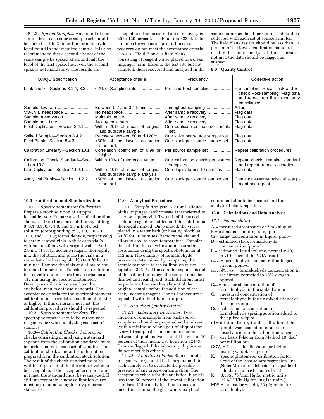8.4.2 *Spiked Samples.* An aliquot of one sample from each source sample set should be spiked at 2 to 3 times the formaldehyde level found in the unspiked sample. It is also recommended that a second aliquot of the same sample be spiked at around half the level of the first spike; however, the second spike is not mandatory. The results are

acceptable if the measured spike recovery is 80 to 120 percent. Use Equation 323–4. Data are to be flagged as suspect if the spike recovery do not meet the acceptance criteria.

8.4.3 Field Blank. A field blank consisting of reagent water placed in a clean impinger train, taken to the test site but not sampled, then recovered and analyzed in the same manner as the other samples, should be collected with each set of source samples. The field blank results should be less than 50 percent of the lowest calibration standard used in the sample analysis. If this criteria is not met, the data should be flagged as suspect.

#### **9.0 Quality Control**

| QA/QC Specification                           | Acceptance criteria                                              | Frequency                                       | Corrective action                                                                                                      |
|-----------------------------------------------|------------------------------------------------------------------|-------------------------------------------------|------------------------------------------------------------------------------------------------------------------------|
| Leak-check-Sections 8.1.4, 8.3                | $<2\%$ of Sampling rate                                          | Pre- and Post-sampling                          | Pre-sampling: Repair leak and re-<br>check Post-sampling: Flag data<br>and repeat run if for regulatory<br>compliance. |
| Sample flow rate                              | Between 0.2 and 0.4 L/min                                        | Throughout sampling                             | Adjust.                                                                                                                |
| VOA vial headspace                            |                                                                  | After sample recovery                           | Flag data.                                                                                                             |
| Sample preservation                           |                                                                  | After sample recovery                           | Flag data.                                                                                                             |
| Sample hold time                              | 14 day maximum                                                   | After sample recovery                           | Flag data.                                                                                                             |
| Field Duplicates-Section 8.4.1                | Within 20% of mean of original<br>and duplicate sample.          | One duplicate per source sample<br>set.         | Flag data.                                                                                                             |
| Spiked Sample-Section 8.4.2                   | Recovery between 80 and 120%                                     | One spike per source sample set                 | Flag data.                                                                                                             |
| Field Blank-Section 8.4.3                     | <50% of the lowest calibration<br>standard.                      | One blank per source sample set                 | Flag data.                                                                                                             |
| Calibration Linearity-Section 10.1            | Correlation coefficient of 0.99 or<br>higher.                    | Per source sample set                           | Repeat calibration procedures.                                                                                         |
| Calibration Check Standard-Sec-<br>tion 10.3. | Within 10% of theoretical value                                  | One calibration check per source<br>sample set. | Repeat check, remake standard<br>and repeat, repeat calibration.                                                       |
| Lab Duplicates-Section 11.2.1                 | Within 10% of mean of original<br>and duplicate sample analysis. | One duplicate per 10 samples                    | Flag data.                                                                                                             |
| Analytical Blanks-Section 11.2.2              | <50% of the lowest calibration<br>standard.                      | One blank per source sample set                 | Clean glassware/analytical equip-<br>ment and repeat.                                                                  |

## **10.0 Calibration and Standardization**

10.1 *Spectrophotometer Calibration.* Prepare a stock solution of 10 ppm formaldehyde. Prepare a series of calibration standards from the stock solution by adding 0, 0.1, 0.3, 0.7, 1.0, and 1.5 mL of stock solution (corresponding to 0, 1.0, 3.0, 7.0, 10.0, and 15.0 µg formaldehyde, respectively) to screw-capped vials. Adjust each vial's volume to 2.0 mL with reagent water. Add 2.0 mL of acetyl acetone reagent, thoroughly mix the solution, and place the vials in a water bath (or heating block) at 60 °C for 10 minutes. Remove the vials and allow to cool to room temperature. Transfer each solution to a cuvette and measure the absorbance at 412 nm using the spectrophotometer. Develop a calibration curve from the analytical results of these standards. The acceptance criteria for the spectrophotometer calibration is a correlation coefficient of 0.99 or higher. If this criteria is not met, the calibration procedures should be repeated.

10.2 *Spectrophotometer Zero.* The spectrophotometer should be zeroed with reagent water when analyzing each set of samples.

10.3—*Calibration Checks.* Calibration checks consisting of analyzing a standard separate from the calibration standards must be performed with each set of samples. The calibration check standard should not be prepared from the calibration stock solution. The result of the check standard must be within 10 percent of the theoretical value to be acceptable. If the acceptance criteria are not met, the standard must be reanalyzed. If still unacceptable, a new calibration curve must be prepared using freshly prepared standards.

#### **11.0 Analytical Procedure**

11.1 *Sample Analysis.* A 2.0-mL aliquot of the impinger catch/rinsate is transferred to a screw-capped vial. Two mL of the acetyl acetone reagent are added and the solution is thoroughly mixed. Once mixed, the vial is placed in a water bath (or heating block) at 60 °C for 10 minutes. Remove the vial and allow to cool to room temperature. Transfer the solution to a cuvette and measure the absorbance using the spectrophotometer at 412 nm. The quantity of formaldehyde present is determined by comparing the sample response to the calibration curve. Use Equation 323–5. If the sample response is out of the calibration range, the sample must be diluted and reanalyzed. Such dilutions must be performed on another aliquot of the original sample before the addition of the acetyl acetone reagent. The full procedure is repeated with the diluted sample.

#### *11.2 Analytical Quality Control*

11.2.1 *Laboratory Duplicates.* Two aliquots of one sample from each source sample set should be prepared and analyzed (with a minimum of one pair of aliquots for every 10 samples). The percent difference between aliquot analysis should be within 10 percent of their mean. Use Equation 323–3. Data are flagged if the laboratory duplicates do not meet this criteria.

11.2.2 *Analytical blanks.* Blank samples (reagent water) should be incorporated into each sample set to evaluate the possible presence of any cross-contamination. The acceptance criteria for the analytical blank is less than 50 percent of the lowest calibration standard. If the analytical blank does not meet this criteria, the glassware/analytical

equipment should be cleaned and the analytical blank repeated.

#### **12.0 Calculations and Data Analysis**

## *12.1 Nomenclature*

- A = measured absorbance of 2 mL aliquot
- B = estimated sampling rate, lpm
- $C_1$  = target concentration in liquid, ppmw
- D = estimated stack formaldehyde
- concentration (ppmv)
- $E =$  estimated liquid volume, normally 40, mL (the size of the VOA used)
- cform = formaldehyde concentration in gas stream, ppmvd
- $c_{form} @ 15_{\%02} = formaldehyde concentration in$ gas stream corrected to 15% oxygen, ppmvd
- $C_{\rm sm}$  = measured concentration of formaldehyde in the spiked aliquot
- $C<sub>u</sub>$  = measured concentration of formaldehyde in the unspiked aliquot of the same sample
- Cs = calculated concentration of formaldehyde spiking solution added to the spiked aliquot
- $df =$  dilution factor, 1 unless dilution of the sample was needed to reduce the absorbance into the calibration range
- $F_d =$  dry basis F-factor from Method 19, dscf  $\sim$  ,  $\sim$  as<br>is F-fact per million btu GCV,  $=$  Cre
- $\mathbf{G}_{g}$  = Gross calorific value (or higher heating value), btu per scf
- $K_c$  = spectrophotometer calibration factor, slope of the least square regression line (**Note:** Most spreadsheets are capable of calculating a least squares line.)
- $K_1 = 0.3855 \text{°K/mm Hg}$  for metric units, (17.65 °R/in.Hg for English units.)
- MW = molecular weight, 30 g/g-mole, for formaldehyde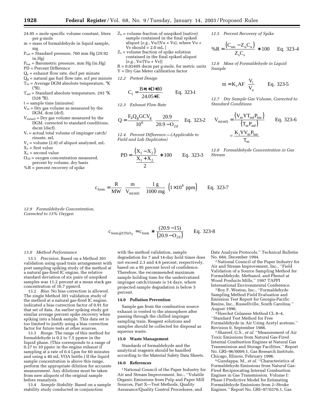- 24.05 = mole specific volume constant, liters per g-mole m = mass of formaldehyde in liquid sample,
- mg  $P_{std}$  = Standard pressure, 760 mm Hg (29.92)
- in.Hg)  $P_{bar}$  = Barometric pressure, mm Hg (in.Hg)
- PD = Percent Difference
- $Q_e$  = exhaust flow rate, dscf per minute
- $Q<sub>g</sub>$  = natural gas fuel flow rate, scf per minute
- $T_m$  = Average DGM absolute temperature,  $\mathrm{K}$  $({}^{\circ}R)$ .
- $T_{std}$  = Standard absolute temperature, 293 °K (528 °R).
- t = sample time (minutes)
- $V_m$  = Dry gas volume as measured by the DGM, dcm (dcf).
- $V_{m(std)} = Dry$  gas volume measured by the DGM, corrected to standard conditions, dscm (dscf).
- $V_t$  = actual total volume of impinger catch/ rinsate, mL
- Va = volume (2.0) of aliquot analyzed, mL
- $X_1$  = first value  $X_2$  = second value
- $O<sub>2d</sub> =$  oxygen concentration measured, percent by volume, dry basis
- $%R$  = percent recovery of spike
- $Z_u$  = volume fraction of unspiked (native) sample contained in the final spiked aliquot  $[e.g., Vu/(Vu + Vs),$  where  $Vu +$  $Vs should = 2.0 mL$
- $Z_s$  = volume fraction of spike solution contained in the final spiked aliquot  $[e.g., Vs/(Vu + Vs)]$
- R = 0.02405 dscm per g-mole, for metric units Y = Dry Gas Meter calibration factor
- *12.2 Pretest Design*

$$
C_1 = \frac{B * t * D * 30}{24.05 * E}
$$
 Eq. 323-1

*12.3 Exhaust Flow Rate*

$$
Q = \frac{F_d Q_g GCV_g}{10^6} \left[ \frac{20.9}{20.9 - O_{2d}} \right]
$$
 Eq. 323-2

*12.4 Percent Difference.—(Applicable to Field and Lab Duplicates)*

PD = 
$$
\frac{(X_1 - X_2)}{\frac{X_1 + X_2}{2}}
$$
 \* 100 Eq. 323-3

*12.5 Percent Recovery of Spike*

$$
\% \mathbf{R} = \frac{(\mathbf{C}_{\text{sm}} - \mathbf{Z}_{\text{u}} \mathbf{C}_{\text{u}})}{\mathbf{Z}_{\text{s}} \mathbf{C}_{\text{s}}} * 100 \quad \text{Eq. 323-4}
$$

*12.6 Mass of Formaldehyde in Liquid Sample*

$$
m = K_c \text{AF} \left( \frac{V_t}{V_a} \right) \qquad \text{Eq. 323-5}
$$

*12.7 Dry Sample Gas Volume, Corrected to Standard Conditions*

$$
V_{m(std)} = \frac{(V_m Y T_{std} P_{bar})}{(T_m P_{std})}
$$
 Eq. 323-6  

$$
= \frac{K_i Y V_m P_{bar}}{T_m}
$$

*12.8 Formaldehyde Concentration in Gas Stream*

$$
c_{\text{form}} = \frac{R}{MW} \left( \frac{m}{V_{m(std)}} \right) \left( \frac{1 g}{1000 mg} \right) \left( 1 \times 10^6 \text{ ppm} \right) \qquad \text{Eq. 323-7}
$$

*12.9 Formaldehyde Concentration, Corrected to 15% Oxygen*

> $c_{\text{form}} \triangleleft_{15\% \text{O}_2} = c_{\text{form}} * \frac{(20.5 - 1.5)}{(20.9 - \text{O}_{2d})}$  Eq  $_{15\%O_2} = c_{\text{form}} * \frac{(20.9-15)}{(20.9-O_{2d})}$  Eq.  $= c_{\text{form}} * \frac{(20.9 - 15)}{(20.9 - O_{2d})}$  Eq. 323-8

#### *13.0 Method Performance*

13.1 *Precision.* Based on a Method 301 validation using quad train arrangement with post sampling spiking study of the method at a natural gas-fired IC engine, the relative standard deviation of six pairs of unspiked samples was 11.2 percent at a mean stack gas concentration of 16.7 ppmvd.

13.2 *Bias.* No bias correction is allowed. The single Method 301 validation study of the method at a natural gas-fired IC engine, indicated a bias correction factor of 0.91 for that set of data. An earlier spiking study got similar average percent spike recovery when spiking into a blank sample. This data set is too limited to justify using a bias correction factor for future tests at other sources.

13.3 *Range.* The range of this method for formaldehyde is 0.2 to 7.5 ppmw in the liquid phase. (This corresponds to a range of 0.27 to 10 ppmv in the engine exhaust if sampling at a rate of 0.4 Lpm for 60 minutes and using a 40 mL VOA bottle.) If the liquid sample concentration is above this range, perform the appropriate dilution for accurate measurement. Any dilutions must be taken from new aliquots of the original sample before reanalysis.

13.4 *Sample Stability.* Based on a sample stability study conducted in conjunction

with the method validation, sample degradation for 7 and 14-day hold times does not exceed 2.3 and 4.6 percent, respectively, based on a 95 percent level of confidence. Therefore, the recommended maximum sample holding time for the underivatized impinger catch/rinsate is 14 days, where projected sample degradation is below 5 percent.

#### **14.0 Pollution Prevention**

Sample gas from the combustion source exhaust is vented to the atmosphere after passing through the chilled impinger sampling train. Reagent solutions and samples should be collected for disposal as aqueous waste.

#### **15.0 Waste Management**

Standards of formaldehyde and the analytical reagents should be handled according to the Material Safety Data Sheets.

#### **16.0 References**

1National Council of the Paper Industry for Air and Stream Improvement, Inc., ''Volatile Organic Emissions from Pulp and Paper Mill Sources, Part X—Test Methods, Quality Assurance/Quality Control Procedures, and

Data Analysis Protocols,'' Technical Bulletin No. 684, December 1994.

2National Council of the Paper Industry for Air and Stream Improvement, Inc., ''Field Validation of a Source Sampling Method for Formaldehyde, Methanol, and Phenol at Wood Products Mills,'' 1997 TAPPI International Environmental Conference.

3Roy F. Weston, Inc., ''Formaldehyde Sampling Method Field Evaluation and Emission Test Report for Georgia-Pacific Resins, Inc., Russellville, South Carolina,'' August 1996.

4Hoechst Celanese Method CL 8–4, ''Standard Test Method for Free Formaldehyde in Air Using Acetyl acetone,'' Revision 0, September 1986.

5Shareef, G.S., *et al.* ''Measurement of Air Toxic Emissions from Natural Gas-Fired Internal Combustion Engines at Natural Gas Transmission and Storage Facilities.'' Report No. GRI–96/0009.1, Gas Research Institute, Chicago, Illinois, February 1996.

6 Gundappa, M., *et al.* ''Characteristics of Formaldehyde Emissions from Natural Gas-Fired Reciprocating Internal Combustion Engines in Gas Transmission. Volume I: Phase I Predictive Model for Estimating Formaldehyde Emissions from 2–Stroke Engines.'' Report No. GRI–97/0376.1, Gas